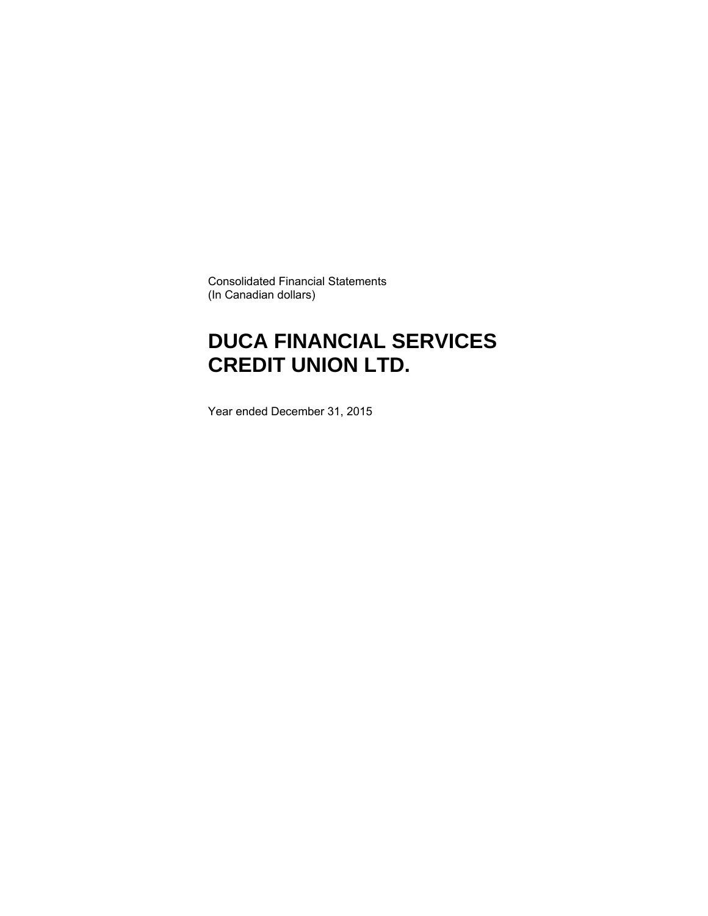Consolidated Financial Statements (In Canadian dollars)

### **DUCA FINANCIAL SERVICES CREDIT UNION LTD.**

Year ended December 31, 2015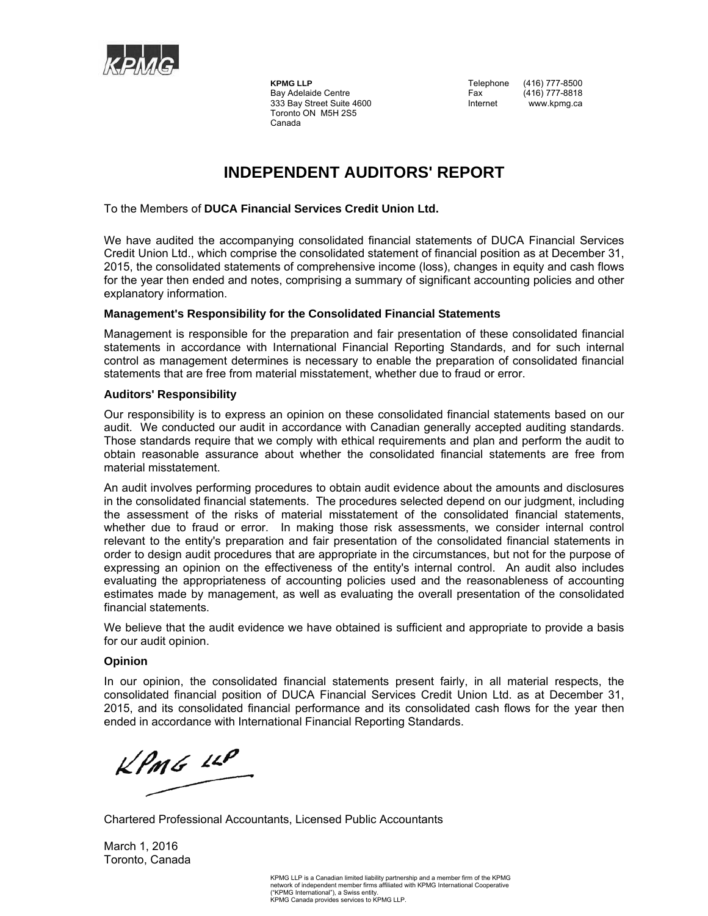

 Toronto ON M5H 2S5 Canada

**KPMG LLP** Telephone (416) 777-8500 Bay Adelaide Centre Fax (416) 777-8818<br>333 Bay Street Suite 4600 Fax Internet Www.kpmg.ca 333 Bay Street Suite 4600 **Internet** www.kpmg.ca

#### **INDEPENDENT AUDITORS' REPORT**

To the Members of **DUCA Financial Services Credit Union Ltd.** 

We have audited the accompanying consolidated financial statements of DUCA Financial Services Credit Union Ltd., which comprise the consolidated statement of financial position as at December 31, 2015, the consolidated statements of comprehensive income (loss), changes in equity and cash flows for the year then ended and notes, comprising a summary of significant accounting policies and other explanatory information.

#### **Management's Responsibility for the Consolidated Financial Statements**

Management is responsible for the preparation and fair presentation of these consolidated financial statements in accordance with International Financial Reporting Standards, and for such internal control as management determines is necessary to enable the preparation of consolidated financial statements that are free from material misstatement, whether due to fraud or error.

#### **Auditors' Responsibility**

Our responsibility is to express an opinion on these consolidated financial statements based on our audit. We conducted our audit in accordance with Canadian generally accepted auditing standards. Those standards require that we comply with ethical requirements and plan and perform the audit to obtain reasonable assurance about whether the consolidated financial statements are free from material misstatement.

An audit involves performing procedures to obtain audit evidence about the amounts and disclosures in the consolidated financial statements. The procedures selected depend on our judgment, including the assessment of the risks of material misstatement of the consolidated financial statements, whether due to fraud or error. In making those risk assessments, we consider internal control relevant to the entity's preparation and fair presentation of the consolidated financial statements in order to design audit procedures that are appropriate in the circumstances, but not for the purpose of expressing an opinion on the effectiveness of the entity's internal control. An audit also includes evaluating the appropriateness of accounting policies used and the reasonableness of accounting estimates made by management, as well as evaluating the overall presentation of the consolidated financial statements.

We believe that the audit evidence we have obtained is sufficient and appropriate to provide a basis for our audit opinion.

#### **Opinion**

In our opinion, the consolidated financial statements present fairly, in all material respects, the consolidated financial position of DUCA Financial Services Credit Union Ltd. as at December 31, 2015, and its consolidated financial performance and its consolidated cash flows for the year then ended in accordance with International Financial Reporting Standards.

 $KPMG$  14P

Chartered Professional Accountants, Licensed Public Accountants

March 1, 2016 Toronto, Canada

> KPMG LLP is a Canadian limited liability partnership and a member firm of the KPMG network of independent member firms affiliated with KPMG International Cooperative ("KPMG International"), a Swiss entity. KPMG Canada provides services to KPMG LLP.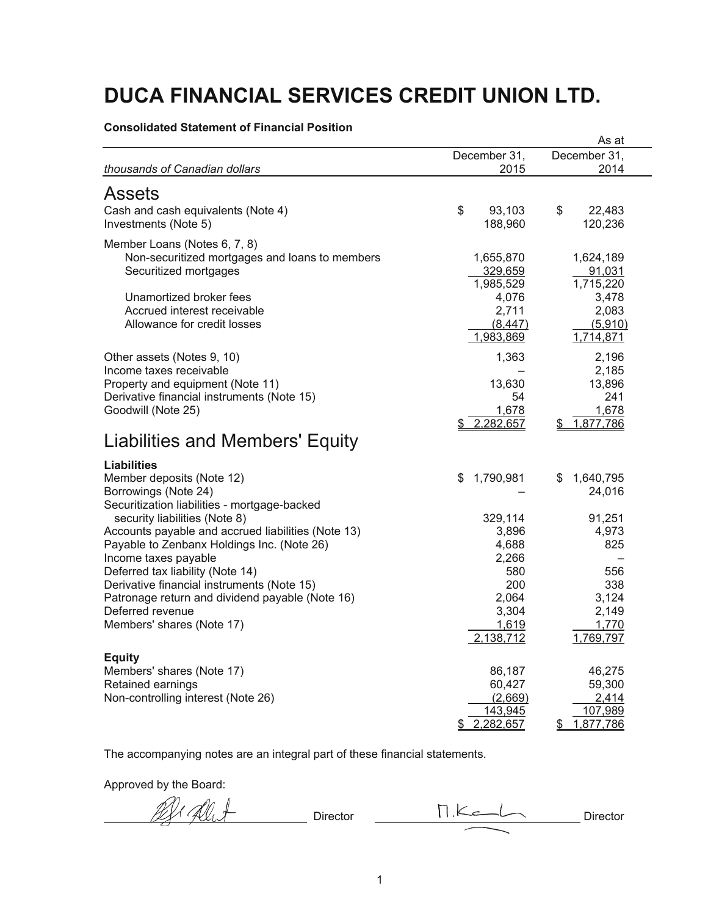**Consolidated Statement of Financial Position** 

|                                                                                                                                                                                                                                                                                                                          |                                                                 | As at                                                                |
|--------------------------------------------------------------------------------------------------------------------------------------------------------------------------------------------------------------------------------------------------------------------------------------------------------------------------|-----------------------------------------------------------------|----------------------------------------------------------------------|
|                                                                                                                                                                                                                                                                                                                          | December 31,                                                    | December 31,                                                         |
| thousands of Canadian dollars                                                                                                                                                                                                                                                                                            | 2015                                                            | 2014                                                                 |
| <b>Assets</b>                                                                                                                                                                                                                                                                                                            |                                                                 |                                                                      |
| Cash and cash equivalents (Note 4)<br>Investments (Note 5)                                                                                                                                                                                                                                                               | \$<br>93,103<br>188,960                                         | \$<br>22,483<br>120,236                                              |
| Member Loans (Notes 6, 7, 8)<br>Non-securitized mortgages and loans to members<br>Securitized mortgages<br>Unamortized broker fees<br>Accrued interest receivable<br>Allowance for credit losses                                                                                                                         | 1,655,870<br>329,659<br>1,985,529<br>4,076<br>2,711<br>(8, 447) | 1,624,189<br>91,031<br>1,715,220<br>3,478<br>2,083<br>(5,910)        |
| Other assets (Notes 9, 10)<br>Income taxes receivable<br>Property and equipment (Note 11)<br>Derivative financial instruments (Note 15)<br>Goodwill (Note 25)                                                                                                                                                            | 1,983,869<br>1,363<br>13,630<br>54<br>1.678<br>2,282,657<br>S.  | 1,714,871<br>2,196<br>2,185<br>13,896<br>241<br>1,678<br>\$1,877,786 |
| <b>Liabilities and Members' Equity</b>                                                                                                                                                                                                                                                                                   |                                                                 |                                                                      |
| <b>Liabilities</b><br>Member deposits (Note 12)<br>Borrowings (Note 24)<br>Securitization liabilities - mortgage-backed<br>security liabilities (Note 8)<br>Accounts payable and accrued liabilities (Note 13)<br>Payable to Zenbanx Holdings Inc. (Note 26)<br>Income taxes payable<br>Deferred tax liability (Note 14) | \$<br>1,790,981<br>329,114<br>3,896<br>4,688<br>2,266<br>580    | 1,640,795<br>S<br>24,016<br>91,251<br>4,973<br>825<br>556            |
| Derivative financial instruments (Note 15)<br>Patronage return and dividend payable (Note 16)<br>Deferred revenue<br>Members' shares (Note 17)                                                                                                                                                                           | 200<br>2,064<br>3,304<br>1,619<br>2,138,712                     | 338<br>3,124<br>2,149<br>1,770<br>1,769,797                          |
| <b>Equity</b><br>Members' shares (Note 17)<br>Retained earnings<br>Non-controlling interest (Note 26)                                                                                                                                                                                                                    | 86,187<br>60,427<br>(2,669)<br>143,945<br>2,282,657<br>\$       | 46,275<br>59,300<br>2,414<br>107,989<br>1,877,786<br>\$              |

The accompanying notes are an integral part of these financial statements.

Approved by the Board:

Director M.K. Director Director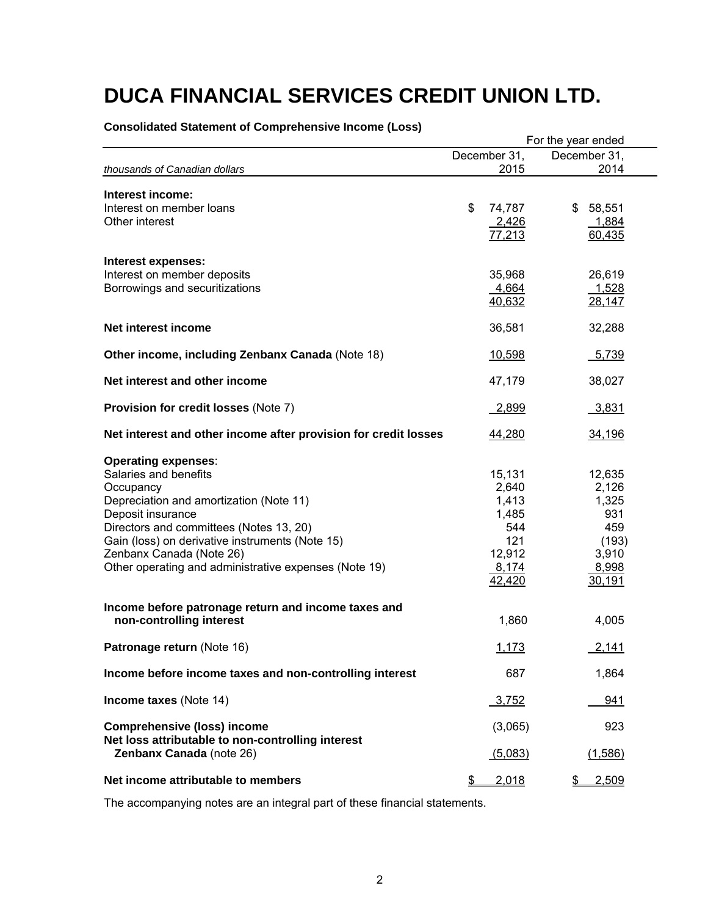|                                                                                                                                                                                                                                                                                                                     |                                                                              | For the year ended                                                          |  |  |
|---------------------------------------------------------------------------------------------------------------------------------------------------------------------------------------------------------------------------------------------------------------------------------------------------------------------|------------------------------------------------------------------------------|-----------------------------------------------------------------------------|--|--|
|                                                                                                                                                                                                                                                                                                                     | December 31,                                                                 | December 31.                                                                |  |  |
| thousands of Canadian dollars                                                                                                                                                                                                                                                                                       | 2015                                                                         | 2014                                                                        |  |  |
| Interest income:<br>Interest on member loans<br>Other interest                                                                                                                                                                                                                                                      | \$<br>74,787<br>2,426<br>77,213                                              | 58,551<br>\$<br>1,884<br>60,435                                             |  |  |
| Interest expenses:<br>Interest on member deposits<br>Borrowings and securitizations                                                                                                                                                                                                                                 | 35,968<br>4,664<br>40,632                                                    | 26,619<br>1,528<br>28,147                                                   |  |  |
| Net interest income                                                                                                                                                                                                                                                                                                 | 36,581                                                                       | 32,288                                                                      |  |  |
| Other income, including Zenbanx Canada (Note 18)                                                                                                                                                                                                                                                                    | 10,598                                                                       | 5,739                                                                       |  |  |
| Net interest and other income                                                                                                                                                                                                                                                                                       | 47,179                                                                       | 38,027                                                                      |  |  |
| Provision for credit losses (Note 7)                                                                                                                                                                                                                                                                                | 2,899                                                                        | 3,831                                                                       |  |  |
| Net interest and other income after provision for credit losses                                                                                                                                                                                                                                                     | 44,280                                                                       | 34,196                                                                      |  |  |
| <b>Operating expenses:</b><br>Salaries and benefits<br>Occupancy<br>Depreciation and amortization (Note 11)<br>Deposit insurance<br>Directors and committees (Notes 13, 20)<br>Gain (loss) on derivative instruments (Note 15)<br>Zenbanx Canada (Note 26)<br>Other operating and administrative expenses (Note 19) | 15,131<br>2,640<br>1,413<br>1,485<br>544<br>121<br>12,912<br>8,174<br>42,420 | 12,635<br>2,126<br>1,325<br>931<br>459<br>(193)<br>3,910<br>8,998<br>30,191 |  |  |
| Income before patronage return and income taxes and<br>non-controlling interest                                                                                                                                                                                                                                     | 1,860                                                                        | 4,005                                                                       |  |  |
| Patronage return (Note 16)                                                                                                                                                                                                                                                                                          | 1,173                                                                        | 2,141                                                                       |  |  |
| Income before income taxes and non-controlling interest                                                                                                                                                                                                                                                             | 687                                                                          | 1,864                                                                       |  |  |
| Income taxes (Note 14)                                                                                                                                                                                                                                                                                              | <u>3,752</u>                                                                 | 941                                                                         |  |  |
| <b>Comprehensive (loss) income</b><br>Net loss attributable to non-controlling interest<br>Zenbanx Canada (note 26)                                                                                                                                                                                                 | (3,065)<br>(5,083)                                                           | 923<br>(1,586)                                                              |  |  |
| Net income attributable to members                                                                                                                                                                                                                                                                                  | \$<br>2,018                                                                  | 2,509<br>\$                                                                 |  |  |

#### **Consolidated Statement of Comprehensive Income (Loss)**

The accompanying notes are an integral part of these financial statements.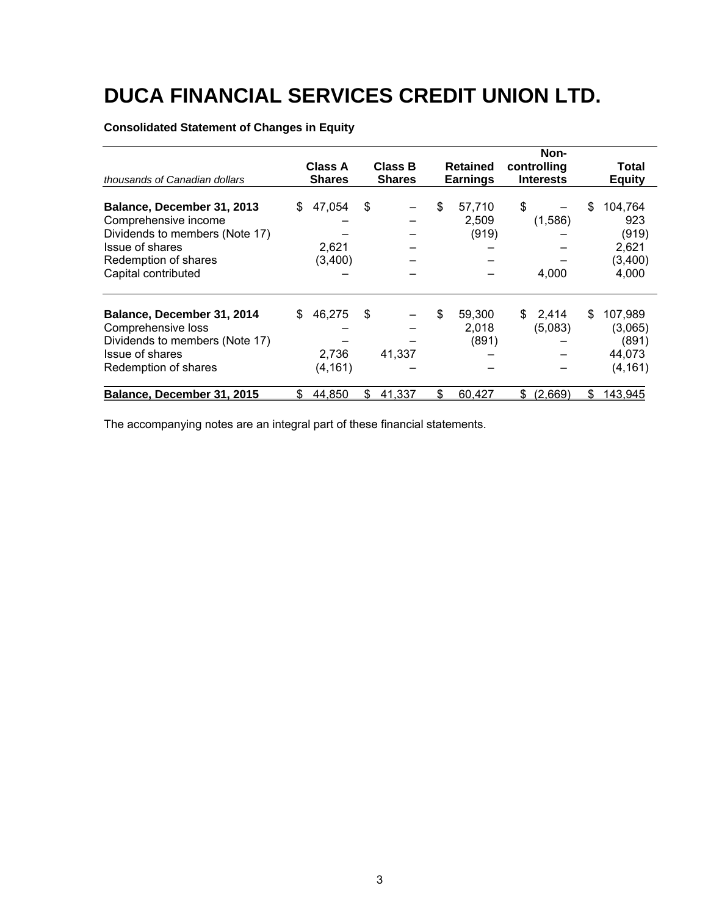#### **Consolidated Statement of Changes in Equity**

|                                |    |                          |                                 |    |                                    | Non-                            |    |                        |
|--------------------------------|----|--------------------------|---------------------------------|----|------------------------------------|---------------------------------|----|------------------------|
| thousands of Canadian dollars  |    | Class A<br><b>Shares</b> | <b>Class B</b><br><b>Shares</b> |    | <b>Retained</b><br><b>Earnings</b> | controlling<br><b>Interests</b> |    | Total<br><b>Equity</b> |
|                                |    |                          |                                 |    |                                    |                                 |    |                        |
| Balance, December 31, 2013     | \$ | 47,054                   | \$                              | \$ | 57,710                             | \$                              | S  | 104,764                |
| Comprehensive income           |    |                          |                                 |    | 2,509                              | (1,586)                         |    | 923                    |
| Dividends to members (Note 17) |    |                          |                                 |    | (919)                              |                                 |    | (919)                  |
| Issue of shares                |    | 2,621                    |                                 |    |                                    |                                 |    | 2,621                  |
| Redemption of shares           |    | (3,400)                  |                                 |    |                                    |                                 |    | (3,400)                |
| Capital contributed            |    |                          |                                 |    |                                    | 4,000                           |    | 4,000                  |
| Balance, December 31, 2014     | \$ | 46,275                   | \$                              | \$ | 59,300                             | \$<br>2,414                     | \$ | 107,989                |
| Comprehensive loss             |    |                          |                                 |    | 2,018                              | (5,083)                         |    | (3,065)                |
| Dividends to members (Note 17) |    |                          |                                 |    | (891)                              |                                 |    | (891)                  |
| Issue of shares                |    | 2,736                    | 41,337                          |    |                                    |                                 |    | 44,073                 |
| Redemption of shares           |    | (4, 161)                 |                                 |    |                                    |                                 |    | (4, 161)               |
| Balance, December 31, 2015     | S  | 44,850                   | \$<br>41,337                    | S  | 60,427                             | \$<br>(2,669)                   | \$ | 143,945                |

The accompanying notes are an integral part of these financial statements.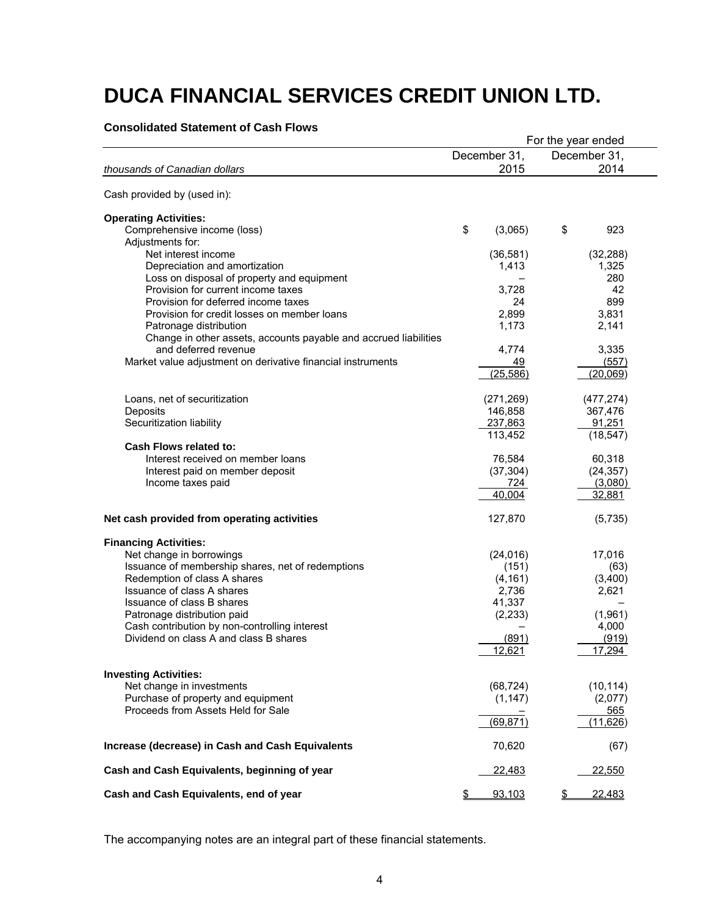#### **Consolidated Statement of Cash Flows**

|                                                                  |               |    | For the year ended |
|------------------------------------------------------------------|---------------|----|--------------------|
|                                                                  | December 31,  |    | December 31,       |
| thousands of Canadian dollars                                    | 2015          |    | 2014               |
| Cash provided by (used in):                                      |               |    |                    |
| <b>Operating Activities:</b>                                     |               |    |                    |
| Comprehensive income (loss)                                      | \$<br>(3,065) | \$ | 923                |
| Adjustments for:                                                 |               |    |                    |
| Net interest income                                              | (36, 581)     |    | (32, 288)          |
| Depreciation and amortization                                    | 1,413         |    | 1,325              |
| Loss on disposal of property and equipment                       |               |    | 280                |
| Provision for current income taxes                               | 3,728         |    | 42                 |
| Provision for deferred income taxes                              | 24            |    | 899                |
| Provision for credit losses on member loans                      | 2,899         |    | 3,831              |
| Patronage distribution                                           | 1,173         |    | 2,141              |
| Change in other assets, accounts payable and accrued liabilities |               |    |                    |
| and deferred revenue                                             | 4,774         |    | 3,335              |
| Market value adjustment on derivative financial instruments      | 49            |    | (557)              |
|                                                                  | (25, 586)     |    | (20,069)           |
| Loans, net of securitization                                     | (271, 269)    |    | (477, 274)         |
| Deposits                                                         | 146,858       |    | 367,476            |
| Securitization liability                                         | 237,863       |    | 91,251             |
|                                                                  | 113,452       |    | (18, 547)          |
| Cash Flows related to:                                           |               |    |                    |
| Interest received on member loans                                | 76,584        |    | 60,318             |
| Interest paid on member deposit                                  | (37, 304)     |    | (24, 357)          |
| Income taxes paid                                                | 724           |    | (3,080)            |
|                                                                  | 40,004        |    | 32,881             |
| Net cash provided from operating activities                      | 127,870       |    | (5,735)            |
| <b>Financing Activities:</b>                                     |               |    |                    |
| Net change in borrowings                                         | (24, 016)     |    | 17,016             |
| Issuance of membership shares, net of redemptions                | (151)         |    | (63)               |
| Redemption of class A shares                                     | (4, 161)      |    | (3,400)            |
| Issuance of class A shares                                       | 2,736         |    | 2,621              |
| Issuance of class B shares                                       | 41,337        |    |                    |
| Patronage distribution paid                                      | (2, 233)      |    | (1,961)            |
| Cash contribution by non-controlling interest                    |               |    | 4,000              |
| Dividend on class A and class B shares                           | (891)         |    | (919)              |
|                                                                  | 12,621        |    | 17,294             |
| <b>Investing Activities:</b>                                     |               |    |                    |
| Net change in investments                                        | (68, 724)     |    | (10, 114)          |
| Purchase of property and equipment                               | (1, 147)      |    | (2,077)            |
| Proceeds from Assets Held for Sale                               |               |    | 565                |
|                                                                  | (69, 871)     |    | (11, 626)          |
| Increase (decrease) in Cash and Cash Equivalents                 | 70,620        |    | (67)               |
| Cash and Cash Equivalents, beginning of year                     | 22,483        |    | 22,550             |
| Cash and Cash Equivalents, end of year                           | \$<br>93,103  | S  | 22,483             |

The accompanying notes are an integral part of these financial statements.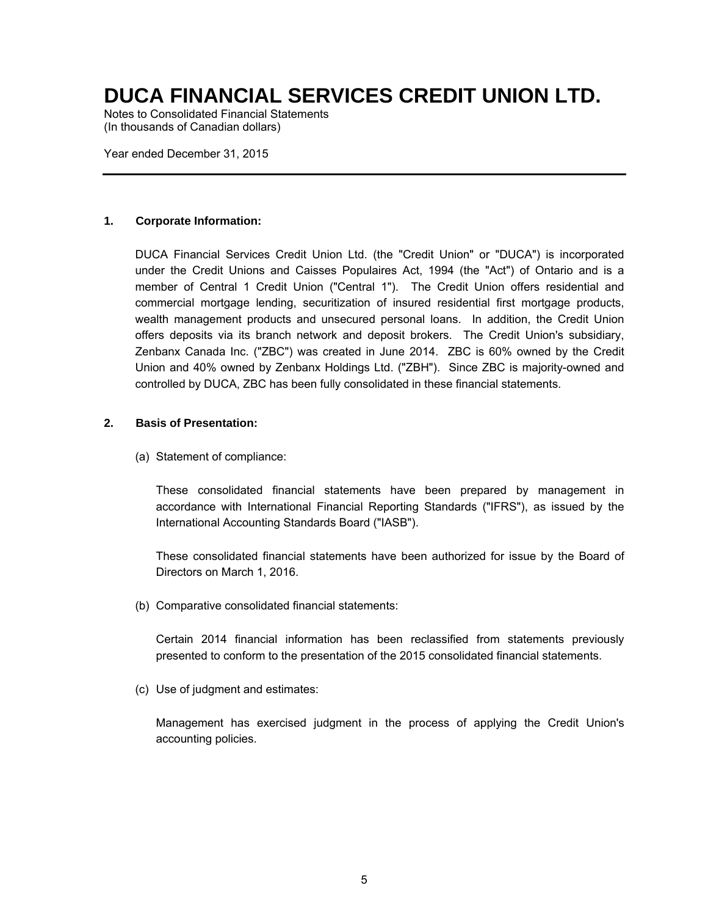Notes to Consolidated Financial Statements (In thousands of Canadian dollars)

Year ended December 31, 2015

#### **1. Corporate Information:**

DUCA Financial Services Credit Union Ltd. (the "Credit Union" or "DUCA") is incorporated under the Credit Unions and Caisses Populaires Act, 1994 (the "Act") of Ontario and is a member of Central 1 Credit Union ("Central 1"). The Credit Union offers residential and commercial mortgage lending, securitization of insured residential first mortgage products, wealth management products and unsecured personal loans. In addition, the Credit Union offers deposits via its branch network and deposit brokers. The Credit Union's subsidiary, Zenbanx Canada Inc. ("ZBC") was created in June 2014. ZBC is 60% owned by the Credit Union and 40% owned by Zenbanx Holdings Ltd. ("ZBH"). Since ZBC is majority-owned and controlled by DUCA, ZBC has been fully consolidated in these financial statements.

#### **2. Basis of Presentation:**

(a) Statement of compliance:

These consolidated financial statements have been prepared by management in accordance with International Financial Reporting Standards ("IFRS"), as issued by the International Accounting Standards Board ("IASB").

These consolidated financial statements have been authorized for issue by the Board of Directors on March 1, 2016.

(b) Comparative consolidated financial statements:

Certain 2014 financial information has been reclassified from statements previously presented to conform to the presentation of the 2015 consolidated financial statements.

(c) Use of judgment and estimates:

Management has exercised judgment in the process of applying the Credit Union's accounting policies.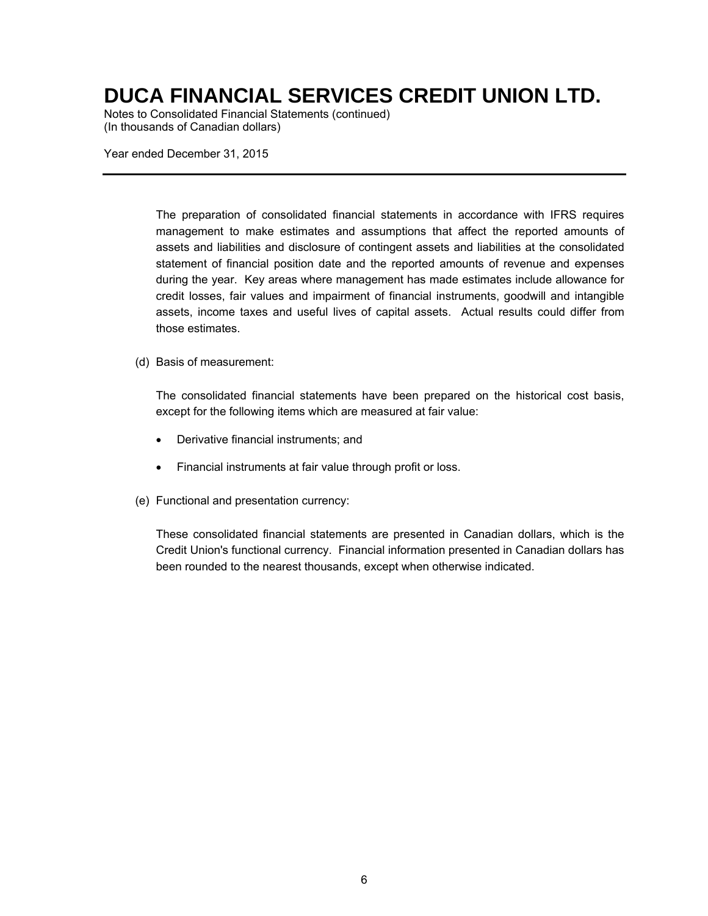Notes to Consolidated Financial Statements (continued) (In thousands of Canadian dollars)

Year ended December 31, 2015

The preparation of consolidated financial statements in accordance with IFRS requires management to make estimates and assumptions that affect the reported amounts of assets and liabilities and disclosure of contingent assets and liabilities at the consolidated statement of financial position date and the reported amounts of revenue and expenses during the year. Key areas where management has made estimates include allowance for credit losses, fair values and impairment of financial instruments, goodwill and intangible assets, income taxes and useful lives of capital assets. Actual results could differ from those estimates.

#### (d) Basis of measurement:

The consolidated financial statements have been prepared on the historical cost basis, except for the following items which are measured at fair value:

- Derivative financial instruments; and
- Financial instruments at fair value through profit or loss.
- (e) Functional and presentation currency:

These consolidated financial statements are presented in Canadian dollars, which is the Credit Union's functional currency. Financial information presented in Canadian dollars has been rounded to the nearest thousands, except when otherwise indicated.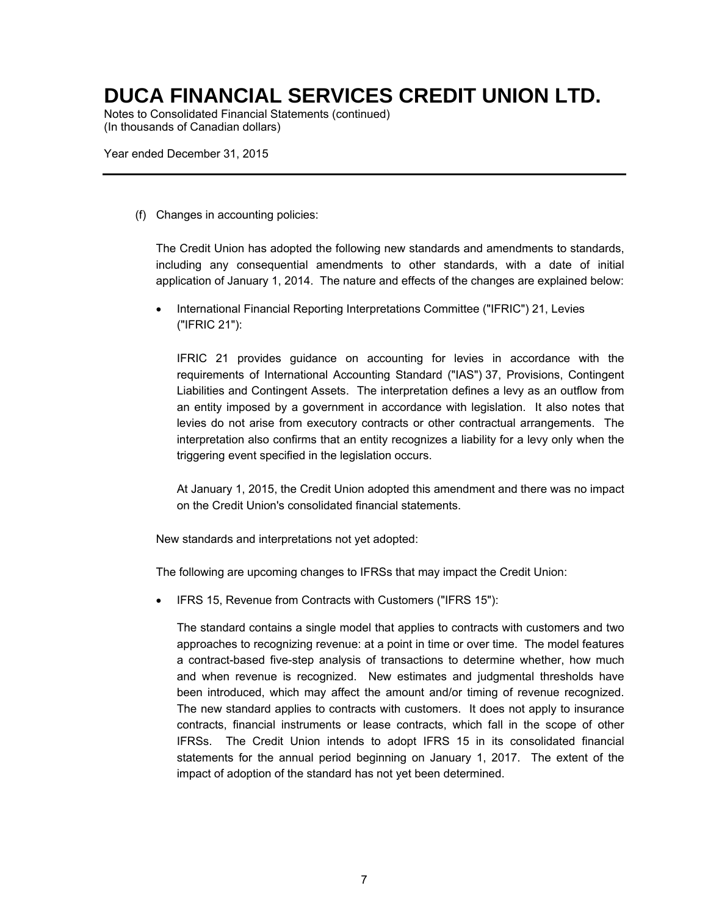Notes to Consolidated Financial Statements (continued) (In thousands of Canadian dollars)

Year ended December 31, 2015

(f) Changes in accounting policies:

The Credit Union has adopted the following new standards and amendments to standards, including any consequential amendments to other standards, with a date of initial application of January 1, 2014. The nature and effects of the changes are explained below:

 International Financial Reporting Interpretations Committee ("IFRIC") 21, Levies ("IFRIC 21"):

IFRIC 21 provides guidance on accounting for levies in accordance with the requirements of International Accounting Standard ("IAS") 37, Provisions, Contingent Liabilities and Contingent Assets. The interpretation defines a levy as an outflow from an entity imposed by a government in accordance with legislation. It also notes that levies do not arise from executory contracts or other contractual arrangements. The interpretation also confirms that an entity recognizes a liability for a levy only when the triggering event specified in the legislation occurs.

At January 1, 2015, the Credit Union adopted this amendment and there was no impact on the Credit Union's consolidated financial statements.

New standards and interpretations not yet adopted:

The following are upcoming changes to IFRSs that may impact the Credit Union:

IFRS 15, Revenue from Contracts with Customers ("IFRS 15"):

The standard contains a single model that applies to contracts with customers and two approaches to recognizing revenue: at a point in time or over time. The model features a contract-based five-step analysis of transactions to determine whether, how much and when revenue is recognized. New estimates and judgmental thresholds have been introduced, which may affect the amount and/or timing of revenue recognized. The new standard applies to contracts with customers. It does not apply to insurance contracts, financial instruments or lease contracts, which fall in the scope of other IFRSs. The Credit Union intends to adopt IFRS 15 in its consolidated financial statements for the annual period beginning on January 1, 2017. The extent of the impact of adoption of the standard has not yet been determined.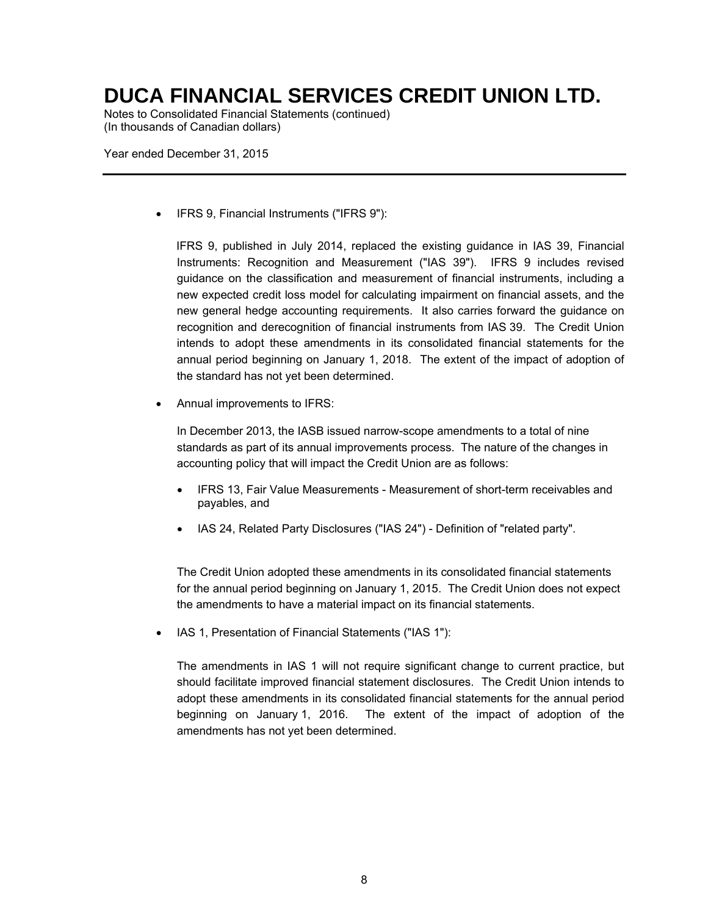Notes to Consolidated Financial Statements (continued) (In thousands of Canadian dollars)

Year ended December 31, 2015

IFRS 9, Financial Instruments ("IFRS 9"):

IFRS 9, published in July 2014, replaced the existing guidance in IAS 39, Financial Instruments: Recognition and Measurement ("IAS 39"). IFRS 9 includes revised guidance on the classification and measurement of financial instruments, including a new expected credit loss model for calculating impairment on financial assets, and the new general hedge accounting requirements. It also carries forward the guidance on recognition and derecognition of financial instruments from IAS 39. The Credit Union intends to adopt these amendments in its consolidated financial statements for the annual period beginning on January 1, 2018. The extent of the impact of adoption of the standard has not yet been determined.

Annual improvements to IFRS:

In December 2013, the IASB issued narrow-scope amendments to a total of nine standards as part of its annual improvements process. The nature of the changes in accounting policy that will impact the Credit Union are as follows:

- IFRS 13, Fair Value Measurements Measurement of short-term receivables and payables, and
- IAS 24, Related Party Disclosures ("IAS 24") Definition of "related party".

The Credit Union adopted these amendments in its consolidated financial statements for the annual period beginning on January 1, 2015. The Credit Union does not expect the amendments to have a material impact on its financial statements.

• IAS 1, Presentation of Financial Statements ("IAS 1"):

The amendments in IAS 1 will not require significant change to current practice, but should facilitate improved financial statement disclosures. The Credit Union intends to adopt these amendments in its consolidated financial statements for the annual period beginning on January 1, 2016. The extent of the impact of adoption of the amendments has not yet been determined.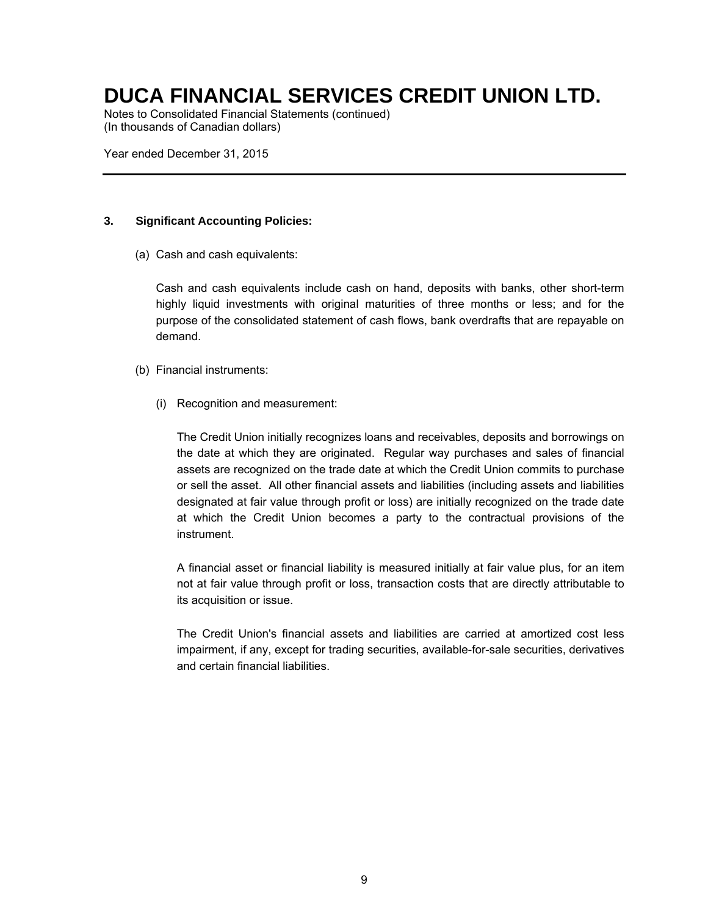Notes to Consolidated Financial Statements (continued) (In thousands of Canadian dollars)

Year ended December 31, 2015

#### **3. Significant Accounting Policies:**

(a) Cash and cash equivalents:

Cash and cash equivalents include cash on hand, deposits with banks, other short-term highly liquid investments with original maturities of three months or less; and for the purpose of the consolidated statement of cash flows, bank overdrafts that are repayable on demand.

- (b) Financial instruments:
	- (i) Recognition and measurement:

The Credit Union initially recognizes loans and receivables, deposits and borrowings on the date at which they are originated. Regular way purchases and sales of financial assets are recognized on the trade date at which the Credit Union commits to purchase or sell the asset. All other financial assets and liabilities (including assets and liabilities designated at fair value through profit or loss) are initially recognized on the trade date at which the Credit Union becomes a party to the contractual provisions of the instrument.

A financial asset or financial liability is measured initially at fair value plus, for an item not at fair value through profit or loss, transaction costs that are directly attributable to its acquisition or issue.

The Credit Union's financial assets and liabilities are carried at amortized cost less impairment, if any, except for trading securities, available-for-sale securities, derivatives and certain financial liabilities.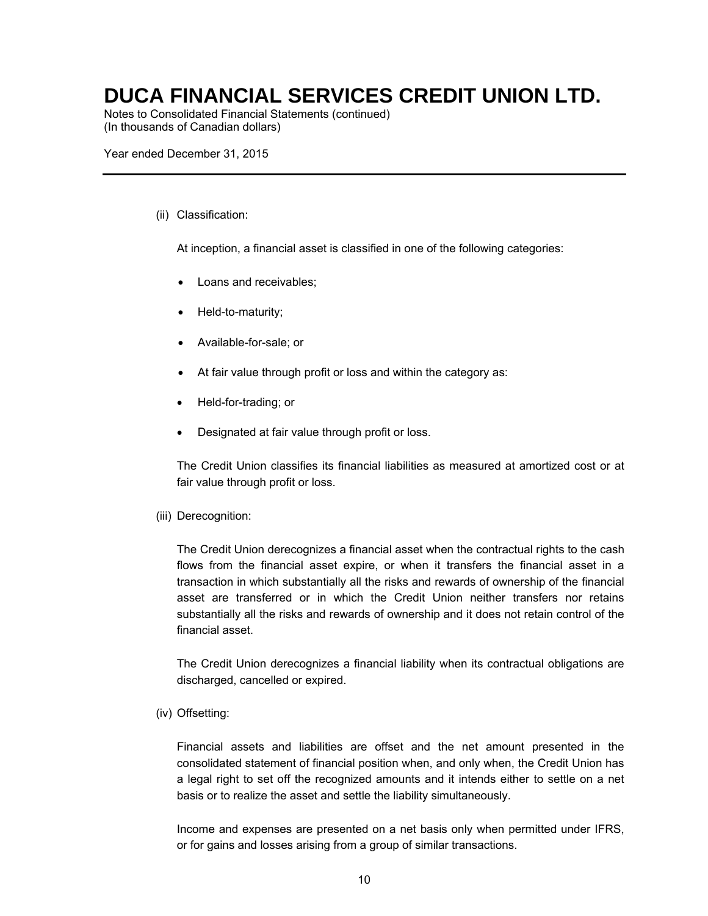Notes to Consolidated Financial Statements (continued) (In thousands of Canadian dollars)

Year ended December 31, 2015

#### (ii) Classification:

At inception, a financial asset is classified in one of the following categories:

- Loans and receivables;
- Held-to-maturity;
- Available-for-sale; or
- At fair value through profit or loss and within the category as:
- Held-for-trading; or
- Designated at fair value through profit or loss.

The Credit Union classifies its financial liabilities as measured at amortized cost or at fair value through profit or loss.

#### (iii) Derecognition:

The Credit Union derecognizes a financial asset when the contractual rights to the cash flows from the financial asset expire, or when it transfers the financial asset in a transaction in which substantially all the risks and rewards of ownership of the financial asset are transferred or in which the Credit Union neither transfers nor retains substantially all the risks and rewards of ownership and it does not retain control of the financial asset.

The Credit Union derecognizes a financial liability when its contractual obligations are discharged, cancelled or expired.

#### (iv) Offsetting:

Financial assets and liabilities are offset and the net amount presented in the consolidated statement of financial position when, and only when, the Credit Union has a legal right to set off the recognized amounts and it intends either to settle on a net basis or to realize the asset and settle the liability simultaneously.

Income and expenses are presented on a net basis only when permitted under IFRS, or for gains and losses arising from a group of similar transactions.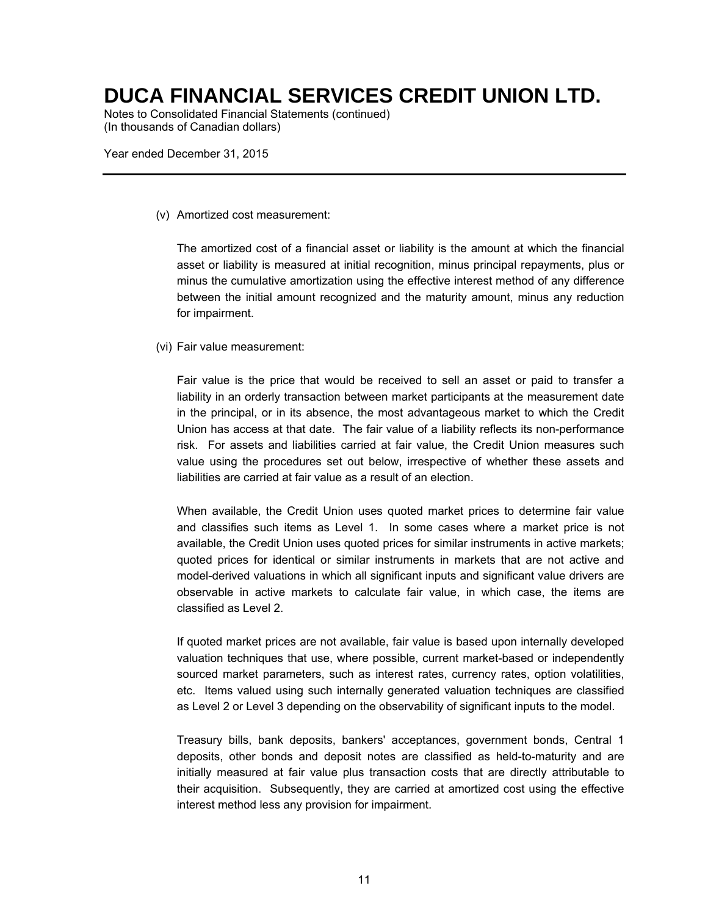Notes to Consolidated Financial Statements (continued) (In thousands of Canadian dollars)

Year ended December 31, 2015

(v) Amortized cost measurement:

The amortized cost of a financial asset or liability is the amount at which the financial asset or liability is measured at initial recognition, minus principal repayments, plus or minus the cumulative amortization using the effective interest method of any difference between the initial amount recognized and the maturity amount, minus any reduction for impairment.

(vi) Fair value measurement:

Fair value is the price that would be received to sell an asset or paid to transfer a liability in an orderly transaction between market participants at the measurement date in the principal, or in its absence, the most advantageous market to which the Credit Union has access at that date. The fair value of a liability reflects its non-performance risk. For assets and liabilities carried at fair value, the Credit Union measures such value using the procedures set out below, irrespective of whether these assets and liabilities are carried at fair value as a result of an election.

When available, the Credit Union uses quoted market prices to determine fair value and classifies such items as Level 1. In some cases where a market price is not available, the Credit Union uses quoted prices for similar instruments in active markets; quoted prices for identical or similar instruments in markets that are not active and model-derived valuations in which all significant inputs and significant value drivers are observable in active markets to calculate fair value, in which case, the items are classified as Level 2.

If quoted market prices are not available, fair value is based upon internally developed valuation techniques that use, where possible, current market-based or independently sourced market parameters, such as interest rates, currency rates, option volatilities, etc. Items valued using such internally generated valuation techniques are classified as Level 2 or Level 3 depending on the observability of significant inputs to the model.

Treasury bills, bank deposits, bankers' acceptances, government bonds, Central 1 deposits, other bonds and deposit notes are classified as held-to-maturity and are initially measured at fair value plus transaction costs that are directly attributable to their acquisition. Subsequently, they are carried at amortized cost using the effective interest method less any provision for impairment.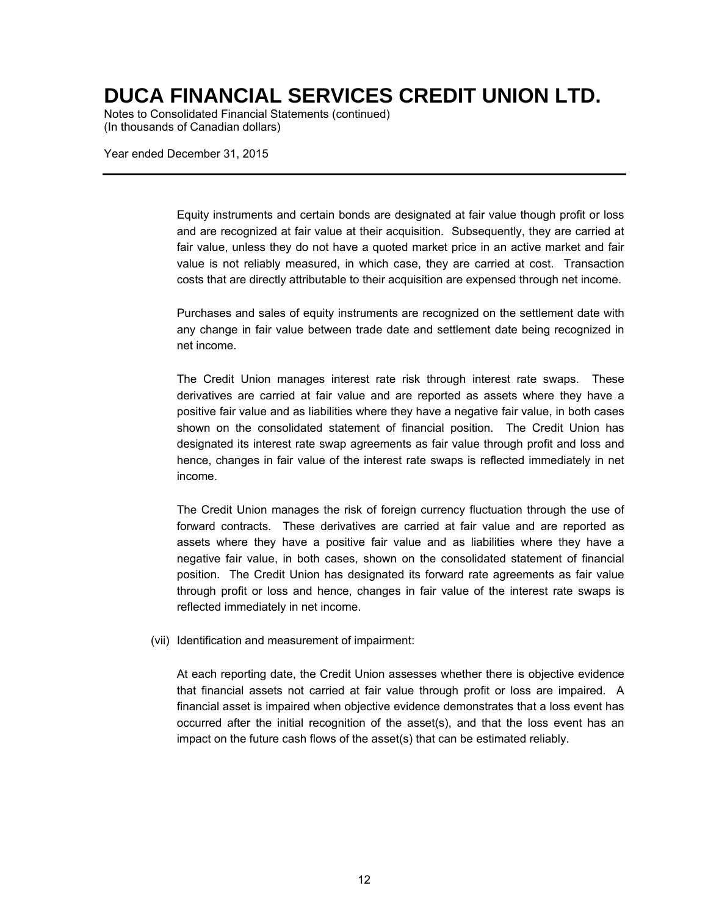Notes to Consolidated Financial Statements (continued) (In thousands of Canadian dollars)

Year ended December 31, 2015

Equity instruments and certain bonds are designated at fair value though profit or loss and are recognized at fair value at their acquisition. Subsequently, they are carried at fair value, unless they do not have a quoted market price in an active market and fair value is not reliably measured, in which case, they are carried at cost. Transaction costs that are directly attributable to their acquisition are expensed through net income.

Purchases and sales of equity instruments are recognized on the settlement date with any change in fair value between trade date and settlement date being recognized in net income.

The Credit Union manages interest rate risk through interest rate swaps. These derivatives are carried at fair value and are reported as assets where they have a positive fair value and as liabilities where they have a negative fair value, in both cases shown on the consolidated statement of financial position. The Credit Union has designated its interest rate swap agreements as fair value through profit and loss and hence, changes in fair value of the interest rate swaps is reflected immediately in net income.

The Credit Union manages the risk of foreign currency fluctuation through the use of forward contracts. These derivatives are carried at fair value and are reported as assets where they have a positive fair value and as liabilities where they have a negative fair value, in both cases, shown on the consolidated statement of financial position. The Credit Union has designated its forward rate agreements as fair value through profit or loss and hence, changes in fair value of the interest rate swaps is reflected immediately in net income.

(vii) Identification and measurement of impairment:

At each reporting date, the Credit Union assesses whether there is objective evidence that financial assets not carried at fair value through profit or loss are impaired. A financial asset is impaired when objective evidence demonstrates that a loss event has occurred after the initial recognition of the asset(s), and that the loss event has an impact on the future cash flows of the asset(s) that can be estimated reliably.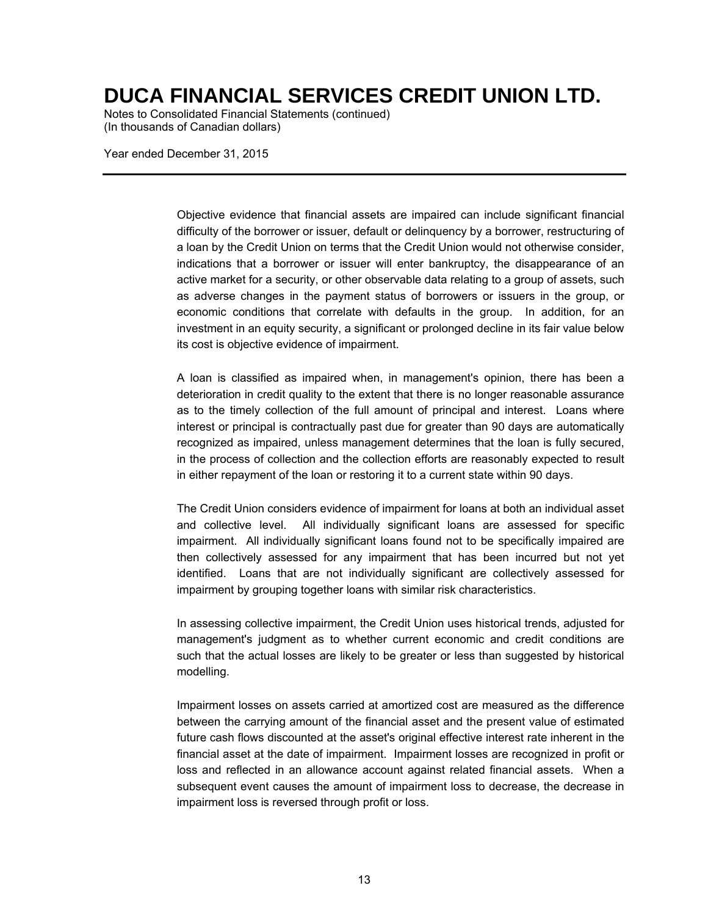Notes to Consolidated Financial Statements (continued) (In thousands of Canadian dollars)

Year ended December 31, 2015

Objective evidence that financial assets are impaired can include significant financial difficulty of the borrower or issuer, default or delinquency by a borrower, restructuring of a loan by the Credit Union on terms that the Credit Union would not otherwise consider, indications that a borrower or issuer will enter bankruptcy, the disappearance of an active market for a security, or other observable data relating to a group of assets, such as adverse changes in the payment status of borrowers or issuers in the group, or economic conditions that correlate with defaults in the group. In addition, for an investment in an equity security, a significant or prolonged decline in its fair value below its cost is objective evidence of impairment.

A loan is classified as impaired when, in management's opinion, there has been a deterioration in credit quality to the extent that there is no longer reasonable assurance as to the timely collection of the full amount of principal and interest. Loans where interest or principal is contractually past due for greater than 90 days are automatically recognized as impaired, unless management determines that the loan is fully secured, in the process of collection and the collection efforts are reasonably expected to result in either repayment of the loan or restoring it to a current state within 90 days.

The Credit Union considers evidence of impairment for loans at both an individual asset and collective level. All individually significant loans are assessed for specific impairment. All individually significant loans found not to be specifically impaired are then collectively assessed for any impairment that has been incurred but not yet identified. Loans that are not individually significant are collectively assessed for impairment by grouping together loans with similar risk characteristics.

In assessing collective impairment, the Credit Union uses historical trends, adjusted for management's judgment as to whether current economic and credit conditions are such that the actual losses are likely to be greater or less than suggested by historical modelling.

Impairment losses on assets carried at amortized cost are measured as the difference between the carrying amount of the financial asset and the present value of estimated future cash flows discounted at the asset's original effective interest rate inherent in the financial asset at the date of impairment. Impairment losses are recognized in profit or loss and reflected in an allowance account against related financial assets. When a subsequent event causes the amount of impairment loss to decrease, the decrease in impairment loss is reversed through profit or loss.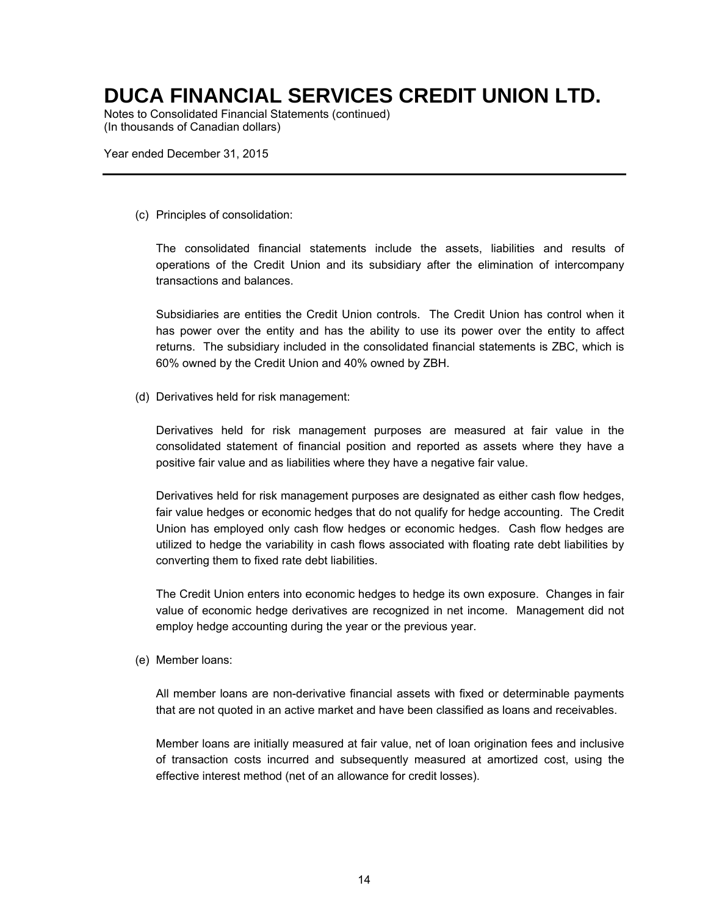Notes to Consolidated Financial Statements (continued) (In thousands of Canadian dollars)

Year ended December 31, 2015

(c) Principles of consolidation:

The consolidated financial statements include the assets, liabilities and results of operations of the Credit Union and its subsidiary after the elimination of intercompany transactions and balances.

Subsidiaries are entities the Credit Union controls. The Credit Union has control when it has power over the entity and has the ability to use its power over the entity to affect returns. The subsidiary included in the consolidated financial statements is ZBC, which is 60% owned by the Credit Union and 40% owned by ZBH.

(d) Derivatives held for risk management:

Derivatives held for risk management purposes are measured at fair value in the consolidated statement of financial position and reported as assets where they have a positive fair value and as liabilities where they have a negative fair value.

Derivatives held for risk management purposes are designated as either cash flow hedges, fair value hedges or economic hedges that do not qualify for hedge accounting. The Credit Union has employed only cash flow hedges or economic hedges. Cash flow hedges are utilized to hedge the variability in cash flows associated with floating rate debt liabilities by converting them to fixed rate debt liabilities.

The Credit Union enters into economic hedges to hedge its own exposure. Changes in fair value of economic hedge derivatives are recognized in net income. Management did not employ hedge accounting during the year or the previous year.

(e) Member loans:

All member loans are non-derivative financial assets with fixed or determinable payments that are not quoted in an active market and have been classified as loans and receivables.

Member loans are initially measured at fair value, net of loan origination fees and inclusive of transaction costs incurred and subsequently measured at amortized cost, using the effective interest method (net of an allowance for credit losses).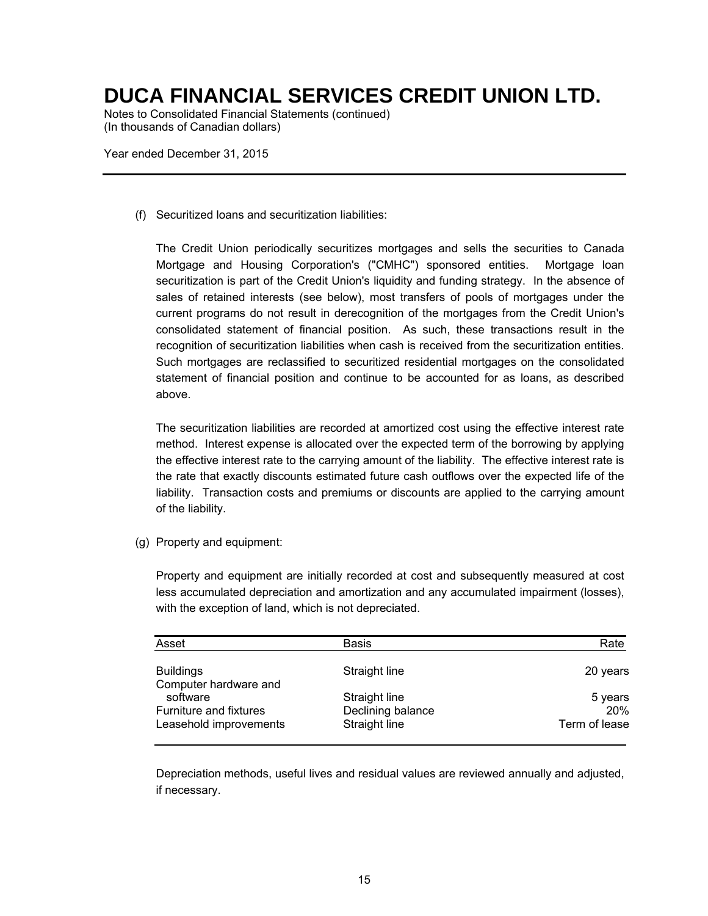Notes to Consolidated Financial Statements (continued) (In thousands of Canadian dollars)

Year ended December 31, 2015

(f) Securitized loans and securitization liabilities:

The Credit Union periodically securitizes mortgages and sells the securities to Canada Mortgage and Housing Corporation's ("CMHC") sponsored entities. Mortgage loan securitization is part of the Credit Union's liquidity and funding strategy. In the absence of sales of retained interests (see below), most transfers of pools of mortgages under the current programs do not result in derecognition of the mortgages from the Credit Union's consolidated statement of financial position. As such, these transactions result in the recognition of securitization liabilities when cash is received from the securitization entities. Such mortgages are reclassified to securitized residential mortgages on the consolidated statement of financial position and continue to be accounted for as loans, as described above.

The securitization liabilities are recorded at amortized cost using the effective interest rate method. Interest expense is allocated over the expected term of the borrowing by applying the effective interest rate to the carrying amount of the liability. The effective interest rate is the rate that exactly discounts estimated future cash outflows over the expected life of the liability. Transaction costs and premiums or discounts are applied to the carrying amount of the liability.

(g) Property and equipment:

Property and equipment are initially recorded at cost and subsequently measured at cost less accumulated depreciation and amortization and any accumulated impairment (losses), with the exception of land, which is not depreciated.

| Asset                                     | <b>Basis</b>      | Rate          |
|-------------------------------------------|-------------------|---------------|
| <b>Buildings</b><br>Computer hardware and | Straight line     | 20 years      |
| software                                  | Straight line     | 5 years       |
| Furniture and fixtures                    | Declining balance | <b>20%</b>    |
| Leasehold improvements                    | Straight line     | Term of lease |

Depreciation methods, useful lives and residual values are reviewed annually and adjusted, if necessary.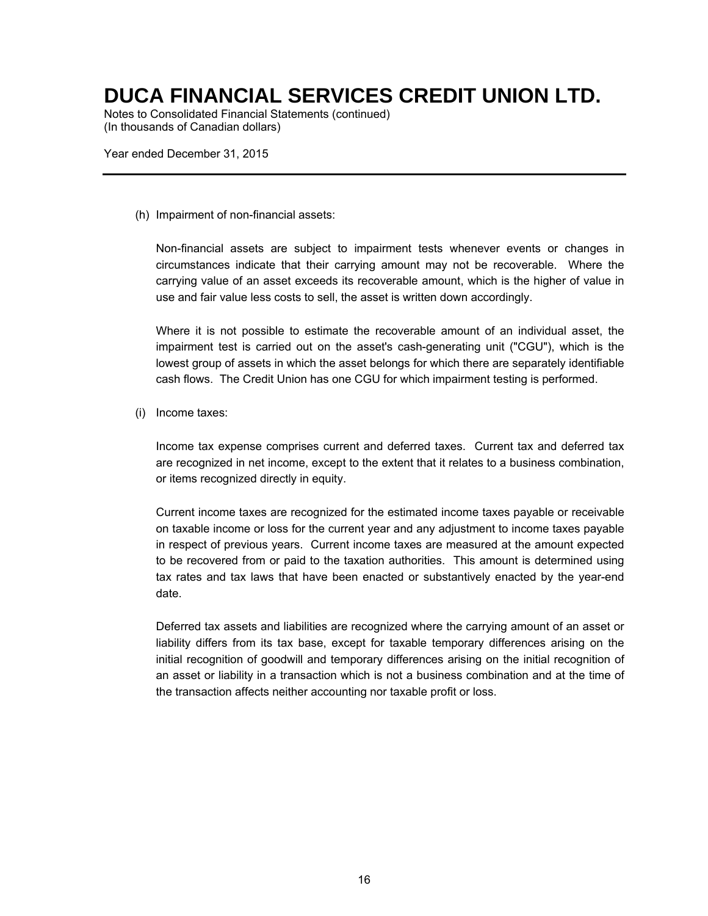Notes to Consolidated Financial Statements (continued) (In thousands of Canadian dollars)

Year ended December 31, 2015

(h) Impairment of non-financial assets:

Non-financial assets are subject to impairment tests whenever events or changes in circumstances indicate that their carrying amount may not be recoverable. Where the carrying value of an asset exceeds its recoverable amount, which is the higher of value in use and fair value less costs to sell, the asset is written down accordingly.

Where it is not possible to estimate the recoverable amount of an individual asset, the impairment test is carried out on the asset's cash-generating unit ("CGU"), which is the lowest group of assets in which the asset belongs for which there are separately identifiable cash flows. The Credit Union has one CGU for which impairment testing is performed.

(i) Income taxes:

Income tax expense comprises current and deferred taxes. Current tax and deferred tax are recognized in net income, except to the extent that it relates to a business combination, or items recognized directly in equity.

Current income taxes are recognized for the estimated income taxes payable or receivable on taxable income or loss for the current year and any adjustment to income taxes payable in respect of previous years. Current income taxes are measured at the amount expected to be recovered from or paid to the taxation authorities. This amount is determined using tax rates and tax laws that have been enacted or substantively enacted by the year-end date.

Deferred tax assets and liabilities are recognized where the carrying amount of an asset or liability differs from its tax base, except for taxable temporary differences arising on the initial recognition of goodwill and temporary differences arising on the initial recognition of an asset or liability in a transaction which is not a business combination and at the time of the transaction affects neither accounting nor taxable profit or loss.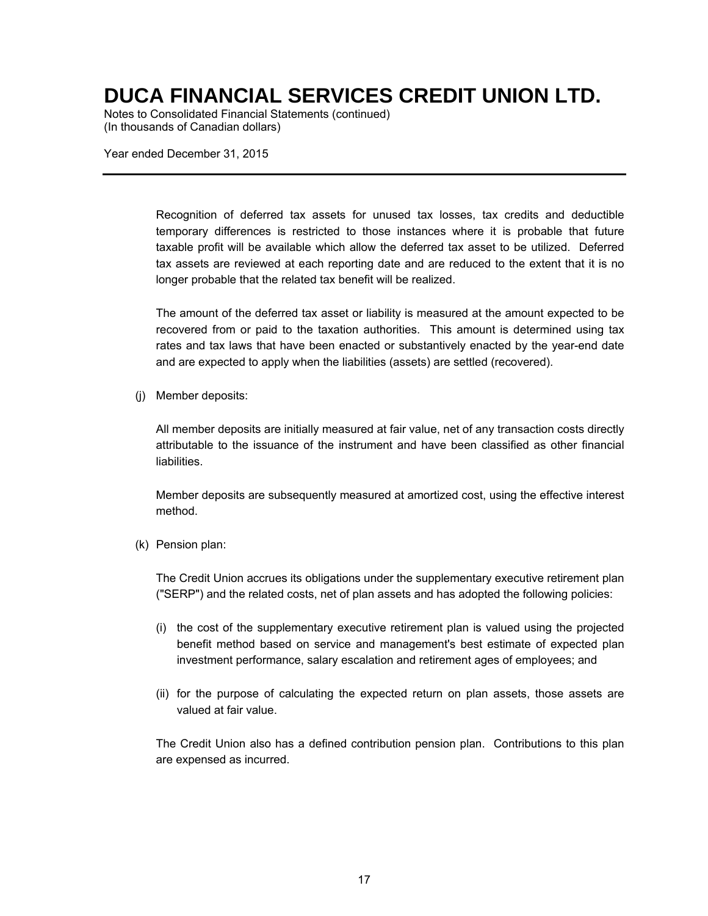Notes to Consolidated Financial Statements (continued) (In thousands of Canadian dollars)

Year ended December 31, 2015

Recognition of deferred tax assets for unused tax losses, tax credits and deductible temporary differences is restricted to those instances where it is probable that future taxable profit will be available which allow the deferred tax asset to be utilized. Deferred tax assets are reviewed at each reporting date and are reduced to the extent that it is no longer probable that the related tax benefit will be realized.

The amount of the deferred tax asset or liability is measured at the amount expected to be recovered from or paid to the taxation authorities. This amount is determined using tax rates and tax laws that have been enacted or substantively enacted by the year-end date and are expected to apply when the liabilities (assets) are settled (recovered).

(j) Member deposits:

All member deposits are initially measured at fair value, net of any transaction costs directly attributable to the issuance of the instrument and have been classified as other financial liabilities.

Member deposits are subsequently measured at amortized cost, using the effective interest method.

(k) Pension plan:

The Credit Union accrues its obligations under the supplementary executive retirement plan ("SERP") and the related costs, net of plan assets and has adopted the following policies:

- (i) the cost of the supplementary executive retirement plan is valued using the projected benefit method based on service and management's best estimate of expected plan investment performance, salary escalation and retirement ages of employees; and
- (ii) for the purpose of calculating the expected return on plan assets, those assets are valued at fair value.

The Credit Union also has a defined contribution pension plan. Contributions to this plan are expensed as incurred.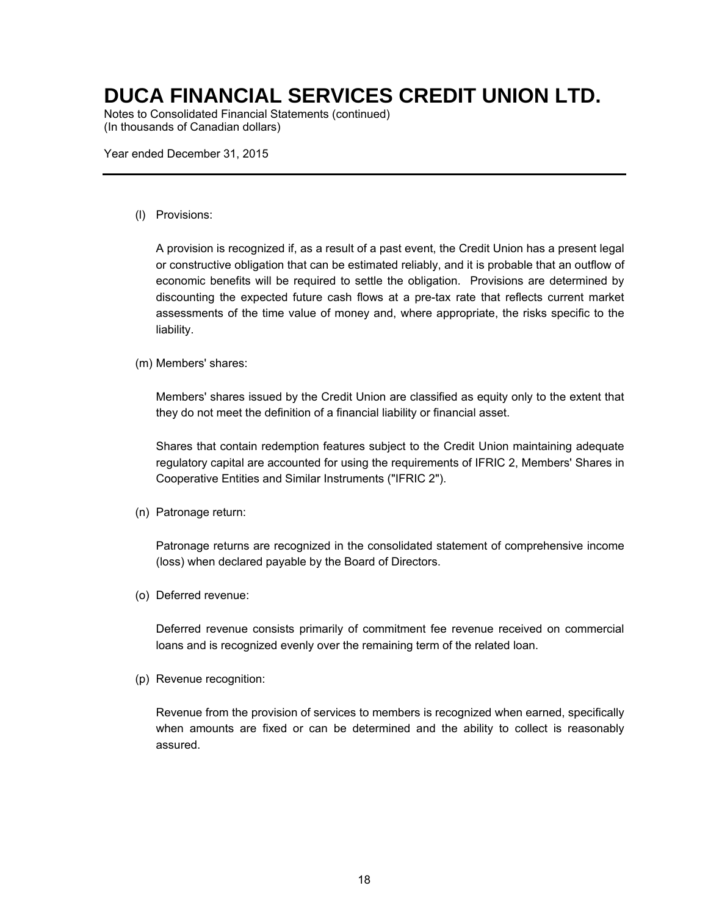Notes to Consolidated Financial Statements (continued) (In thousands of Canadian dollars)

Year ended December 31, 2015

(l) Provisions:

A provision is recognized if, as a result of a past event, the Credit Union has a present legal or constructive obligation that can be estimated reliably, and it is probable that an outflow of economic benefits will be required to settle the obligation. Provisions are determined by discounting the expected future cash flows at a pre-tax rate that reflects current market assessments of the time value of money and, where appropriate, the risks specific to the liability.

(m) Members' shares:

Members' shares issued by the Credit Union are classified as equity only to the extent that they do not meet the definition of a financial liability or financial asset.

Shares that contain redemption features subject to the Credit Union maintaining adequate regulatory capital are accounted for using the requirements of IFRIC 2, Members' Shares in Cooperative Entities and Similar Instruments ("IFRIC 2").

(n) Patronage return:

Patronage returns are recognized in the consolidated statement of comprehensive income (loss) when declared payable by the Board of Directors.

(o) Deferred revenue:

Deferred revenue consists primarily of commitment fee revenue received on commercial loans and is recognized evenly over the remaining term of the related loan.

(p) Revenue recognition:

Revenue from the provision of services to members is recognized when earned, specifically when amounts are fixed or can be determined and the ability to collect is reasonably assured.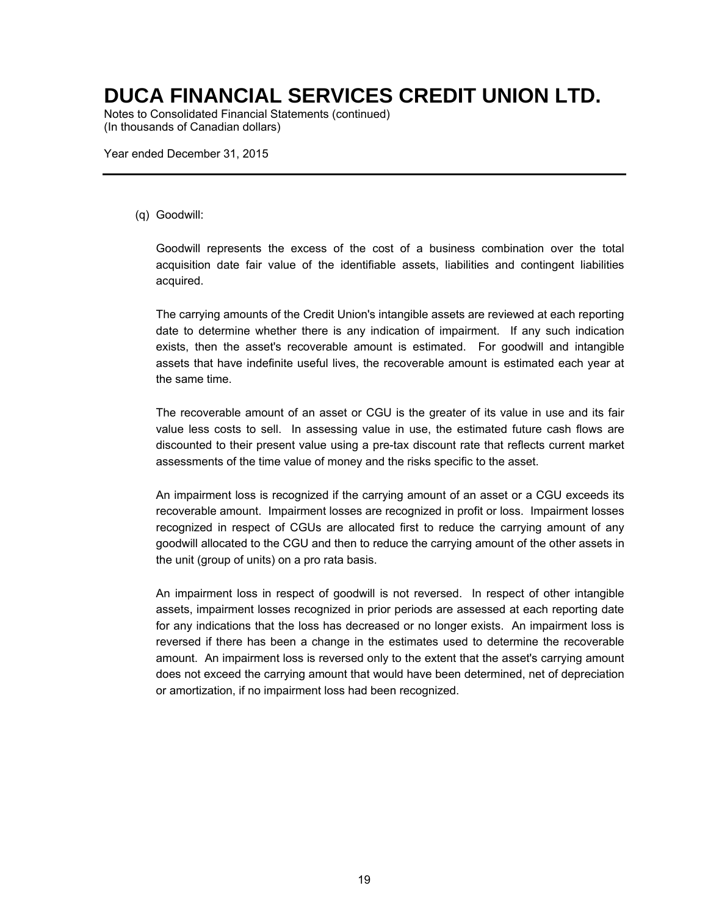Notes to Consolidated Financial Statements (continued) (In thousands of Canadian dollars)

Year ended December 31, 2015

#### (q) Goodwill:

Goodwill represents the excess of the cost of a business combination over the total acquisition date fair value of the identifiable assets, liabilities and contingent liabilities acquired.

The carrying amounts of the Credit Union's intangible assets are reviewed at each reporting date to determine whether there is any indication of impairment. If any such indication exists, then the asset's recoverable amount is estimated. For goodwill and intangible assets that have indefinite useful lives, the recoverable amount is estimated each year at the same time.

The recoverable amount of an asset or CGU is the greater of its value in use and its fair value less costs to sell. In assessing value in use, the estimated future cash flows are discounted to their present value using a pre-tax discount rate that reflects current market assessments of the time value of money and the risks specific to the asset.

An impairment loss is recognized if the carrying amount of an asset or a CGU exceeds its recoverable amount. Impairment losses are recognized in profit or loss. Impairment losses recognized in respect of CGUs are allocated first to reduce the carrying amount of any goodwill allocated to the CGU and then to reduce the carrying amount of the other assets in the unit (group of units) on a pro rata basis.

An impairment loss in respect of goodwill is not reversed. In respect of other intangible assets, impairment losses recognized in prior periods are assessed at each reporting date for any indications that the loss has decreased or no longer exists. An impairment loss is reversed if there has been a change in the estimates used to determine the recoverable amount. An impairment loss is reversed only to the extent that the asset's carrying amount does not exceed the carrying amount that would have been determined, net of depreciation or amortization, if no impairment loss had been recognized.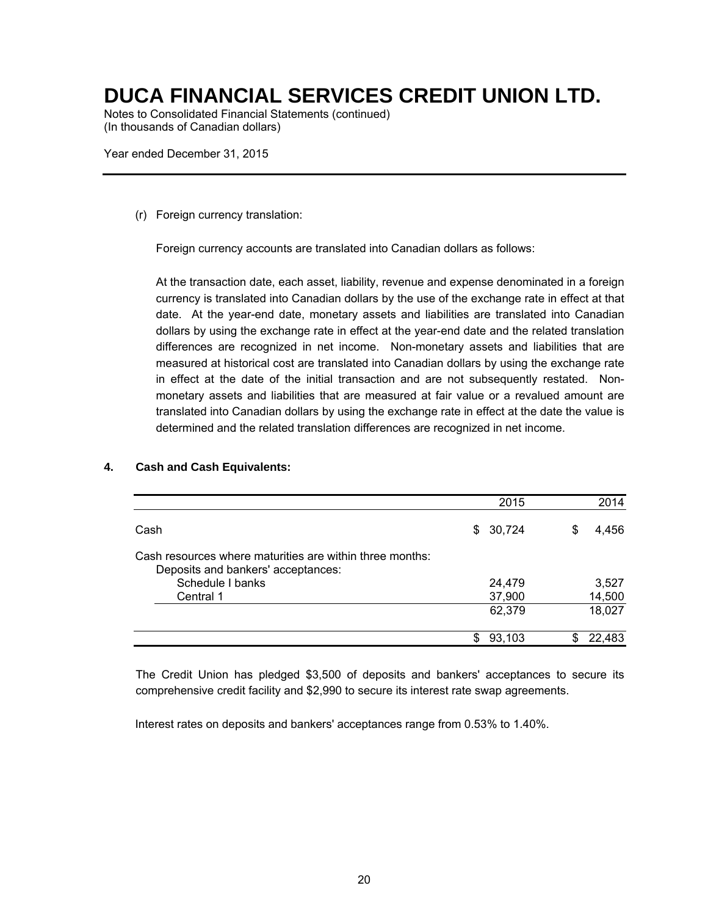Notes to Consolidated Financial Statements (continued) (In thousands of Canadian dollars)

Year ended December 31, 2015

(r) Foreign currency translation:

Foreign currency accounts are translated into Canadian dollars as follows:

At the transaction date, each asset, liability, revenue and expense denominated in a foreign currency is translated into Canadian dollars by the use of the exchange rate in effect at that date. At the year-end date, monetary assets and liabilities are translated into Canadian dollars by using the exchange rate in effect at the year-end date and the related translation differences are recognized in net income. Non-monetary assets and liabilities that are measured at historical cost are translated into Canadian dollars by using the exchange rate in effect at the date of the initial transaction and are not subsequently restated. Nonmonetary assets and liabilities that are measured at fair value or a revalued amount are translated into Canadian dollars by using the exchange rate in effect at the date the value is determined and the related translation differences are recognized in net income.

|                                                                                                | 2015         |   | 2014   |
|------------------------------------------------------------------------------------------------|--------------|---|--------|
| Cash                                                                                           | \$30,724     | S | 4,456  |
| Cash resources where maturities are within three months:<br>Deposits and bankers' acceptances: |              |   |        |
| Schedule I banks                                                                               | 24,479       |   | 3,527  |
| Central 1                                                                                      | 37,900       |   | 14,500 |
|                                                                                                | 62,379       |   | 18,027 |
|                                                                                                | \$<br>93,103 |   | 22.483 |

#### **4. Cash and Cash Equivalents:**

The Credit Union has pledged \$3,500 of deposits and bankers' acceptances to secure its comprehensive credit facility and \$2,990 to secure its interest rate swap agreements.

Interest rates on deposits and bankers' acceptances range from 0.53% to 1.40%.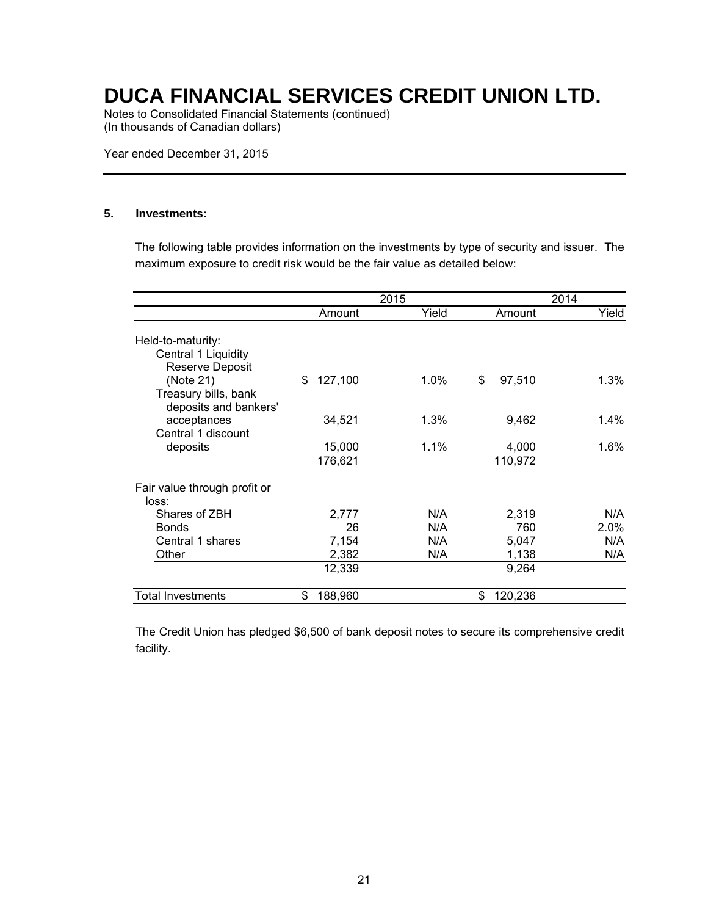Notes to Consolidated Financial Statements (continued) (In thousands of Canadian dollars)

Year ended December 31, 2015

#### **5. Investments:**

The following table provides information on the investments by type of security and issuer. The maximum exposure to credit risk would be the fair value as detailed below:

|                                                                                      |               | 2015    |               | 2014    |
|--------------------------------------------------------------------------------------|---------------|---------|---------------|---------|
|                                                                                      | Amount        | Yield   | Amount        | Yield   |
| Held-to-maturity:<br>Central 1 Liquidity                                             |               |         |               |         |
| <b>Reserve Deposit</b><br>(Note 21)<br>Treasury bills, bank<br>deposits and bankers' | \$<br>127,100 | $1.0\%$ | \$<br>97,510  | 1.3%    |
| acceptances<br>Central 1 discount                                                    | 34,521        | 1.3%    | 9,462         | $1.4\%$ |
| deposits                                                                             | 15,000        | $1.1\%$ | 4,000         | $1.6\%$ |
|                                                                                      | 176,621       |         | 110,972       |         |
| Fair value through profit or<br>loss:                                                |               |         |               |         |
| Shares of ZBH                                                                        | 2,777         | N/A     | 2,319         | N/A     |
| <b>Bonds</b>                                                                         | 26            | N/A     | 760           | 2.0%    |
| Central 1 shares                                                                     | 7,154         | N/A     | 5,047         | N/A     |
| Other                                                                                | 2,382         | N/A     | 1,138         | N/A     |
|                                                                                      | 12,339        |         | 9,264         |         |
| <b>Total Investments</b>                                                             | \$<br>188,960 |         | 120,236<br>\$ |         |

The Credit Union has pledged \$6,500 of bank deposit notes to secure its comprehensive credit facility.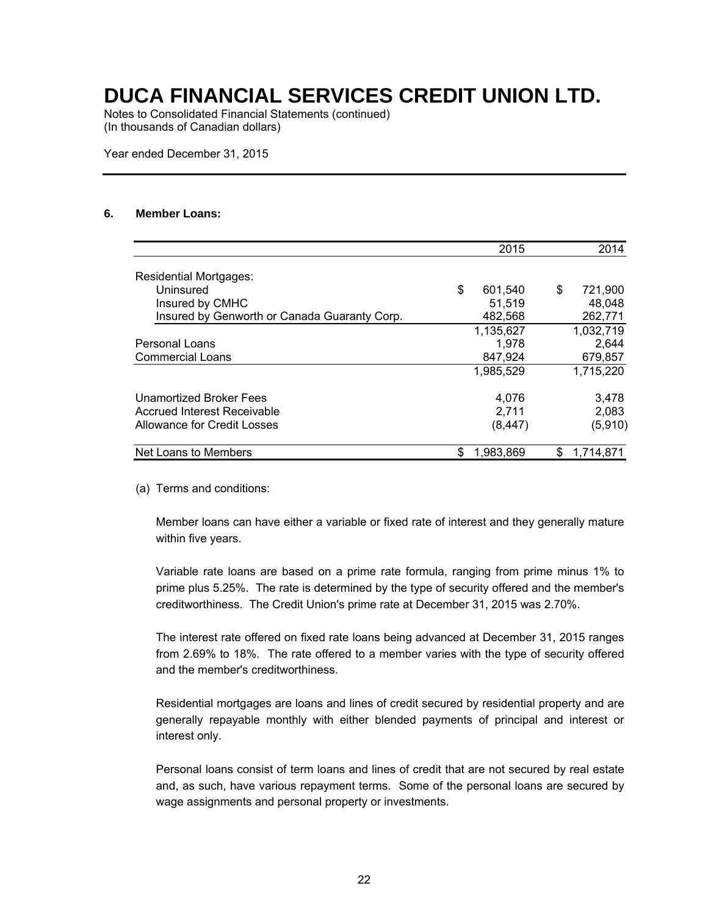Notes to Consolidated Financial Statements (continued) (In thousands of Canadian dollars)

Year ended December 31, 2015

#### **6. Member Loans:**

|                                              | 2015          |    | 2014      |
|----------------------------------------------|---------------|----|-----------|
| <b>Residential Mortgages:</b>                |               |    |           |
| Uninsured                                    | \$<br>601,540 | \$ | 721,900   |
| Insured by CMHC                              | 51.519        |    | 48.048    |
| Insured by Genworth or Canada Guaranty Corp. | 482,568       |    | 262,771   |
|                                              | 1,135,627     |    | 1,032,719 |
| Personal Loans                               | 1.978         |    | 2,644     |
| <b>Commercial Loans</b>                      | 847,924       |    | 679,857   |
|                                              | 1,985,529     |    | 1,715,220 |
| Unamortized Broker Fees                      | 4,076         |    | 3,478     |
| Accrued Interest Receivable                  | 2,711         |    | 2,083     |
| Allowance for Credit Losses                  | (8, 447)      |    | (5,910)   |
| Net Loans to Members                         | 1,983,869     | S. | 1.714.871 |

(a) Terms and conditions:

Member loans can have either a variable or fixed rate of interest and they generally mature within five years.

Variable rate loans are based on a prime rate formula, ranging from prime minus 1% to prime plus 5.25%. The rate is determined by the type of security offered and the member's creditworthiness. The Credit Union's prime rate at December 31, 2015 was 2.70%.

The interest rate offered on fixed rate loans being advanced at December 31, 2015 ranges from 2.69% to 18%. The rate offered to a member varies with the type of security offered and the member's creditworthiness.

Residential mortgages are loans and lines of credit secured by residential property and are generally repayable monthly with either blended payments of principal and interest or interest only.

Personal loans consist of term loans and lines of credit that are not secured by real estate and, as such, have various repayment terms. Some of the personal loans are secured by wage assignments and personal property or investments.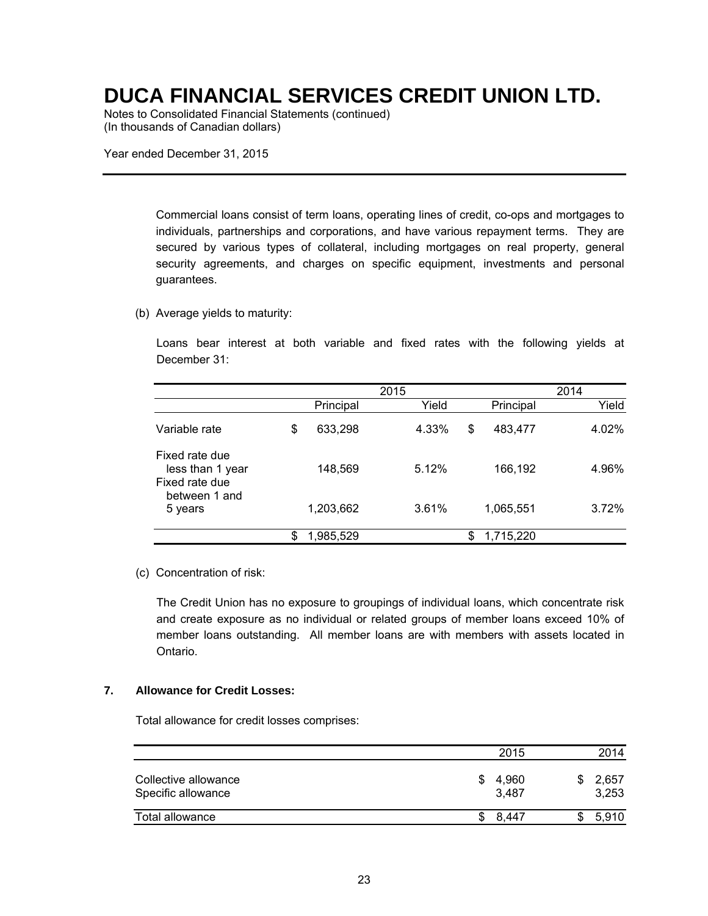Notes to Consolidated Financial Statements (continued) (In thousands of Canadian dollars)

Year ended December 31, 2015

Commercial loans consist of term loans, operating lines of credit, co-ops and mortgages to individuals, partnerships and corporations, and have various repayment terms. They are secured by various types of collateral, including mortgages on real property, general security agreements, and charges on specific equipment, investments and personal guarantees.

#### (b) Average yields to maturity:

Loans bear interest at both variable and fixed rates with the following yields at December 31:

|                                                      |                 | 2014  |                 |       |
|------------------------------------------------------|-----------------|-------|-----------------|-------|
|                                                      | Principal       | Yield | Principal       | Yield |
| Variable rate                                        | \$<br>633,298   | 4.33% | \$<br>483,477   | 4.02% |
| Fixed rate due<br>less than 1 year<br>Fixed rate due | 148,569         | 5.12% | 166,192         | 4.96% |
| between 1 and<br>5 years                             | 1,203,662       | 3.61% | 1,065,551       | 3.72% |
|                                                      | \$<br>1,985,529 |       | \$<br>1,715,220 |       |

(c) Concentration of risk:

The Credit Union has no exposure to groupings of individual loans, which concentrate risk and create exposure as no individual or related groups of member loans exceed 10% of member loans outstanding. All member loans are with members with assets located in Ontario.

#### **7. Allowance for Credit Losses:**

Total allowance for credit losses comprises:

|                                            |    | 2015           | 2014           |
|--------------------------------------------|----|----------------|----------------|
| Collective allowance<br>Specific allowance | S. | 4,960<br>3,487 | 2,657<br>3,253 |
| Total allowance                            |    | \$ 8.447       | 5,910          |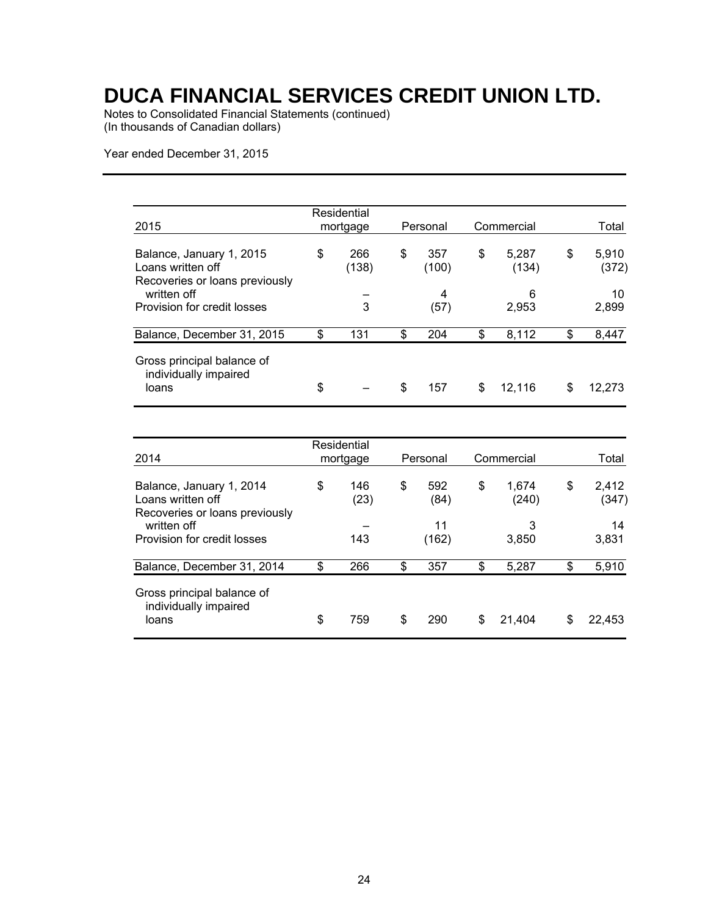Notes to Consolidated Financial Statements (continued) (In thousands of Canadian dollars)

Year ended December 31, 2015

| 2015                                                                            | Residential<br>mortgage | Personal           | Commercial           | Total                |
|---------------------------------------------------------------------------------|-------------------------|--------------------|----------------------|----------------------|
| Balance, January 1, 2015<br>Loans written off<br>Recoveries or loans previously | \$<br>266<br>(138)      | \$<br>357<br>(100) | \$<br>5,287<br>(134) | \$<br>5.910<br>(372) |
| written off<br>Provision for credit losses                                      | 3                       | 4<br>(57)          | 6<br>2,953           | 10<br>2,899          |
| Balance, December 31, 2015                                                      | \$<br>131               | \$<br>204          | \$<br>8,112          | \$<br>8,447          |
| Gross principal balance of<br>individually impaired<br>loans                    | \$                      | \$<br>157          | \$<br>12,116         | \$<br>12.273         |

|                                                                                 | Residential       |                   |                      |                      |
|---------------------------------------------------------------------------------|-------------------|-------------------|----------------------|----------------------|
| 2014                                                                            | mortgage          | Personal          | Commercial           | Total                |
| Balance, January 1, 2014<br>Loans written off<br>Recoveries or loans previously | \$<br>146<br>(23) | \$<br>592<br>(84) | \$<br>1.674<br>(240) | \$<br>2.412<br>(347) |
| written off<br>Provision for credit losses                                      | 143               | 11<br>(162)       | 3<br>3,850           | 14<br>3,831          |
| Balance, December 31, 2014                                                      | \$<br>266         | \$<br>357         | \$<br>5,287          | \$<br>5,910          |
| Gross principal balance of<br>individually impaired<br>loans                    | \$<br>759         | \$<br>290         | \$<br>21.404         | \$<br>22,453         |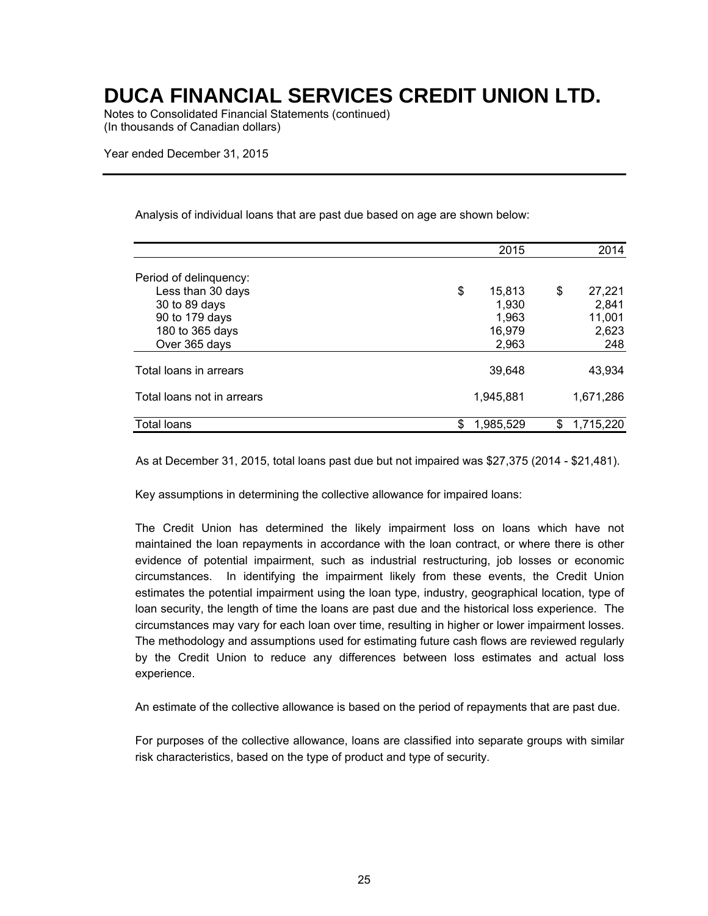Notes to Consolidated Financial Statements (continued) (In thousands of Canadian dollars)

Year ended December 31, 2015

Analysis of individual loans that are past due based on age are shown below:

|                            | 2015            | 2014            |
|----------------------------|-----------------|-----------------|
| Period of delinquency:     |                 |                 |
| Less than 30 days          | \$<br>15,813    | \$<br>27,221    |
| 30 to 89 days              | 1,930           | 2,841           |
| 90 to 179 days             | 1,963           | 11,001          |
| 180 to 365 days            | 16,979          | 2,623           |
| Over 365 days              | 2,963           | 248             |
| Total loans in arrears     | 39,648          | 43,934          |
| Total loans not in arrears | 1,945,881       | 1,671,286       |
| Total loans                | \$<br>1.985.529 | \$<br>1,715,220 |

As at December 31, 2015, total loans past due but not impaired was \$27,375 (2014 - \$21,481).

Key assumptions in determining the collective allowance for impaired loans:

The Credit Union has determined the likely impairment loss on loans which have not maintained the loan repayments in accordance with the loan contract, or where there is other evidence of potential impairment, such as industrial restructuring, job losses or economic circumstances. In identifying the impairment likely from these events, the Credit Union estimates the potential impairment using the loan type, industry, geographical location, type of loan security, the length of time the loans are past due and the historical loss experience. The circumstances may vary for each loan over time, resulting in higher or lower impairment losses. The methodology and assumptions used for estimating future cash flows are reviewed regularly by the Credit Union to reduce any differences between loss estimates and actual loss experience.

An estimate of the collective allowance is based on the period of repayments that are past due.

For purposes of the collective allowance, loans are classified into separate groups with similar risk characteristics, based on the type of product and type of security.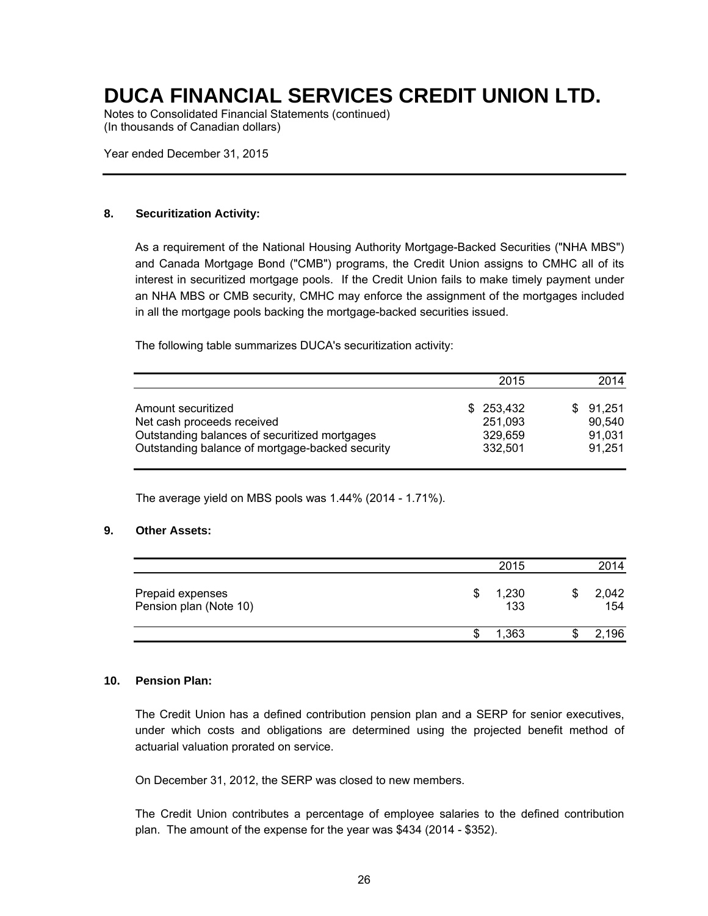Notes to Consolidated Financial Statements (continued) (In thousands of Canadian dollars)

Year ended December 31, 2015

#### **8. Securitization Activity:**

As a requirement of the National Housing Authority Mortgage-Backed Securities ("NHA MBS") and Canada Mortgage Bond ("CMB") programs, the Credit Union assigns to CMHC all of its interest in securitized mortgage pools. If the Credit Union fails to make timely payment under an NHA MBS or CMB security, CMHC may enforce the assignment of the mortgages included in all the mortgage pools backing the mortgage-backed securities issued.

The following table summarizes DUCA's securitization activity:

|                                                 | 2015       | 2014     |
|-------------------------------------------------|------------|----------|
| Amount securitized                              | \$ 253.432 | \$91.251 |
| Net cash proceeds received                      | 251,093    | 90.540   |
| Outstanding balances of securitized mortgages   | 329.659    | 91.031   |
| Outstanding balance of mortgage-backed security | 332,501    | 91.251   |

The average yield on MBS pools was 1.44% (2014 - 1.71%).

#### **9. Other Assets:**

|                                            | 2015         |   | 2014         |
|--------------------------------------------|--------------|---|--------------|
| Prepaid expenses<br>Pension plan (Note 10) | 1,230<br>133 |   | 2,042<br>154 |
|                                            | ,363         | D | 2.196        |

#### **10. Pension Plan:**

The Credit Union has a defined contribution pension plan and a SERP for senior executives, under which costs and obligations are determined using the projected benefit method of actuarial valuation prorated on service.

On December 31, 2012, the SERP was closed to new members.

The Credit Union contributes a percentage of employee salaries to the defined contribution plan. The amount of the expense for the year was \$434 (2014 - \$352).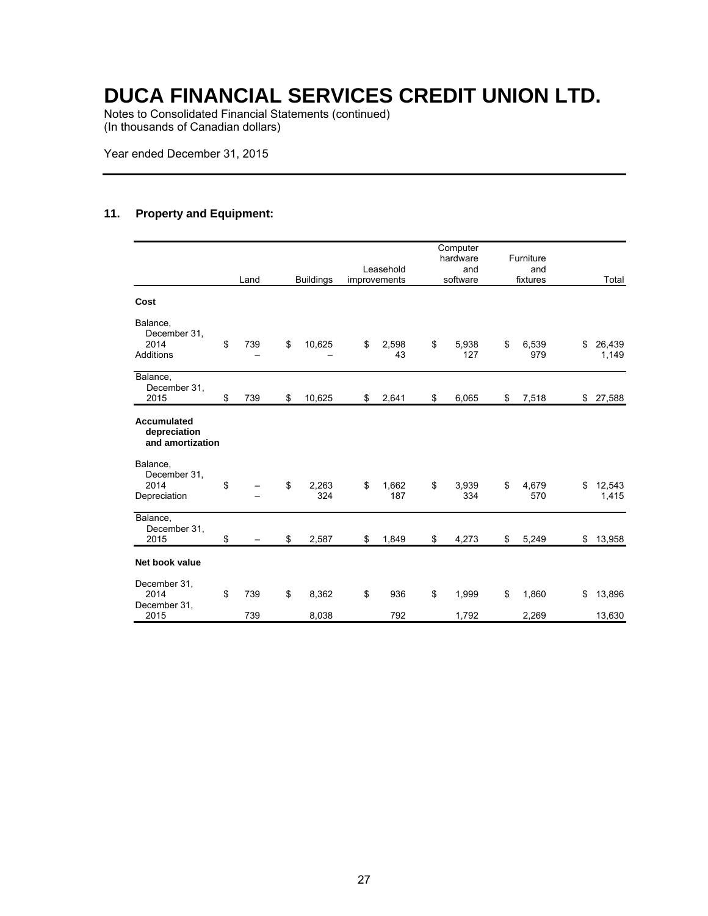Notes to Consolidated Financial Statements (continued) (In thousands of Canadian dollars)

Year ended December 31, 2015

#### **11. Property and Equipment:**

|                                                        | Land             | <b>Buildings</b>     | Leasehold<br>improvements | Computer<br>hardware<br>and<br>software | Furniture<br>and<br>fixtures | Total                  |
|--------------------------------------------------------|------------------|----------------------|---------------------------|-----------------------------------------|------------------------------|------------------------|
| Cost                                                   |                  |                      |                           |                                         |                              |                        |
| Balance,<br>December 31,<br>2014<br>Additions          | \$<br>739        | \$<br>10,625         | \$<br>2,598<br>43         | \$<br>5,938<br>127                      | \$<br>6,539<br>979           | \$<br>26,439<br>1,149  |
| Balance,<br>December 31,<br>2015                       | \$<br>739        | \$<br>10,625         | \$<br>2,641               | \$<br>6,065                             | \$<br>7,518                  | \$27,588               |
| <b>Accumulated</b><br>depreciation<br>and amortization |                  |                      |                           |                                         |                              |                        |
| Balance,<br>December 31.<br>2014<br>Depreciation       | \$               | \$<br>2,263<br>324   | \$<br>1,662<br>187        | \$<br>3.939<br>334                      | \$<br>4,679<br>570           | \$<br>12,543<br>1,415  |
| Balance,<br>December 31,<br>2015                       | \$               | \$<br>2,587          | \$<br>1,849               | \$<br>4,273                             | \$<br>5,249                  | \$<br>13,958           |
| Net book value                                         |                  |                      |                           |                                         |                              |                        |
| December 31.<br>2014<br>December 31.<br>2015           | \$<br>739<br>739 | \$<br>8,362<br>8,038 | \$<br>936<br>792          | \$<br>1,999<br>1,792                    | \$<br>1,860<br>2,269         | \$<br>13,896<br>13,630 |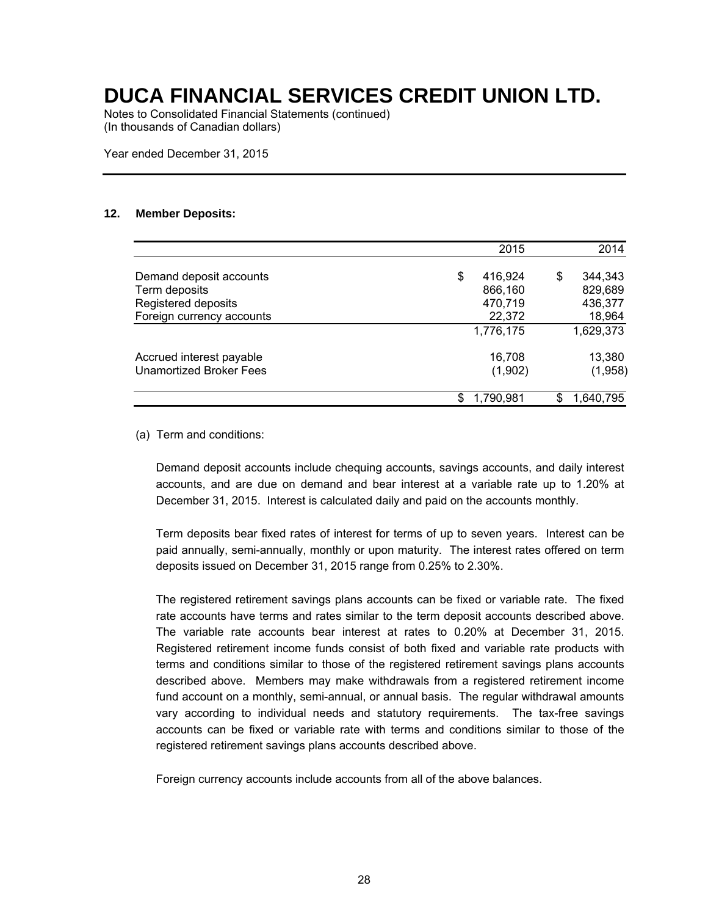Notes to Consolidated Financial Statements (continued) (In thousands of Canadian dollars)

Year ended December 31, 2015

#### **12. Member Deposits:**

|                                | 2015          | 2014            |
|--------------------------------|---------------|-----------------|
| Demand deposit accounts        | \$<br>416.924 | \$<br>344,343   |
| Term deposits                  | 866,160       | 829,689         |
| Registered deposits            | 470,719       | 436,377         |
| Foreign currency accounts      | 22,372        | 18,964          |
|                                | 1,776,175     | 1,629,373       |
| Accrued interest payable       | 16,708        | 13,380          |
| <b>Unamortized Broker Fees</b> | (1,902)       | (1,958)         |
|                                | 1,790,981     | \$<br>1,640,795 |

(a) Term and conditions:

Demand deposit accounts include chequing accounts, savings accounts, and daily interest accounts, and are due on demand and bear interest at a variable rate up to 1.20% at December 31, 2015. Interest is calculated daily and paid on the accounts monthly.

Term deposits bear fixed rates of interest for terms of up to seven years. Interest can be paid annually, semi-annually, monthly or upon maturity. The interest rates offered on term deposits issued on December 31, 2015 range from 0.25% to 2.30%.

The registered retirement savings plans accounts can be fixed or variable rate. The fixed rate accounts have terms and rates similar to the term deposit accounts described above. The variable rate accounts bear interest at rates to 0.20% at December 31, 2015. Registered retirement income funds consist of both fixed and variable rate products with terms and conditions similar to those of the registered retirement savings plans accounts described above. Members may make withdrawals from a registered retirement income fund account on a monthly, semi-annual, or annual basis. The regular withdrawal amounts vary according to individual needs and statutory requirements. The tax-free savings accounts can be fixed or variable rate with terms and conditions similar to those of the registered retirement savings plans accounts described above.

Foreign currency accounts include accounts from all of the above balances.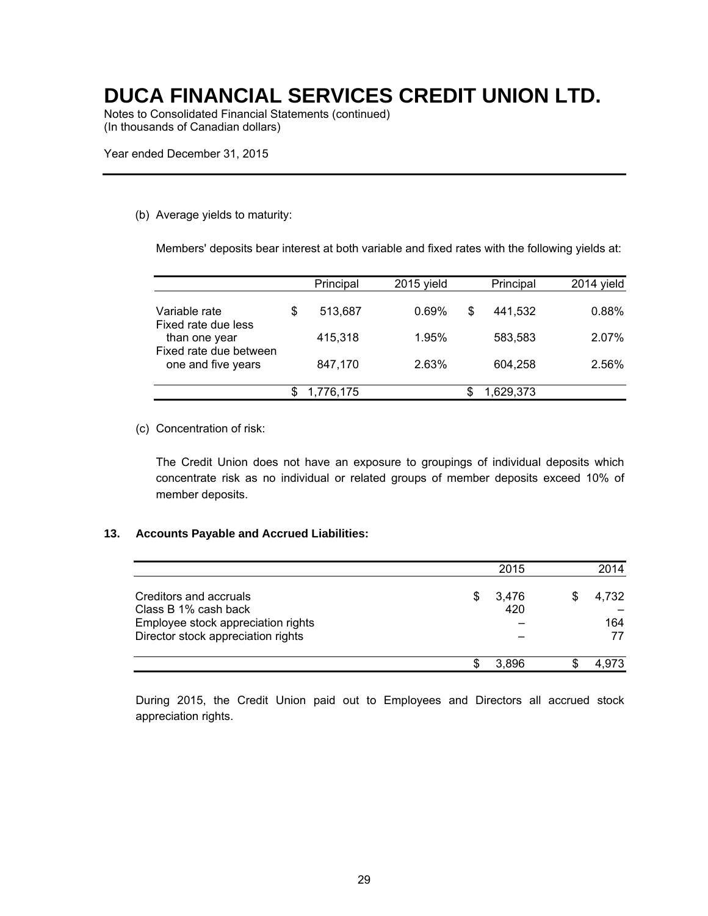Notes to Consolidated Financial Statements (continued) (In thousands of Canadian dollars)

Year ended December 31, 2015

#### (b) Average yields to maturity:

Members' deposits bear interest at both variable and fixed rates with the following yields at:

|                                                                                                       | Principal     | 2015 yield | Principal     | 2014 yield |
|-------------------------------------------------------------------------------------------------------|---------------|------------|---------------|------------|
| Variable rate<br>Fixed rate due less<br>than one year<br>Fixed rate due between<br>one and five years | \$<br>513,687 | 0.69%      | \$<br>441.532 | 0.88%      |
|                                                                                                       | 415,318       | 1.95%      | 583.583       | 2.07%      |
|                                                                                                       | 847,170       | 2.63%      | 604.258       | 2.56%      |
|                                                                                                       | 1,776,175     |            | 1.629.373     |            |

#### (c) Concentration of risk:

The Credit Union does not have an exposure to groupings of individual deposits which concentrate risk as no individual or related groups of member deposits exceed 10% of member deposits.

#### **13. Accounts Payable and Accrued Liabilities:**

|                                                                          |   | 2015         | 2014      |
|--------------------------------------------------------------------------|---|--------------|-----------|
| Creditors and accruals<br>Class B 1% cash back                           | S | 3,476<br>420 | 4.732     |
| Employee stock appreciation rights<br>Director stock appreciation rights |   |              | 164<br>77 |
|                                                                          |   | 3.896        | . 973.    |

During 2015, the Credit Union paid out to Employees and Directors all accrued stock appreciation rights.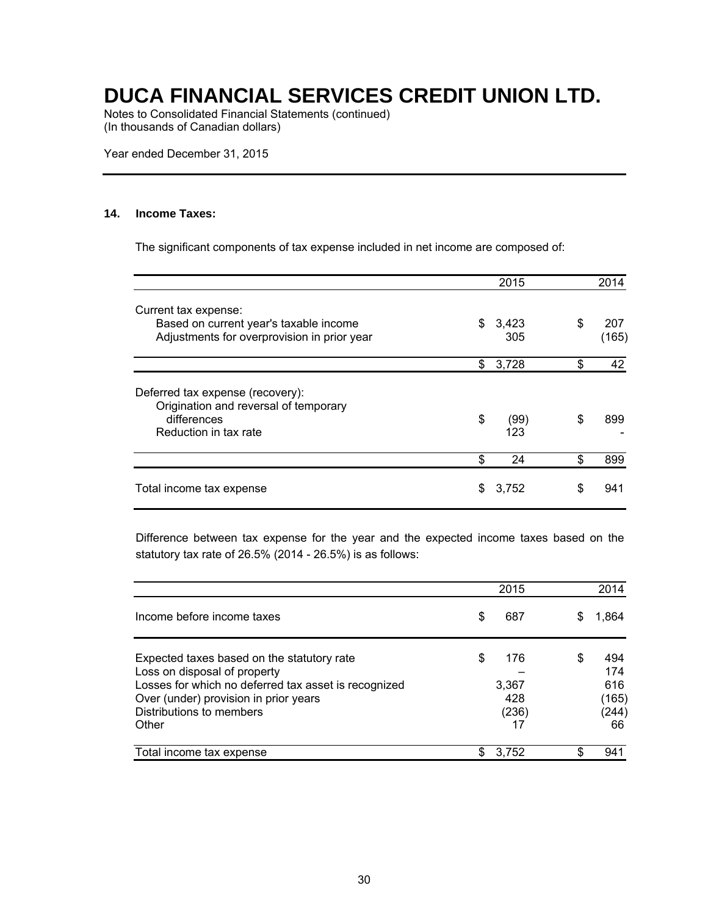Notes to Consolidated Financial Statements (continued) (In thousands of Canadian dollars)

Year ended December 31, 2015

#### **14. Income Taxes:**

The significant components of tax expense included in net income are composed of:

|                                                                                                                   |    | 2015         |    | 2014         |
|-------------------------------------------------------------------------------------------------------------------|----|--------------|----|--------------|
| Current tax expense:<br>Based on current year's taxable income<br>Adjustments for overprovision in prior year     | \$ | 3,423<br>305 | \$ | 207<br>(165) |
|                                                                                                                   | \$ | 3,728        | \$ | 42           |
| Deferred tax expense (recovery):<br>Origination and reversal of temporary<br>differences<br>Reduction in tax rate | \$ | (99)<br>123  | \$ | 899          |
|                                                                                                                   | \$ | 24           | S  | 899          |
| Total income tax expense                                                                                          | S  | 3,752        | S  | 941          |

Difference between tax expense for the year and the expected income taxes based on the statutory tax rate of 26.5% (2014 - 26.5%) is as follows:

|                                                                            |    | 2015        |   | 2014        |
|----------------------------------------------------------------------------|----|-------------|---|-------------|
| Income before income taxes                                                 | \$ | 687         |   | 1.864       |
| Expected taxes based on the statutory rate<br>Loss on disposal of property | \$ | 176         | S | 494<br>174  |
| Losses for which no deferred tax asset is recognized                       |    | 3,367       |   | 616         |
| Over (under) provision in prior years                                      |    | 428         |   | (165)       |
| Distributions to members<br>Other                                          |    | (236)<br>17 |   | (244)<br>66 |
| Total income tax expense                                                   | S  | 3,752       |   | 941         |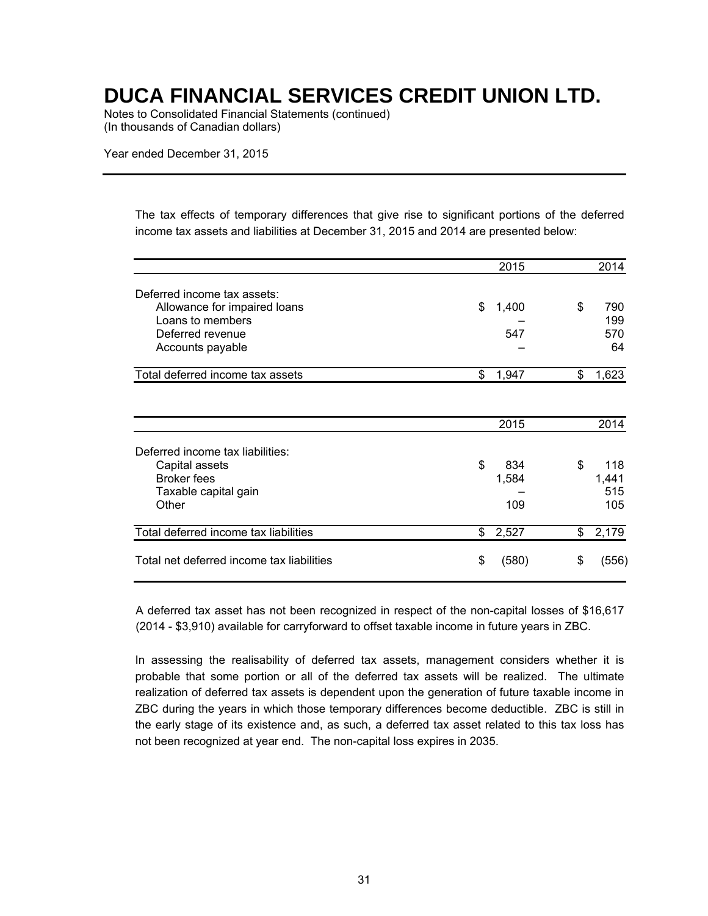Notes to Consolidated Financial Statements (continued) (In thousands of Canadian dollars)

Year ended December 31, 2015

The tax effects of temporary differences that give rise to significant portions of the deferred income tax assets and liabilities at December 31, 2015 and 2014 are presented below:

|                                           |                | 2015  | 2014        |
|-------------------------------------------|----------------|-------|-------------|
| Deferred income tax assets:               |                |       |             |
| Allowance for impaired loans              | \$             | 1,400 | \$<br>790   |
| Loans to members                          |                |       | 199         |
| Deferred revenue                          |                | 547   | 570         |
| Accounts payable                          |                |       | 64          |
| Total deferred income tax assets          | \$             | 1,947 | \$<br>1,623 |
|                                           |                |       |             |
|                                           |                | 2015  | 2014        |
| Deferred income tax liabilities:          |                |       |             |
| Capital assets                            | $\mathfrak{S}$ | 834   | \$<br>118   |
| <b>Broker fees</b>                        |                | 1,584 | 1,441       |
| Taxable capital gain                      |                |       | 515         |
| Other                                     |                | 109   | 105         |
| Total deferred income tax liabilities     | \$             | 2,527 | \$<br>2,179 |
| Total net deferred income tax liabilities | \$             | (580) | \$<br>(556) |

A deferred tax asset has not been recognized in respect of the non-capital losses of \$16,617 (2014 - \$3,910) available for carryforward to offset taxable income in future years in ZBC.

In assessing the realisability of deferred tax assets, management considers whether it is probable that some portion or all of the deferred tax assets will be realized. The ultimate realization of deferred tax assets is dependent upon the generation of future taxable income in ZBC during the years in which those temporary differences become deductible. ZBC is still in the early stage of its existence and, as such, a deferred tax asset related to this tax loss has not been recognized at year end. The non-capital loss expires in 2035.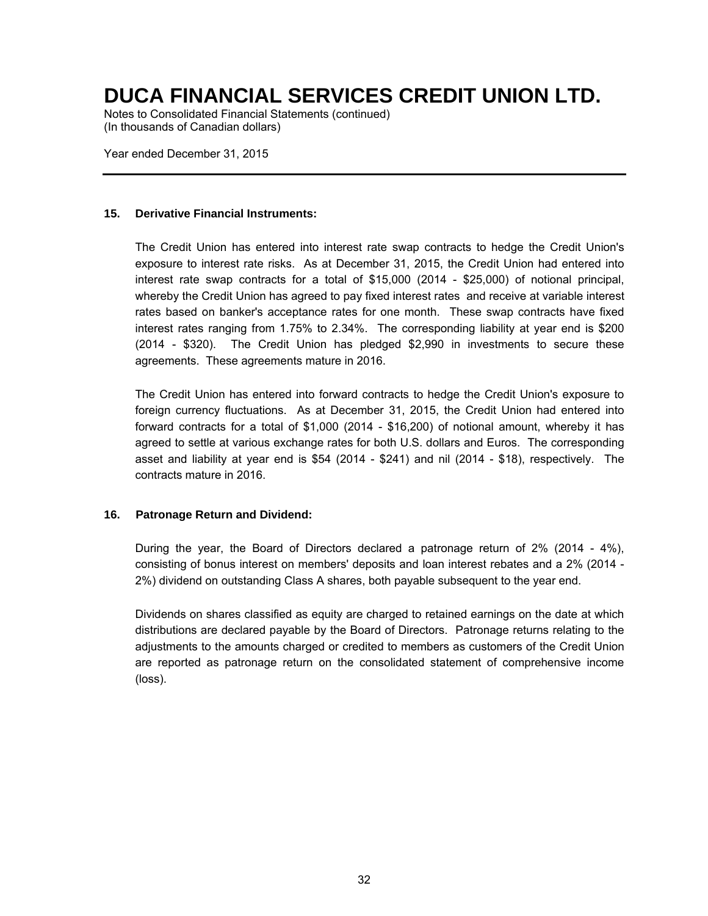Notes to Consolidated Financial Statements (continued) (In thousands of Canadian dollars)

Year ended December 31, 2015

#### **15. Derivative Financial Instruments:**

The Credit Union has entered into interest rate swap contracts to hedge the Credit Union's exposure to interest rate risks. As at December 31, 2015, the Credit Union had entered into interest rate swap contracts for a total of \$15,000 (2014 - \$25,000) of notional principal, whereby the Credit Union has agreed to pay fixed interest rates and receive at variable interest rates based on banker's acceptance rates for one month. These swap contracts have fixed interest rates ranging from 1.75% to 2.34%. The corresponding liability at year end is \$200 (2014 - \$320). The Credit Union has pledged \$2,990 in investments to secure these agreements. These agreements mature in 2016.

The Credit Union has entered into forward contracts to hedge the Credit Union's exposure to foreign currency fluctuations. As at December 31, 2015, the Credit Union had entered into forward contracts for a total of \$1,000 (2014 - \$16,200) of notional amount, whereby it has agreed to settle at various exchange rates for both U.S. dollars and Euros. The corresponding asset and liability at year end is \$54 (2014 - \$241) and nil (2014 - \$18), respectively. The contracts mature in 2016.

#### **16. Patronage Return and Dividend:**

During the year, the Board of Directors declared a patronage return of 2% (2014 - 4%), consisting of bonus interest on members' deposits and loan interest rebates and a 2% (2014 - 2%) dividend on outstanding Class A shares, both payable subsequent to the year end.

Dividends on shares classified as equity are charged to retained earnings on the date at which distributions are declared payable by the Board of Directors. Patronage returns relating to the adjustments to the amounts charged or credited to members as customers of the Credit Union are reported as patronage return on the consolidated statement of comprehensive income (loss).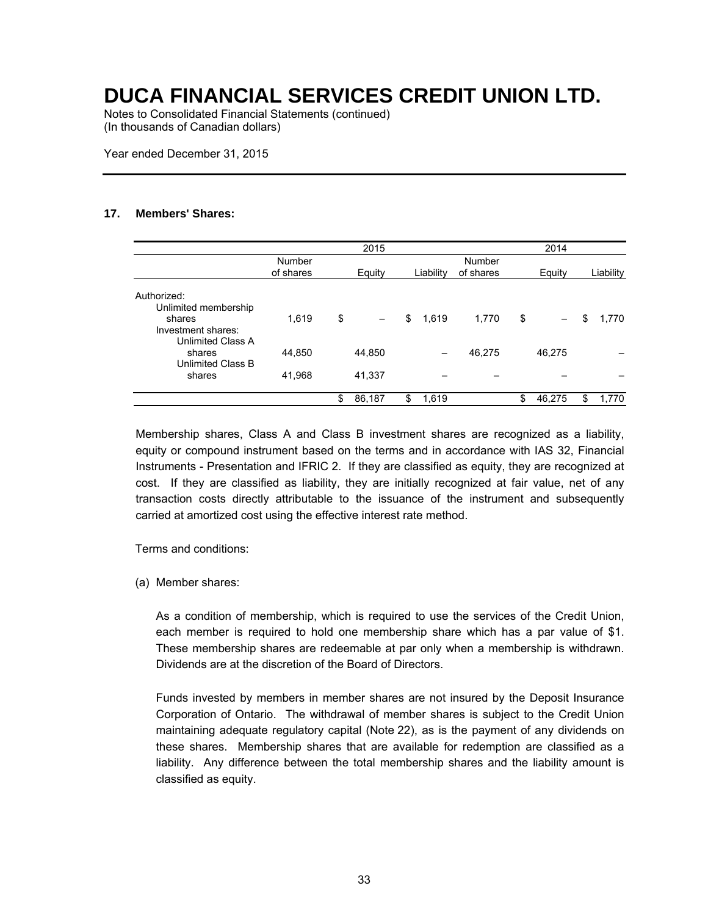Notes to Consolidated Financial Statements (continued) (In thousands of Canadian dollars)

Year ended December 31, 2015

#### **17. Members' Shares:**

|                                                                                          |                     | 2015                           |             |                     | 2014         |             |
|------------------------------------------------------------------------------------------|---------------------|--------------------------------|-------------|---------------------|--------------|-------------|
|                                                                                          | Number<br>of shares | Equity                         | Liability   | Number<br>of shares | Equity       | Liability   |
| Authorized:<br>Unlimited membership<br>shares<br>Investment shares:<br>Unlimited Class A | 1,619               | \$<br>$\overline{\phantom{0}}$ | \$<br>1,619 | 1,770               | \$           | \$<br>1,770 |
| shares<br>Unlimited Class B                                                              | 44,850              | 44,850                         |             | 46,275              | 46.275       |             |
| shares                                                                                   | 41,968              | 41,337                         |             |                     |              |             |
|                                                                                          |                     | \$<br>86,187                   | 1,619       |                     | \$<br>46,275 | \$<br>1,770 |

Membership shares, Class A and Class B investment shares are recognized as a liability, equity or compound instrument based on the terms and in accordance with IAS 32, Financial Instruments - Presentation and IFRIC 2. If they are classified as equity, they are recognized at cost. If they are classified as liability, they are initially recognized at fair value, net of any transaction costs directly attributable to the issuance of the instrument and subsequently carried at amortized cost using the effective interest rate method.

Terms and conditions:

(a) Member shares:

As a condition of membership, which is required to use the services of the Credit Union, each member is required to hold one membership share which has a par value of \$1. These membership shares are redeemable at par only when a membership is withdrawn. Dividends are at the discretion of the Board of Directors.

Funds invested by members in member shares are not insured by the Deposit Insurance Corporation of Ontario. The withdrawal of member shares is subject to the Credit Union maintaining adequate regulatory capital (Note 22), as is the payment of any dividends on these shares. Membership shares that are available for redemption are classified as a liability. Any difference between the total membership shares and the liability amount is classified as equity.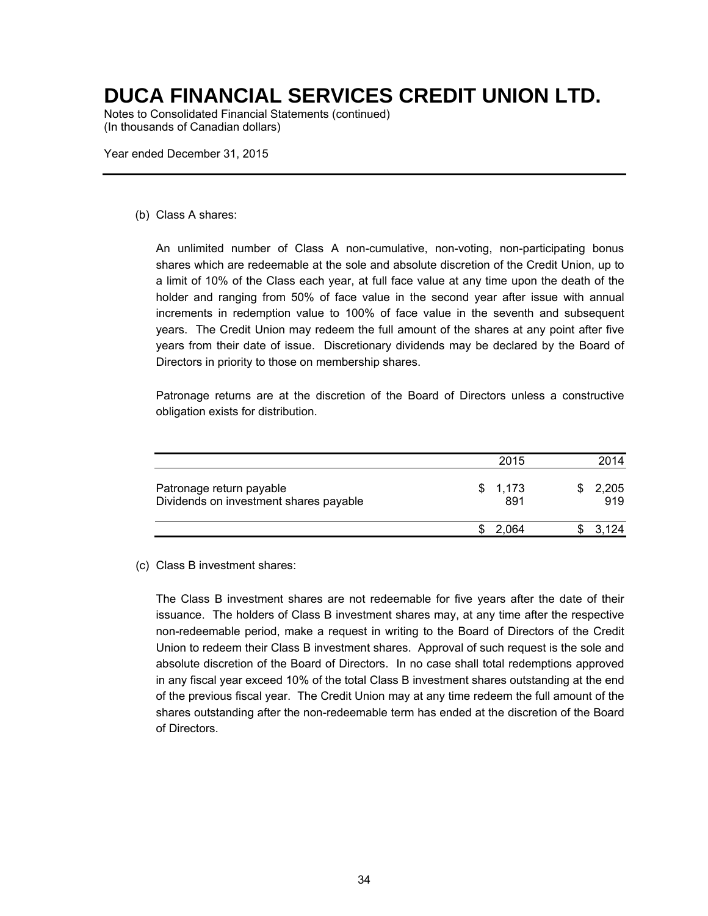Notes to Consolidated Financial Statements (continued) (In thousands of Canadian dollars)

Year ended December 31, 2015

#### (b) Class A shares:

An unlimited number of Class A non-cumulative, non-voting, non-participating bonus shares which are redeemable at the sole and absolute discretion of the Credit Union, up to a limit of 10% of the Class each year, at full face value at any time upon the death of the holder and ranging from 50% of face value in the second year after issue with annual increments in redemption value to 100% of face value in the seventh and subsequent years. The Credit Union may redeem the full amount of the shares at any point after five years from their date of issue. Discretionary dividends may be declared by the Board of Directors in priority to those on membership shares.

Patronage returns are at the discretion of the Board of Directors unless a constructive obligation exists for distribution.

|                                                                    | 2015           | 2014         |
|--------------------------------------------------------------------|----------------|--------------|
| Patronage return payable<br>Dividends on investment shares payable | \$1,173<br>891 | 2,205<br>919 |
|                                                                    | 2.064          | 3.124        |

#### (c) Class B investment shares:

The Class B investment shares are not redeemable for five years after the date of their issuance. The holders of Class B investment shares may, at any time after the respective non-redeemable period, make a request in writing to the Board of Directors of the Credit Union to redeem their Class B investment shares. Approval of such request is the sole and absolute discretion of the Board of Directors. In no case shall total redemptions approved in any fiscal year exceed 10% of the total Class B investment shares outstanding at the end of the previous fiscal year. The Credit Union may at any time redeem the full amount of the shares outstanding after the non-redeemable term has ended at the discretion of the Board of Directors.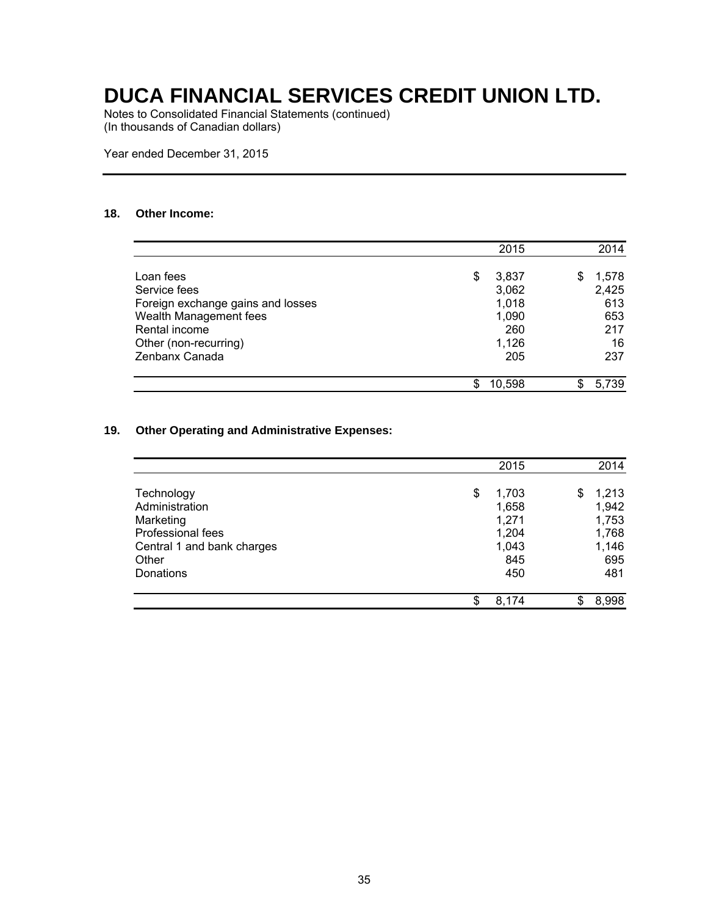Notes to Consolidated Financial Statements (continued) (In thousands of Canadian dollars)

Year ended December 31, 2015

#### **18. Other Income:**

|                                   |    | 2015   |   | 2014  |
|-----------------------------------|----|--------|---|-------|
| Loan fees                         | \$ | 3,837  | S | 1,578 |
| Service fees                      |    | 3,062  |   | 2,425 |
| Foreign exchange gains and losses |    | 1,018  |   | 613   |
| Wealth Management fees            |    | 1,090  |   | 653   |
| Rental income                     |    | 260    |   | 217   |
| Other (non-recurring)             |    | 1,126  |   | 16    |
| Zenbanx Canada                    |    | 205    |   | 237   |
|                                   | S  | 10,598 |   | 5,739 |

#### **19. Other Operating and Administrative Expenses:**

|                            | 2015        | 2014        |
|----------------------------|-------------|-------------|
| Technology                 | \$<br>1,703 | \$<br>1,213 |
| Administration             | 1,658       | 1,942       |
| Marketing                  | 1,271       | 1,753       |
| Professional fees          | 1,204       | 1,768       |
| Central 1 and bank charges | 1,043       | 1,146       |
| Other                      | 845         | 695         |
| Donations                  | 450         | 481         |
|                            | \$<br>8,174 | \$<br>8,998 |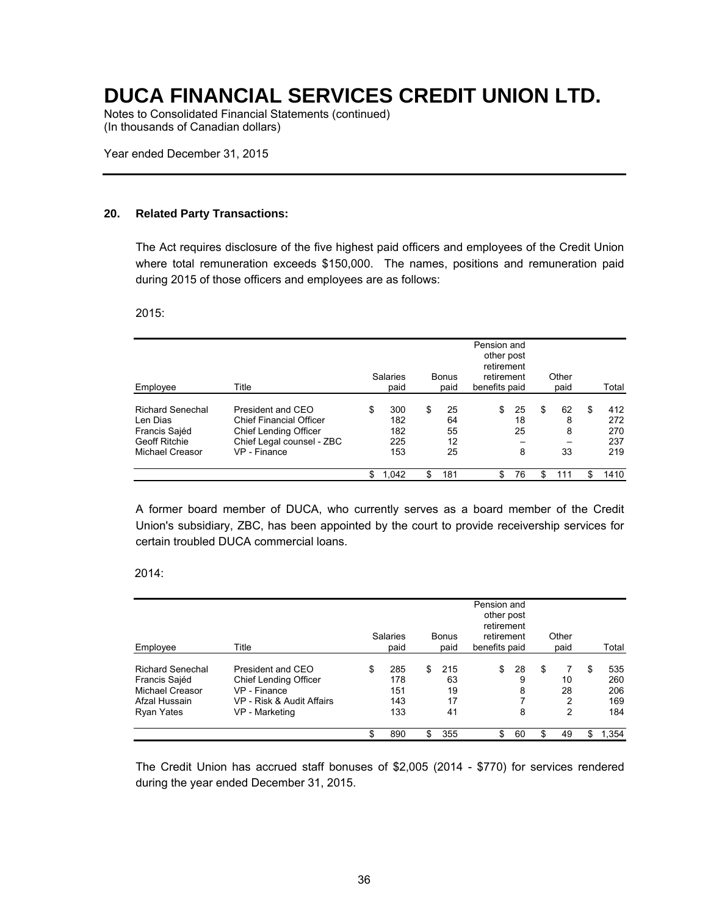Notes to Consolidated Financial Statements (continued) (In thousands of Canadian dollars)

Year ended December 31, 2015

#### **20. Related Party Transactions:**

The Act requires disclosure of the five highest paid officers and employees of the Credit Union where total remuneration exceeds \$150,000. The names, positions and remuneration paid during 2015 of those officers and employees are as follows:

2015:

| Employee                                                                                        | Title                                                                                                                            | Salaries<br>paid                      | <b>Bonus</b><br>paid             | Pension and<br>other post<br>retirement<br>retirement<br>benefits paid |                     | Other<br>paid            |    | Total                           |
|-------------------------------------------------------------------------------------------------|----------------------------------------------------------------------------------------------------------------------------------|---------------------------------------|----------------------------------|------------------------------------------------------------------------|---------------------|--------------------------|----|---------------------------------|
| <b>Richard Senechal</b><br>Len Dias<br>Francis Sajéd<br><b>Geoff Ritchie</b><br>Michael Creasor | President and CEO<br><b>Chief Financial Officer</b><br><b>Chief Lending Officer</b><br>Chief Legal counsel - ZBC<br>VP - Finance | \$<br>300<br>182<br>182<br>225<br>153 | \$<br>25<br>64<br>55<br>12<br>25 | \$                                                                     | 25<br>18<br>25<br>8 | \$<br>62<br>8<br>8<br>33 | £. | 412<br>272<br>270<br>237<br>219 |
|                                                                                                 |                                                                                                                                  | 1,042                                 | \$<br>181                        | \$                                                                     | 76                  | \$<br>111                | \$ | 1410                            |

A former board member of DUCA, who currently serves as a board member of the Credit Union's subsidiary, ZBC, has been appointed by the court to provide receivership services for certain troubled DUCA commercial loans.

2014:

| Employee<br><b>Richard Senechal</b><br>Francis Sajéd<br>Michael Creasor<br>Afzal Hussain<br>Ryan Yates | Title                                                                                                            | Salaries<br>paid                      | <b>Bonus</b><br>paid              | Pension and<br>other post<br>retirement<br>retirement<br>benefits paid |                   | Other<br>paid                 |    | Total                           |
|--------------------------------------------------------------------------------------------------------|------------------------------------------------------------------------------------------------------------------|---------------------------------------|-----------------------------------|------------------------------------------------------------------------|-------------------|-------------------------------|----|---------------------------------|
|                                                                                                        | President and CEO<br><b>Chief Lending Officer</b><br>VP - Finance<br>VP - Risk & Audit Affairs<br>VP - Marketing | \$<br>285<br>178<br>151<br>143<br>133 | \$<br>215<br>63<br>19<br>17<br>41 | \$                                                                     | 28<br>9<br>8<br>8 | \$<br>7<br>10<br>28<br>2<br>2 | S  | 535<br>260<br>206<br>169<br>184 |
|                                                                                                        |                                                                                                                  | \$<br>890                             | \$<br>355                         | \$                                                                     | 60                | \$<br>49                      | \$ | 1,354                           |

The Credit Union has accrued staff bonuses of \$2,005 (2014 - \$770) for services rendered during the year ended December 31, 2015.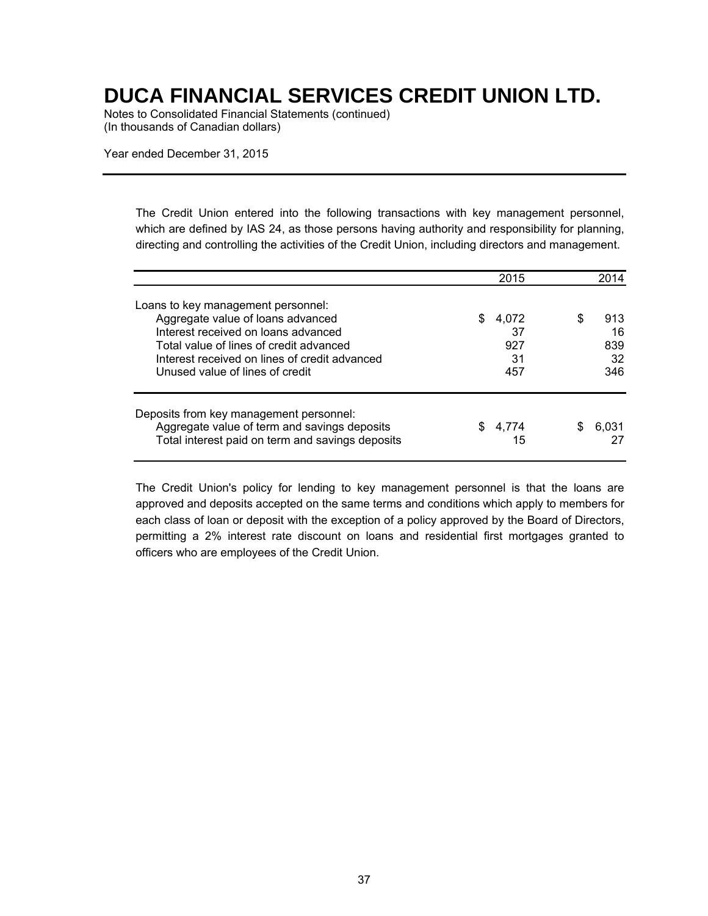Notes to Consolidated Financial Statements (continued) (In thousands of Canadian dollars)

Year ended December 31, 2015

The Credit Union entered into the following transactions with key management personnel, which are defined by IAS 24, as those persons having authority and responsibility for planning, directing and controlling the activities of the Credit Union, including directors and management.

|                                                                                                                                                                                                                                               | 2015                                   | 2014                               |
|-----------------------------------------------------------------------------------------------------------------------------------------------------------------------------------------------------------------------------------------------|----------------------------------------|------------------------------------|
| Loans to key management personnel:<br>Aggregate value of loans advanced<br>Interest received on loans advanced<br>Total value of lines of credit advanced<br>Interest received on lines of credit advanced<br>Unused value of lines of credit | \$.<br>4,072<br>37<br>927<br>31<br>457 | S<br>913<br>16<br>839<br>32<br>346 |
| Deposits from key management personnel:<br>Aggregate value of term and savings deposits<br>Total interest paid on term and savings deposits                                                                                                   | 4.774<br>15                            | S<br>6.031                         |

The Credit Union's policy for lending to key management personnel is that the loans are approved and deposits accepted on the same terms and conditions which apply to members for each class of loan or deposit with the exception of a policy approved by the Board of Directors, permitting a 2% interest rate discount on loans and residential first mortgages granted to officers who are employees of the Credit Union.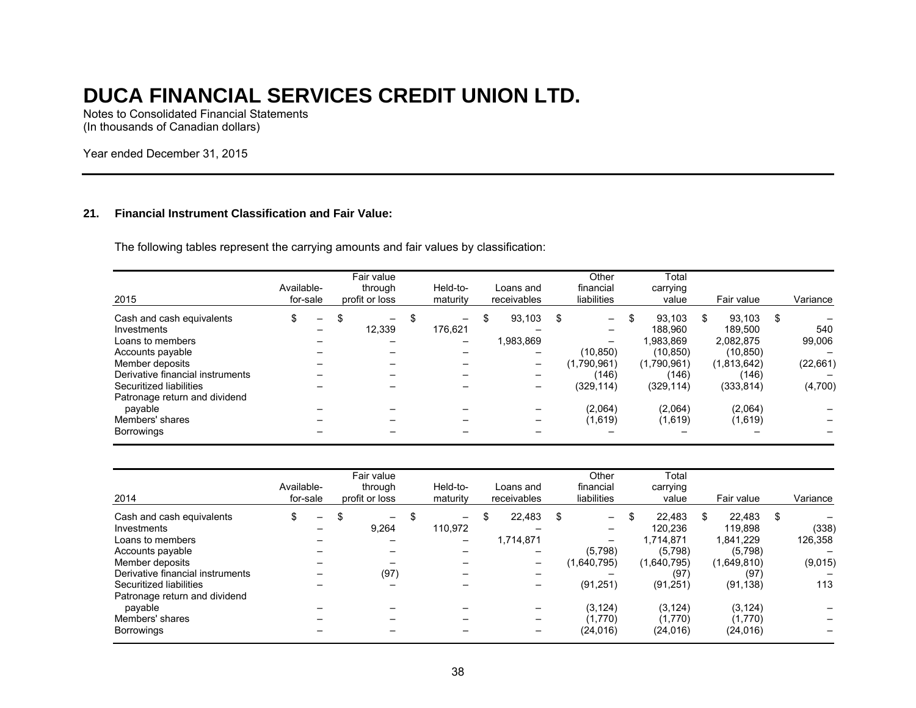Notes to Consolidated Financial Statements (In thousands of Canadian dollars)

Year ended December 31, 2015

#### **21. Financial Instrument Classification and Fair Value:**

The following tables represent the carrying amounts and fair values by classification:

| 2015                             | Available-<br>for-sale |   |   | Fair value<br>through<br>profit or loss |    | Held-to-<br>maturity | Loans and<br>receivables |           | Other<br>financial<br>liabilities |                          | Total<br>carrying<br>value |             | Fair value |             |    | Variance  |
|----------------------------------|------------------------|---|---|-----------------------------------------|----|----------------------|--------------------------|-----------|-----------------------------------|--------------------------|----------------------------|-------------|------------|-------------|----|-----------|
| Cash and cash equivalents        |                        | — | S | -                                       | -S | —                    | \$                       | 93.103    | \$                                | $\overline{\phantom{0}}$ | \$                         | 93.103      | S          | 93.103      | -S |           |
| Investments                      |                        | - |   | 12,339                                  |    | 176.621              |                          |           |                                   | -                        |                            | 188.960     |            | 189.500     |    | 540       |
| Loans to members                 |                        |   |   |                                         |    | -                    |                          | 1,983,869 |                                   | -                        |                            | 1.983.869   |            | 2.082.875   |    | 99,006    |
| Accounts payable                 |                        |   |   |                                         |    |                      |                          |           |                                   | (10, 850)                |                            | (10, 850)   |            | (10, 850)   |    |           |
| Member deposits                  |                        |   |   |                                         |    |                      |                          |           |                                   | (1.790.961)              |                            | (1,790,961) |            | (1,813,642) |    | (22, 661) |
| Derivative financial instruments |                        |   |   |                                         |    |                      |                          |           |                                   | (146)                    |                            | (146)       |            | (146)       |    |           |
| Securitized liabilities          |                        |   |   |                                         |    |                      |                          |           |                                   | (329, 114)               |                            | (329, 114)  |            | (333, 814)  |    | (4,700)   |
| Patronage return and dividend    |                        |   |   |                                         |    |                      |                          |           |                                   |                          |                            |             |            |             |    |           |
| payable                          |                        |   |   |                                         |    |                      |                          |           |                                   | (2,064)                  |                            | (2,064)     |            | (2.064)     |    |           |
| Members' shares                  |                        |   |   |                                         |    |                      |                          |           |                                   | (1,619)                  |                            | (1,619)     |            | (1,619)     |    |           |
| <b>Borrowings</b>                |                        |   |   |                                         |    |                      |                          |           |                                   |                          |                            |             |            |             |    |           |

| 2014                                                                                                                                                                                                | Available- | for-sale | Fair value<br>through<br>profit or loss |                      | Held-to-<br>maturity    | Loans and<br>receivables |                     | Other<br>financial<br>liabilities |                                                                                                    | Total<br>carrying<br>value |                                                                               | Fair value |                                                                              |    | Variance                           |
|-----------------------------------------------------------------------------------------------------------------------------------------------------------------------------------------------------|------------|----------|-----------------------------------------|----------------------|-------------------------|--------------------------|---------------------|-----------------------------------|----------------------------------------------------------------------------------------------------|----------------------------|-------------------------------------------------------------------------------|------------|------------------------------------------------------------------------------|----|------------------------------------|
| Cash and cash equivalents<br>Investments<br>Loans to members<br>Accounts payable<br>Member deposits<br>Derivative financial instruments<br>Securitized liabilities<br>Patronage return and dividend |            | -        | \$                                      | $-$<br>9,264<br>(97) | \$<br>-<br>110,972<br>- |                          | 22.483<br>1,714,871 | S                                 | $\overline{\phantom{0}}$<br>$-$<br>$\overline{\phantom{0}}$<br>(5,798)<br>(1,640,795)<br>(91, 251) | \$                         | 22.483<br>120.236<br>1.714.871<br>(5,798)<br>(1,640,795)<br>(97)<br>(91, 251) |            | 22.483<br>119.898<br>1.841.229<br>(5,798)<br>(1,649,810)<br>(97<br>(91, 138) | -S | (338)<br>126,358<br>(9,015)<br>113 |
| payable<br>Members' shares<br>Borrowings                                                                                                                                                            |            |          |                                         |                      |                         |                          |                     |                                   | (3, 124)<br>(1,770)<br>(24.016)                                                                    |                            | (3, 124)<br>(1,770)<br>(24.016)                                               |            | (3, 124)<br>(1,770)<br>(24, 016)                                             |    |                                    |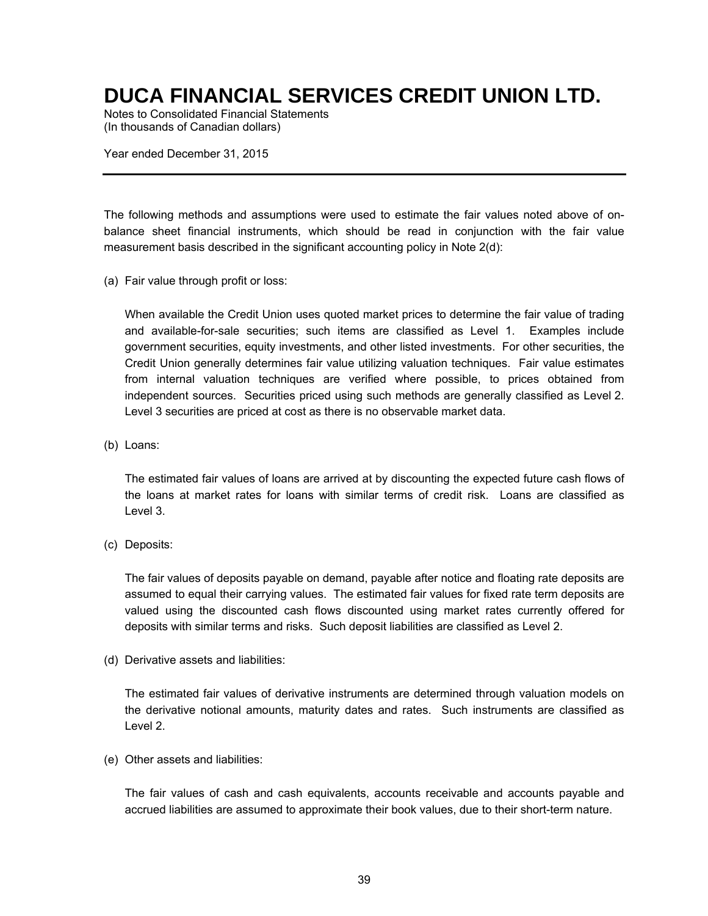Notes to Consolidated Financial Statements (In thousands of Canadian dollars)

Year ended December 31, 2015

The following methods and assumptions were used to estimate the fair values noted above of onbalance sheet financial instruments, which should be read in conjunction with the fair value measurement basis described in the significant accounting policy in Note 2(d):

(a) Fair value through profit or loss:

When available the Credit Union uses quoted market prices to determine the fair value of trading and available-for-sale securities; such items are classified as Level 1. Examples include government securities, equity investments, and other listed investments. For other securities, the Credit Union generally determines fair value utilizing valuation techniques. Fair value estimates from internal valuation techniques are verified where possible, to prices obtained from independent sources. Securities priced using such methods are generally classified as Level 2. Level 3 securities are priced at cost as there is no observable market data.

(b) Loans:

The estimated fair values of loans are arrived at by discounting the expected future cash flows of the loans at market rates for loans with similar terms of credit risk. Loans are classified as Level 3.

(c) Deposits:

The fair values of deposits payable on demand, payable after notice and floating rate deposits are assumed to equal their carrying values. The estimated fair values for fixed rate term deposits are valued using the discounted cash flows discounted using market rates currently offered for deposits with similar terms and risks. Such deposit liabilities are classified as Level 2.

(d) Derivative assets and liabilities:

The estimated fair values of derivative instruments are determined through valuation models on the derivative notional amounts, maturity dates and rates. Such instruments are classified as Level 2.

(e) Other assets and liabilities:

The fair values of cash and cash equivalents, accounts receivable and accounts payable and accrued liabilities are assumed to approximate their book values, due to their short-term nature.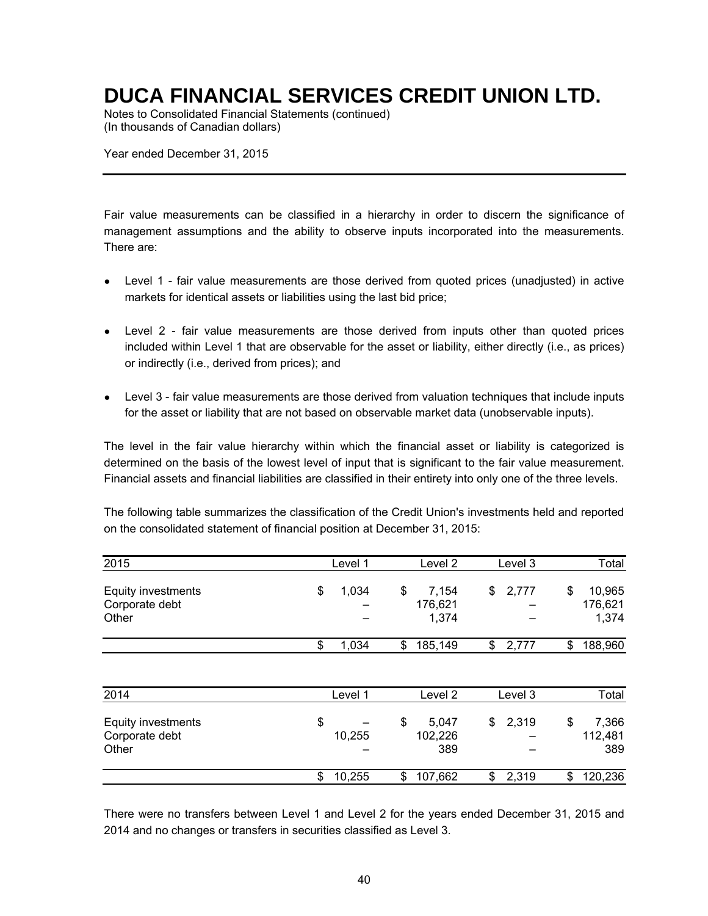Notes to Consolidated Financial Statements (continued) (In thousands of Canadian dollars)

Year ended December 31, 2015

Fair value measurements can be classified in a hierarchy in order to discern the significance of management assumptions and the ability to observe inputs incorporated into the measurements. There are:

- Level 1 fair value measurements are those derived from quoted prices (unadjusted) in active markets for identical assets or liabilities using the last bid price;
- Level 2 fair value measurements are those derived from inputs other than quoted prices included within Level 1 that are observable for the asset or liability, either directly (i.e., as prices) or indirectly (i.e., derived from prices); and
- Level 3 fair value measurements are those derived from valuation techniques that include inputs for the asset or liability that are not based on observable market data (unobservable inputs).

The level in the fair value hierarchy within which the financial asset or liability is categorized is determined on the basis of the lowest level of input that is significant to the fair value measurement. Financial assets and financial liabilities are classified in their entirety into only one of the three levels.

The following table summarizes the classification of the Credit Union's investments held and reported on the consolidated statement of financial position at December 31, 2015:

| 2015                                          | Level 1      | Level 2                         | Level 3     | Total                            |
|-----------------------------------------------|--------------|---------------------------------|-------------|----------------------------------|
| Equity investments<br>Corporate debt<br>Other | \$<br>1,034  | \$<br>7,154<br>176,621<br>1,374 | \$<br>2,777 | 10,965<br>\$<br>176,621<br>1,374 |
|                                               | \$<br>1,034  | \$<br>185,149                   | \$<br>2,777 | 188,960<br>\$                    |
| 2014                                          | Level 1      | Level 2                         | Level 3     | Total                            |
| Equity investments<br>Corporate debt<br>Other | \$<br>10,255 | \$<br>5,047<br>102,226<br>389   | \$<br>2,319 | 7,366<br>\$<br>112,481<br>389    |
|                                               | \$<br>10,255 | \$<br>107,662                   | \$<br>2,319 | 120,236<br>\$                    |

There were no transfers between Level 1 and Level 2 for the years ended December 31, 2015 and 2014 and no changes or transfers in securities classified as Level 3.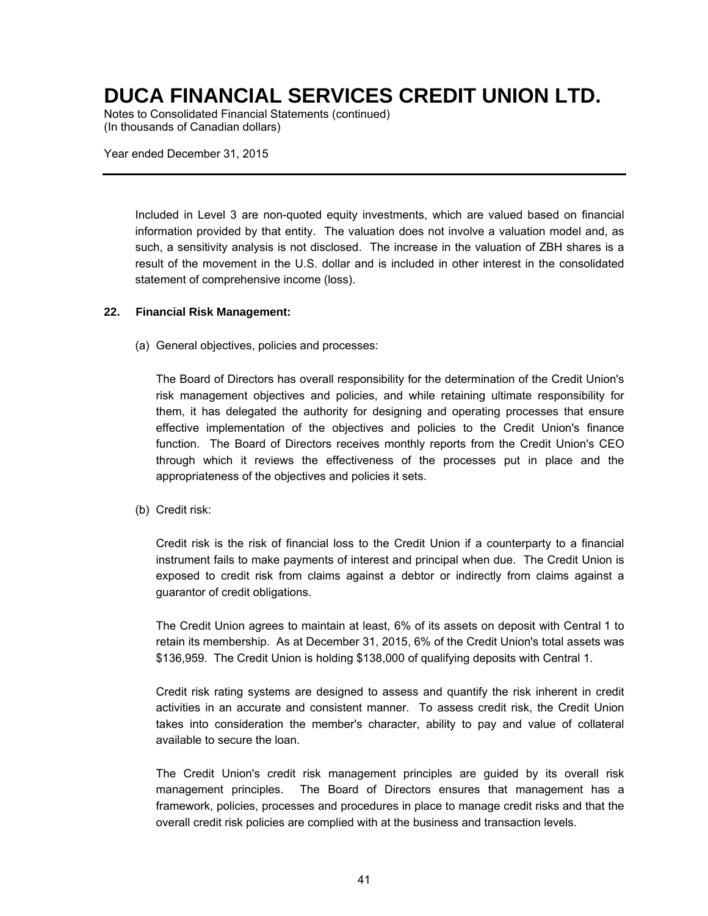Notes to Consolidated Financial Statements (continued) (In thousands of Canadian dollars)

Year ended December 31, 2015

Included in Level 3 are non-quoted equity investments, which are valued based on financial information provided by that entity. The valuation does not involve a valuation model and, as such, a sensitivity analysis is not disclosed. The increase in the valuation of ZBH shares is a result of the movement in the U.S. dollar and is included in other interest in the consolidated statement of comprehensive income (loss).

#### **22. Financial Risk Management:**

(a) General objectives, policies and processes:

The Board of Directors has overall responsibility for the determination of the Credit Union's risk management objectives and policies, and while retaining ultimate responsibility for them, it has delegated the authority for designing and operating processes that ensure effective implementation of the objectives and policies to the Credit Union's finance function. The Board of Directors receives monthly reports from the Credit Union's CEO through which it reviews the effectiveness of the processes put in place and the appropriateness of the objectives and policies it sets.

(b) Credit risk:

Credit risk is the risk of financial loss to the Credit Union if a counterparty to a financial instrument fails to make payments of interest and principal when due. The Credit Union is exposed to credit risk from claims against a debtor or indirectly from claims against a guarantor of credit obligations.

The Credit Union agrees to maintain at least, 6% of its assets on deposit with Central 1 to retain its membership. As at December 31, 2015, 6% of the Credit Union's total assets was \$136,959. The Credit Union is holding \$138,000 of qualifying deposits with Central 1.

Credit risk rating systems are designed to assess and quantify the risk inherent in credit activities in an accurate and consistent manner. To assess credit risk, the Credit Union takes into consideration the member's character, ability to pay and value of collateral available to secure the loan.

The Credit Union's credit risk management principles are guided by its overall risk management principles. The Board of Directors ensures that management has a framework, policies, processes and procedures in place to manage credit risks and that the overall credit risk policies are complied with at the business and transaction levels.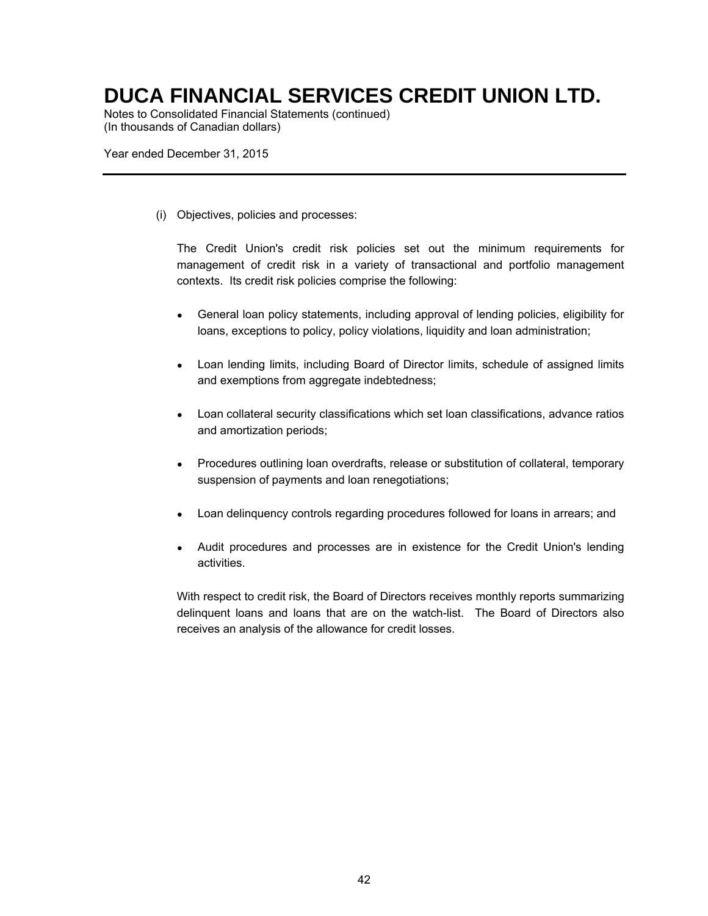Notes to Consolidated Financial Statements (continued) (In thousands of Canadian dollars)

Year ended December 31, 2015

(i) Objectives, policies and processes:

The Credit Union's credit risk policies set out the minimum requirements for management of credit risk in a variety of transactional and portfolio management contexts. Its credit risk policies comprise the following:

- General loan policy statements, including approval of lending policies, eligibility for loans, exceptions to policy, policy violations, liquidity and loan administration;
- Loan lending limits, including Board of Director limits, schedule of assigned limits and exemptions from aggregate indebtedness;
- Loan collateral security classifications which set loan classifications, advance ratios and amortization periods;
- Procedures outlining loan overdrafts, release or substitution of collateral, temporary suspension of payments and loan renegotiations;
- Loan delinquency controls regarding procedures followed for loans in arrears; and
- Audit procedures and processes are in existence for the Credit Union's lending activities.

With respect to credit risk, the Board of Directors receives monthly reports summarizing delinquent loans and loans that are on the watch-list. The Board of Directors also receives an analysis of the allowance for credit losses.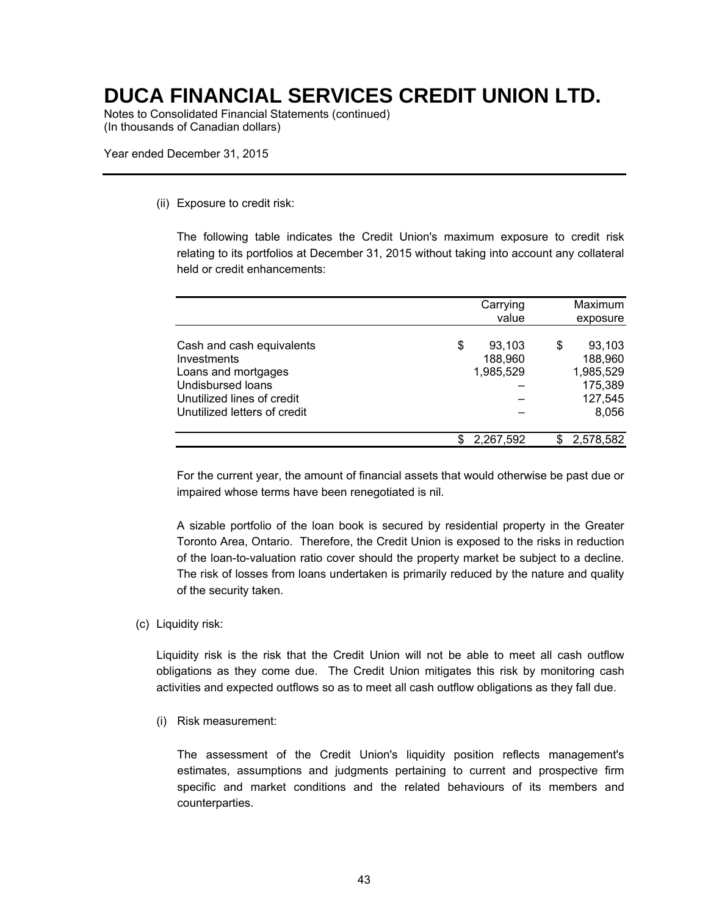Notes to Consolidated Financial Statements (continued) (In thousands of Canadian dollars)

Year ended December 31, 2015

#### (ii) Exposure to credit risk:

The following table indicates the Credit Union's maximum exposure to credit risk relating to its portfolios at December 31, 2015 without taking into account any collateral held or credit enhancements:

|                                                                                                                                                    | Carrying<br>value                    | Maximum<br>exposure                                                 |
|----------------------------------------------------------------------------------------------------------------------------------------------------|--------------------------------------|---------------------------------------------------------------------|
| Cash and cash equivalents<br>Investments<br>Loans and mortgages<br>Undisbursed loans<br>Unutilized lines of credit<br>Unutilized letters of credit | \$<br>93,103<br>188,960<br>1,985,529 | \$<br>93.103<br>188,960<br>1,985,529<br>175,389<br>127,545<br>8,056 |
|                                                                                                                                                    | 2,267,592                            | 2,578,582                                                           |

For the current year, the amount of financial assets that would otherwise be past due or impaired whose terms have been renegotiated is nil.

A sizable portfolio of the loan book is secured by residential property in the Greater Toronto Area, Ontario. Therefore, the Credit Union is exposed to the risks in reduction of the loan-to-valuation ratio cover should the property market be subject to a decline. The risk of losses from loans undertaken is primarily reduced by the nature and quality of the security taken.

(c) Liquidity risk:

Liquidity risk is the risk that the Credit Union will not be able to meet all cash outflow obligations as they come due. The Credit Union mitigates this risk by monitoring cash activities and expected outflows so as to meet all cash outflow obligations as they fall due.

(i) Risk measurement:

The assessment of the Credit Union's liquidity position reflects management's estimates, assumptions and judgments pertaining to current and prospective firm specific and market conditions and the related behaviours of its members and counterparties.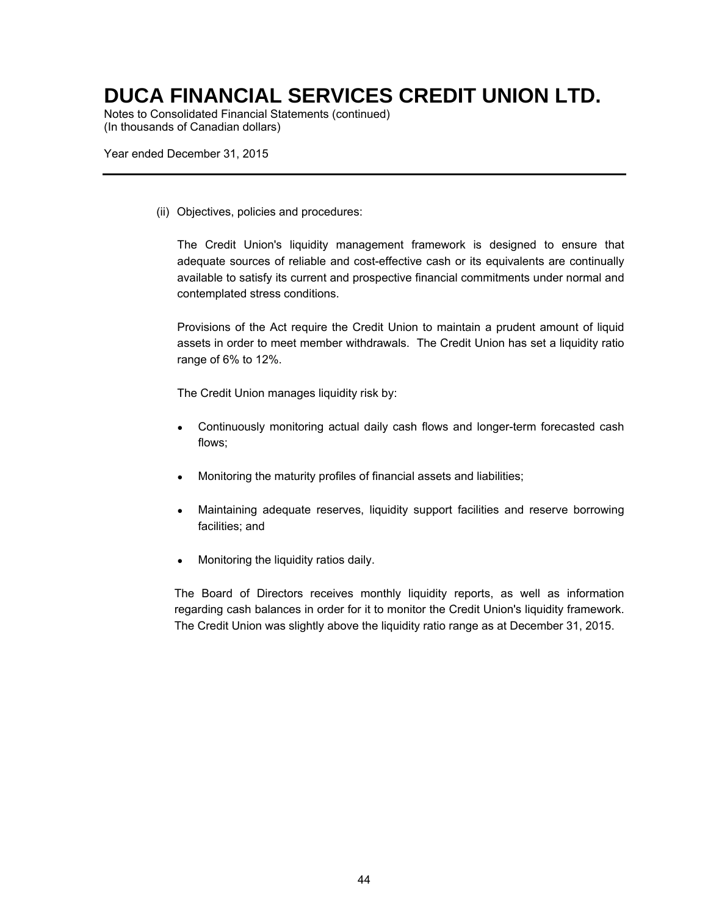Notes to Consolidated Financial Statements (continued) (In thousands of Canadian dollars)

Year ended December 31, 2015

(ii) Objectives, policies and procedures:

The Credit Union's liquidity management framework is designed to ensure that adequate sources of reliable and cost-effective cash or its equivalents are continually available to satisfy its current and prospective financial commitments under normal and contemplated stress conditions.

Provisions of the Act require the Credit Union to maintain a prudent amount of liquid assets in order to meet member withdrawals. The Credit Union has set a liquidity ratio range of 6% to 12%.

The Credit Union manages liquidity risk by:

- Continuously monitoring actual daily cash flows and longer-term forecasted cash flows;
- Monitoring the maturity profiles of financial assets and liabilities;
- Maintaining adequate reserves, liquidity support facilities and reserve borrowing facilities; and
- Monitoring the liquidity ratios daily.

The Board of Directors receives monthly liquidity reports, as well as information regarding cash balances in order for it to monitor the Credit Union's liquidity framework. The Credit Union was slightly above the liquidity ratio range as at December 31, 2015.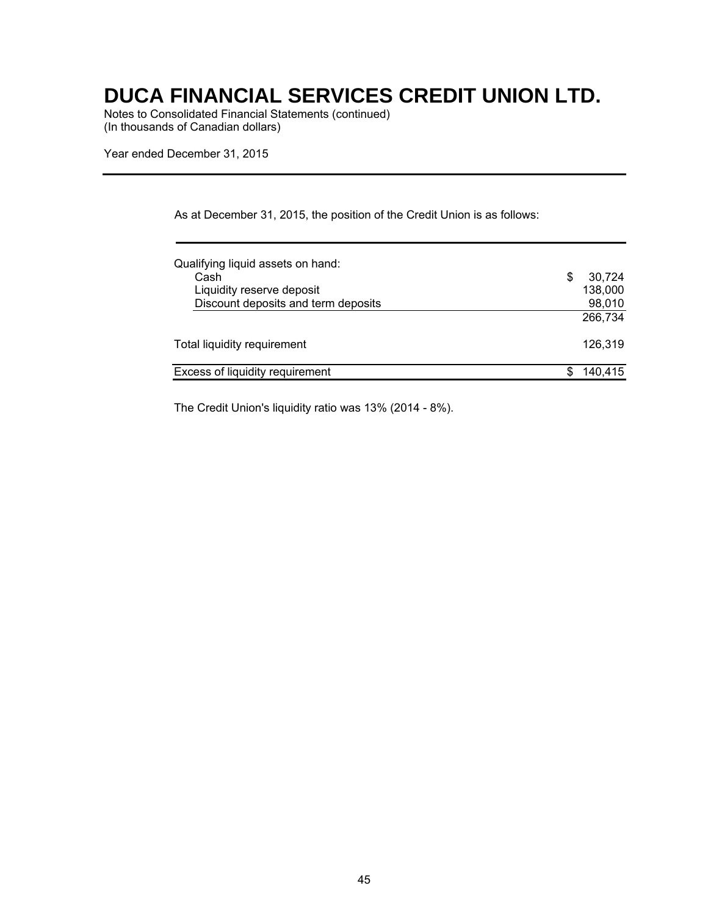Notes to Consolidated Financial Statements (continued) (In thousands of Canadian dollars)

Year ended December 31, 2015

|  |  | As at December 31, 2015, the position of the Credit Union is as follows: |
|--|--|--------------------------------------------------------------------------|
|--|--|--------------------------------------------------------------------------|

| Qualifying liquid assets on hand:   |   |         |
|-------------------------------------|---|---------|
| Cash                                | S | 30,724  |
| Liquidity reserve deposit           |   | 138,000 |
| Discount deposits and term deposits |   | 98,010  |
|                                     |   | 266.734 |
| Total liquidity requirement         |   | 126.319 |
| Excess of liquidity requirement     |   | 140.415 |

The Credit Union's liquidity ratio was 13% (2014 - 8%).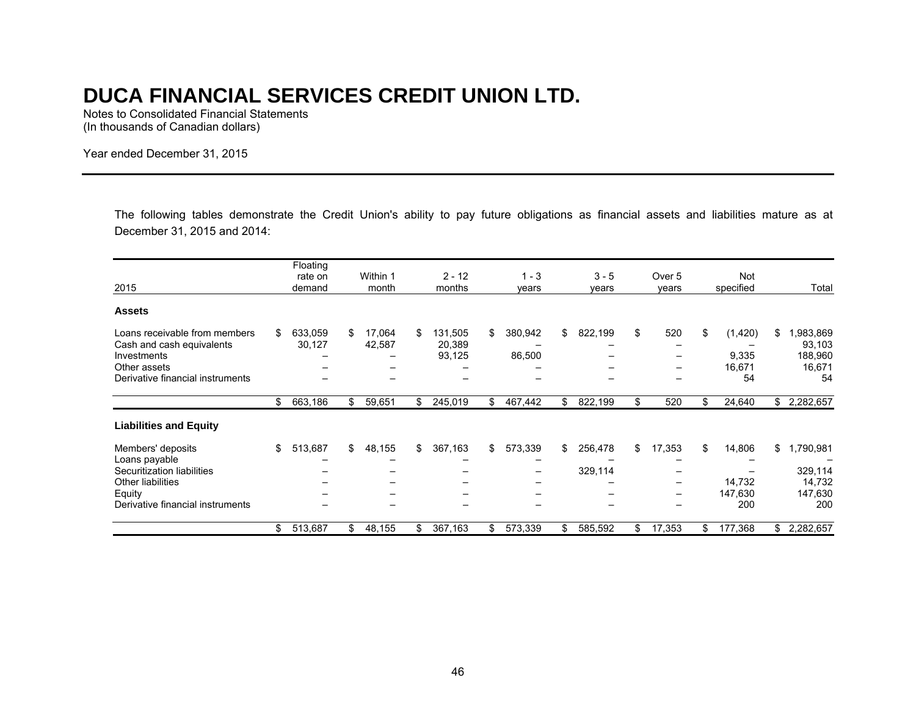Notes to Consolidated Financial Statements (In thousands of Canadian dollars)

Year ended December 31, 2015

The following tables demonstrate the Credit Union's ability to pay future obligations as financial assets and liabilities mature as at December 31, 2015 and 2014:

|                                                                           |    | Floating<br>rate on |    | Within 1         | $2 - 12$                          |     | $1 - 3$           |     | $3 - 5$ |     | Over 5   |     | Not               |    |                               |
|---------------------------------------------------------------------------|----|---------------------|----|------------------|-----------------------------------|-----|-------------------|-----|---------|-----|----------|-----|-------------------|----|-------------------------------|
| 2015                                                                      |    | demand              |    | month            | months                            |     | vears             |     | vears   |     | vears    |     | specified         |    | Total                         |
| <b>Assets</b>                                                             |    |                     |    |                  |                                   |     |                   |     |         |     |          |     |                   |    |                               |
| Loans receivable from members<br>Cash and cash equivalents<br>Investments | S. | 633,059<br>30,127   | S. | 17,064<br>42,587 | \$<br>131,505<br>20,389<br>93,125 | \$  | 380,942<br>86,500 | \$  | 822,199 | \$  | 520<br>- | \$  | (1, 420)<br>9,335 | S. | ,983,869<br>93,103<br>188,960 |
| Other assets                                                              |    |                     |    |                  |                                   |     |                   |     |         |     | -        |     | 16,671            |    | 16,671                        |
| Derivative financial instruments                                          |    |                     |    |                  |                                   |     |                   |     |         |     |          |     | 54                |    | 54                            |
|                                                                           | \$ | 663,186             | \$ | 59,651           | \$<br>245,019                     | \$  | 467,442           | \$  | 822,199 | \$  | 520      | \$  | 24,640            |    | \$2,282,657                   |
| <b>Liabilities and Equity</b>                                             |    |                     |    |                  |                                   |     |                   |     |         |     |          |     |                   |    |                               |
| Members' deposits                                                         | \$ | 513,687             | \$ | 48,155           | \$<br>367,163                     | \$  | 573,339           | \$  | 256,478 | \$  | 17,353   | \$  | 14,806            | \$ | ,790,981                      |
| Loans payable                                                             |    |                     |    |                  |                                   |     |                   |     |         |     |          |     |                   |    |                               |
| Securitization liabilities                                                |    |                     |    |                  |                                   |     | -                 |     | 329,114 |     |          |     |                   |    | 329,114                       |
| Other liabilities                                                         |    |                     |    |                  |                                   |     |                   |     |         |     | -        |     | 14,732            |    | 14,732                        |
| Equity                                                                    |    |                     |    |                  |                                   |     | –                 |     |         |     | -        |     | 147,630           |    | 147,630                       |
| Derivative financial instruments                                          |    |                     |    |                  | -                                 |     |                   |     |         |     |          |     | 200               |    | 200                           |
|                                                                           | \$ | 513,687             | \$ | 48,155           | \$<br>367,163                     | \$. | 573,339           | \$. | 585,592 | \$. | 17,353   | \$. | 177,368           | \$ | 2,282,657                     |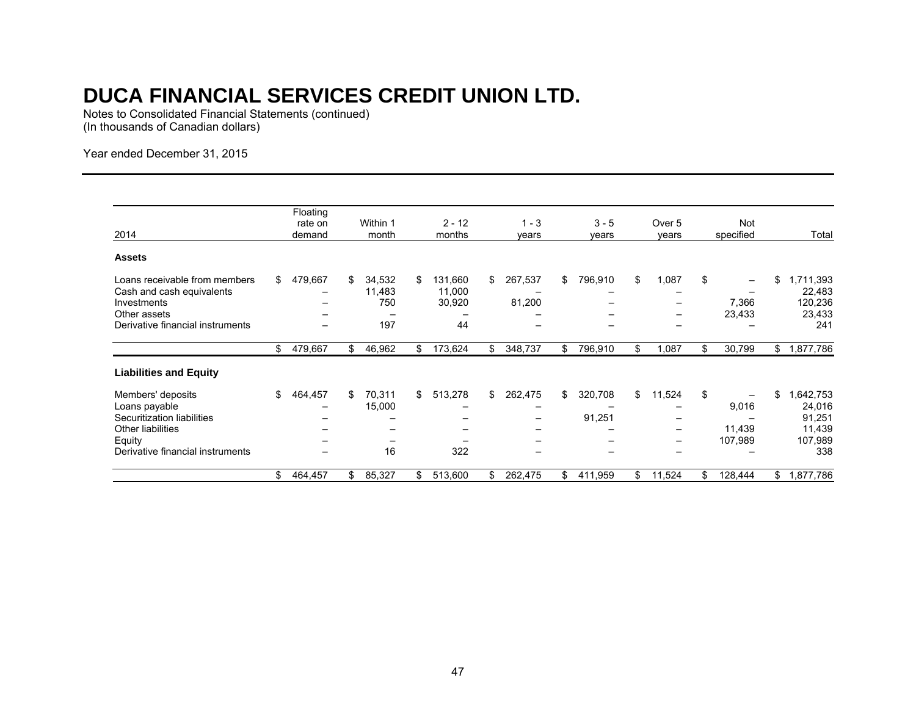Notes to Consolidated Financial Statements (continued) (In thousands of Canadian dollars)

Year ended December 31, 2015

| 2014                                                                                                                                       |     | Floating<br>rate on<br>demand |     | Within 1<br>month              |     | $2 - 12$<br>months                |     | $1 - 3$<br>years  |     | $3 - 5$<br>years  | Over 5<br>years                                                    |     | Not<br>specified           | Total                                                          |
|--------------------------------------------------------------------------------------------------------------------------------------------|-----|-------------------------------|-----|--------------------------------|-----|-----------------------------------|-----|-------------------|-----|-------------------|--------------------------------------------------------------------|-----|----------------------------|----------------------------------------------------------------|
| <b>Assets</b>                                                                                                                              |     |                               |     |                                |     |                                   |     |                   |     |                   |                                                                    |     |                            |                                                                |
| Loans receivable from members<br>Cash and cash equivalents<br>Investments<br>Other assets<br>Derivative financial instruments              | \$  | 479,667                       | \$  | 34,532<br>11,483<br>750<br>197 | \$  | 131,660<br>11,000<br>30,920<br>44 | \$  | 267,537<br>81,200 | \$  | 796,910           | \$<br>1,087<br>-<br>-<br>—                                         | \$  | 7,366<br>23,433            | \$<br>1,711,393<br>22,483<br>120,236<br>23,433<br>241          |
|                                                                                                                                            | \$  | 479,667                       | \$  | 46,962                         | \$  | 173,624                           | \$  | 348,737           | \$  | 796,910           | \$<br>1,087                                                        | \$  | 30,799                     | \$<br>1,877,786                                                |
| <b>Liabilities and Equity</b>                                                                                                              |     |                               |     |                                |     |                                   |     |                   |     |                   |                                                                    |     |                            |                                                                |
| Members' deposits<br>Loans payable<br>Securitization liabilities<br><b>Other liabilities</b><br>Equity<br>Derivative financial instruments | \$  | 464,457                       | \$. | 70,311<br>15,000<br>-<br>16    | \$  | 513,278<br>322                    | \$  | 262,475<br>-      | \$  | 320,708<br>91,251 | \$<br>11,524<br>$\qquad \qquad -$<br>-<br>$\overline{\phantom{0}}$ | \$  | 9,016<br>11,439<br>107,989 | \$<br>.642,753<br>24,016<br>91,251<br>11,439<br>107,989<br>338 |
|                                                                                                                                            | \$. | 464,457                       | \$. | 85,327                         | \$. | 513,600                           | \$. | 262,475           | \$. | 411,959           | \$<br>11,524                                                       | \$. | 128,444                    | \$<br>,877,786                                                 |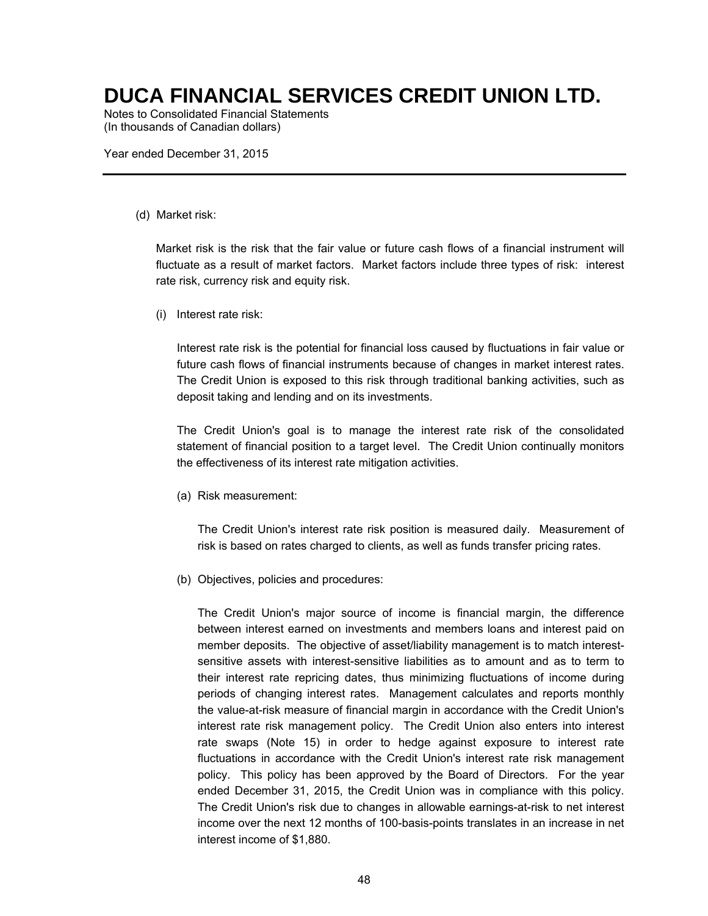Notes to Consolidated Financial Statements (In thousands of Canadian dollars)

Year ended December 31, 2015

#### (d) Market risk:

Market risk is the risk that the fair value or future cash flows of a financial instrument will fluctuate as a result of market factors. Market factors include three types of risk: interest rate risk, currency risk and equity risk.

(i) Interest rate risk:

Interest rate risk is the potential for financial loss caused by fluctuations in fair value or future cash flows of financial instruments because of changes in market interest rates. The Credit Union is exposed to this risk through traditional banking activities, such as deposit taking and lending and on its investments.

The Credit Union's goal is to manage the interest rate risk of the consolidated statement of financial position to a target level. The Credit Union continually monitors the effectiveness of its interest rate mitigation activities.

(a) Risk measurement:

The Credit Union's interest rate risk position is measured daily. Measurement of risk is based on rates charged to clients, as well as funds transfer pricing rates.

(b) Objectives, policies and procedures:

The Credit Union's major source of income is financial margin, the difference between interest earned on investments and members loans and interest paid on member deposits. The objective of asset/liability management is to match interestsensitive assets with interest-sensitive liabilities as to amount and as to term to their interest rate repricing dates, thus minimizing fluctuations of income during periods of changing interest rates. Management calculates and reports monthly the value-at-risk measure of financial margin in accordance with the Credit Union's interest rate risk management policy. The Credit Union also enters into interest rate swaps (Note 15) in order to hedge against exposure to interest rate fluctuations in accordance with the Credit Union's interest rate risk management policy. This policy has been approved by the Board of Directors. For the year ended December 31, 2015, the Credit Union was in compliance with this policy. The Credit Union's risk due to changes in allowable earnings-at-risk to net interest income over the next 12 months of 100-basis-points translates in an increase in net interest income of \$1,880.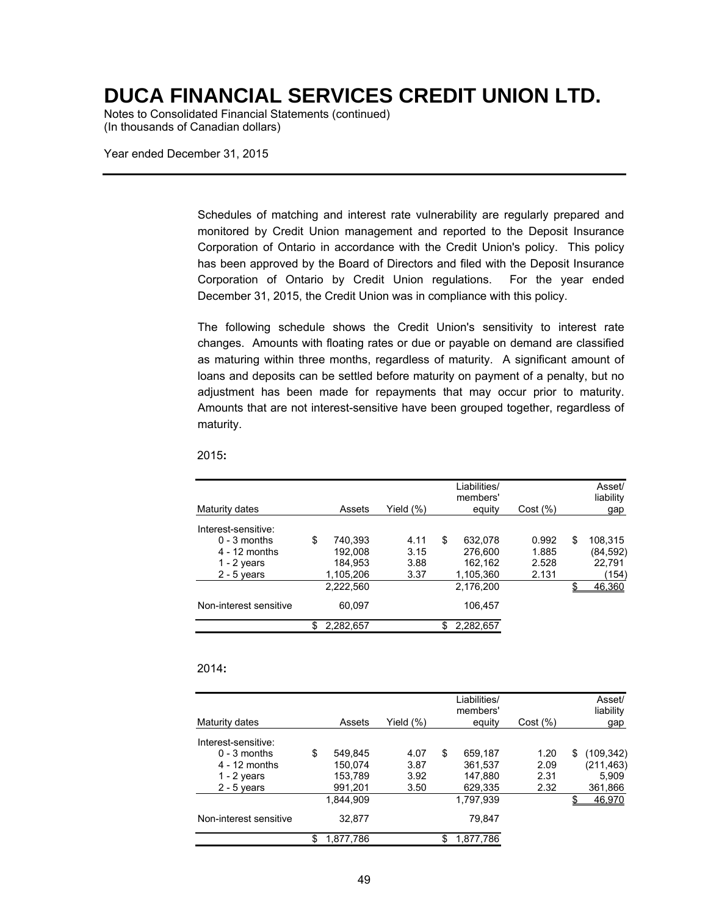Notes to Consolidated Financial Statements (continued) (In thousands of Canadian dollars)

Year ended December 31, 2015

Schedules of matching and interest rate vulnerability are regularly prepared and monitored by Credit Union management and reported to the Deposit Insurance Corporation of Ontario in accordance with the Credit Union's policy. This policy has been approved by the Board of Directors and filed with the Deposit Insurance Corporation of Ontario by Credit Union regulations. For the year ended December 31, 2015, the Credit Union was in compliance with this policy.

The following schedule shows the Credit Union's sensitivity to interest rate changes. Amounts with floating rates or due or payable on demand are classified as maturing within three months, regardless of maturity. A significant amount of loans and deposits can be settled before maturity on payment of a penalty, but no adjustment has been made for repayments that may occur prior to maturity. Amounts that are not interest-sensitive have been grouped together, regardless of maturity.

|                        |                 |              | Liabilities/<br>members' |          | Asset/<br>liability |
|------------------------|-----------------|--------------|--------------------------|----------|---------------------|
| Maturity dates         | Assets          | Yield $(\%)$ | equity                   | Cost (%) | gap                 |
| Interest-sensitive:    |                 |              |                          |          |                     |
| $0 - 3$ months         | \$<br>740,393   | 4.11         | \$<br>632.078            | 0.992    | \$<br>108,315       |
| $4 - 12$ months        | 192,008         | 3.15         | 276,600                  | 1.885    | (84, 592)           |
| 1 - 2 years            | 184.953         | 3.88         | 162,162                  | 2.528    | 22,791              |
| $2 - 5$ years          | 1,105,206       | 3.37         | 1,105,360                | 2.131    | (154)               |
|                        | 2.222.560       |              | 2.176.200                |          | 46,360              |
| Non-interest sensitive | 60.097          |              | 106,457                  |          |                     |
|                        | \$<br>2,282,657 |              | 2,282,657                |          |                     |

2015**:** 

#### 2014**:**

| Maturity dates         | Assets          | Yield $(\%)$ | Liabilities/<br>members'<br>equity | Cost (%) |   | Asset/<br>liability<br>gap |
|------------------------|-----------------|--------------|------------------------------------|----------|---|----------------------------|
| Interest-sensitive:    |                 |              |                                    |          |   |                            |
| $0 - 3$ months         | \$<br>549,845   | 4.07         | \$<br>659,187                      | 1.20     | S | (109, 342)                 |
| $4 - 12$ months        | 150.074         | 3.87         | 361.537                            | 2.09     |   | (211, 463)                 |
| 1 - 2 years            | 153,789         | 3.92         | 147,880                            | 2.31     |   | 5,909                      |
| $2 - 5$ years          | 991,201         | 3.50         | 629,335                            | 2.32     |   | 361,866                    |
|                        | 1.844.909       |              | 1.797.939                          |          |   | 46.970                     |
| Non-interest sensitive | 32.877          |              | 79.847                             |          |   |                            |
|                        | \$<br>1,877,786 |              | \$<br>1,877,786                    |          |   |                            |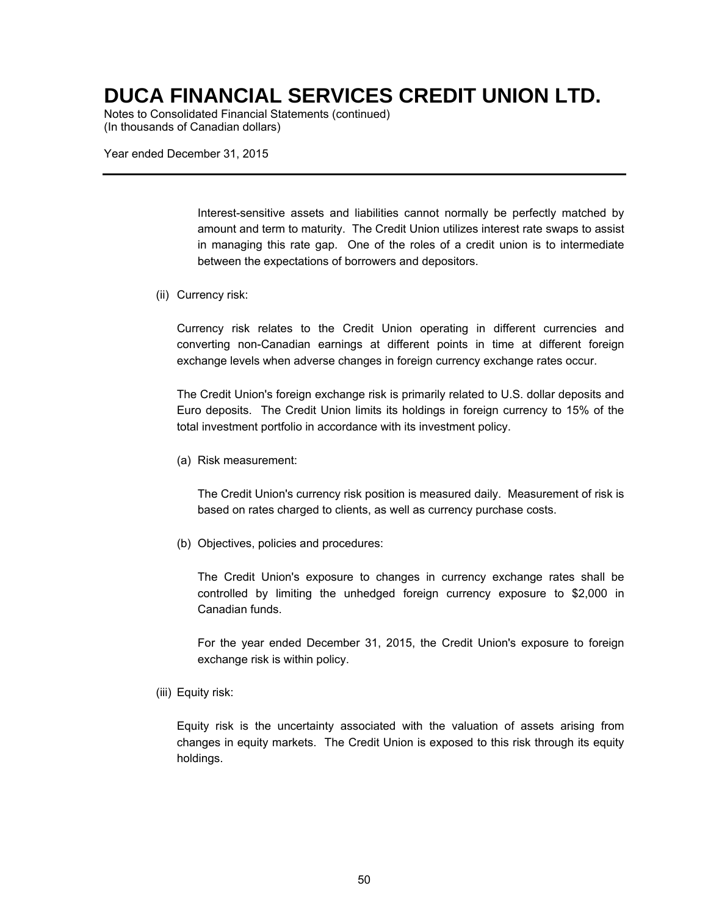Notes to Consolidated Financial Statements (continued) (In thousands of Canadian dollars)

Year ended December 31, 2015

Interest-sensitive assets and liabilities cannot normally be perfectly matched by amount and term to maturity. The Credit Union utilizes interest rate swaps to assist in managing this rate gap. One of the roles of a credit union is to intermediate between the expectations of borrowers and depositors.

(ii) Currency risk:

Currency risk relates to the Credit Union operating in different currencies and converting non-Canadian earnings at different points in time at different foreign exchange levels when adverse changes in foreign currency exchange rates occur.

The Credit Union's foreign exchange risk is primarily related to U.S. dollar deposits and Euro deposits. The Credit Union limits its holdings in foreign currency to 15% of the total investment portfolio in accordance with its investment policy.

(a) Risk measurement:

The Credit Union's currency risk position is measured daily. Measurement of risk is based on rates charged to clients, as well as currency purchase costs.

(b) Objectives, policies and procedures:

The Credit Union's exposure to changes in currency exchange rates shall be controlled by limiting the unhedged foreign currency exposure to \$2,000 in Canadian funds.

For the year ended December 31, 2015, the Credit Union's exposure to foreign exchange risk is within policy.

(iii) Equity risk:

Equity risk is the uncertainty associated with the valuation of assets arising from changes in equity markets. The Credit Union is exposed to this risk through its equity holdings.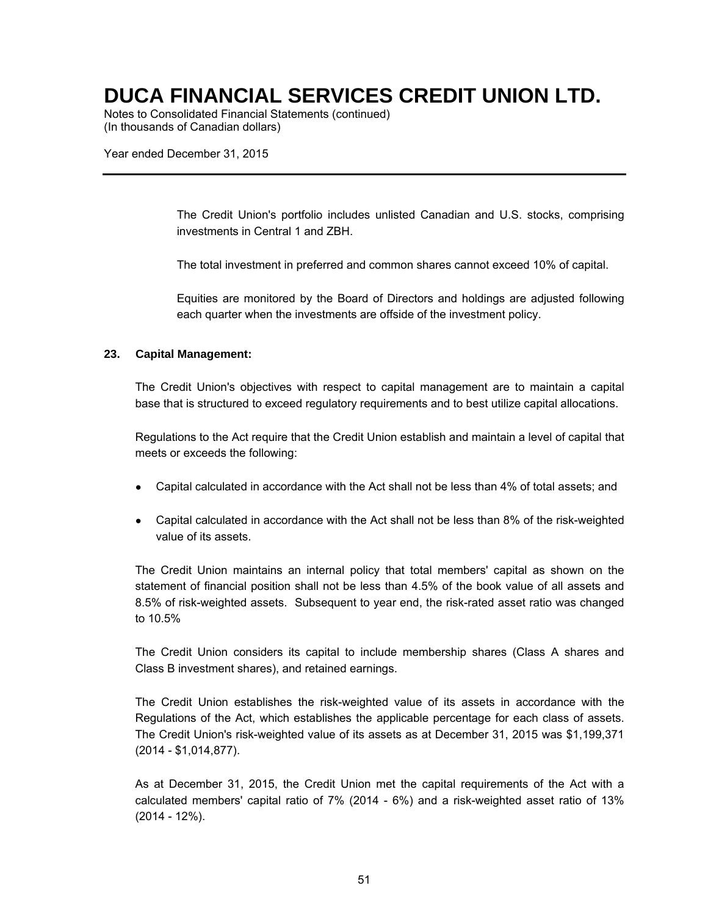Notes to Consolidated Financial Statements (continued) (In thousands of Canadian dollars)

Year ended December 31, 2015

The Credit Union's portfolio includes unlisted Canadian and U.S. stocks, comprising investments in Central 1 and ZBH.

The total investment in preferred and common shares cannot exceed 10% of capital.

Equities are monitored by the Board of Directors and holdings are adjusted following each quarter when the investments are offside of the investment policy.

#### **23. Capital Management:**

The Credit Union's objectives with respect to capital management are to maintain a capital base that is structured to exceed regulatory requirements and to best utilize capital allocations.

Regulations to the Act require that the Credit Union establish and maintain a level of capital that meets or exceeds the following:

- Capital calculated in accordance with the Act shall not be less than 4% of total assets; and
- Capital calculated in accordance with the Act shall not be less than 8% of the risk-weighted value of its assets.

The Credit Union maintains an internal policy that total members' capital as shown on the statement of financial position shall not be less than 4.5% of the book value of all assets and 8.5% of risk-weighted assets. Subsequent to year end, the risk-rated asset ratio was changed to 10.5%

The Credit Union considers its capital to include membership shares (Class A shares and Class B investment shares), and retained earnings.

The Credit Union establishes the risk-weighted value of its assets in accordance with the Regulations of the Act, which establishes the applicable percentage for each class of assets. The Credit Union's risk-weighted value of its assets as at December 31, 2015 was \$1,199,371 (2014 - \$1,014,877).

As at December 31, 2015, the Credit Union met the capital requirements of the Act with a calculated members' capital ratio of 7% (2014 - 6%) and a risk-weighted asset ratio of 13% (2014 - 12%).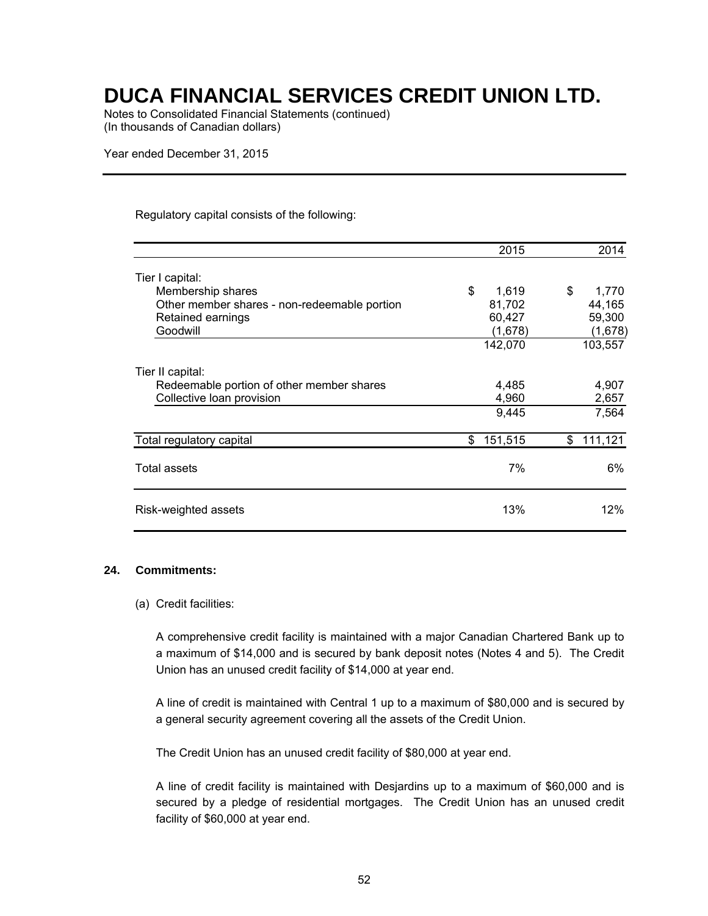Notes to Consolidated Financial Statements (continued) (In thousands of Canadian dollars)

Year ended December 31, 2015

#### Regulatory capital consists of the following:

|                                              | 2015          | 2014          |
|----------------------------------------------|---------------|---------------|
| Tier I capital:                              |               |               |
| Membership shares                            | \$<br>1,619   | \$<br>1,770   |
| Other member shares - non-redeemable portion | 81,702        | 44,165        |
| Retained earnings                            | 60,427        | 59,300        |
| Goodwill                                     | (1,678)       | (1,678)       |
|                                              | 142,070       | 103,557       |
| Tier II capital:                             |               |               |
| Redeemable portion of other member shares    | 4,485         | 4,907         |
| Collective loan provision                    | 4,960         | 2,657         |
|                                              | 9,445         | 7,564         |
| Total regulatory capital                     | 151,515<br>\$ | 111,121<br>\$ |
| Total assets                                 | 7%            | 6%            |
| Risk-weighted assets                         | 13%           | 12%           |

#### **24. Commitments:**

#### (a) Credit facilities:

A comprehensive credit facility is maintained with a major Canadian Chartered Bank up to a maximum of \$14,000 and is secured by bank deposit notes (Notes 4 and 5). The Credit Union has an unused credit facility of \$14,000 at year end.

A line of credit is maintained with Central 1 up to a maximum of \$80,000 and is secured by a general security agreement covering all the assets of the Credit Union.

The Credit Union has an unused credit facility of \$80,000 at year end.

A line of credit facility is maintained with Desjardins up to a maximum of \$60,000 and is secured by a pledge of residential mortgages. The Credit Union has an unused credit facility of \$60,000 at year end.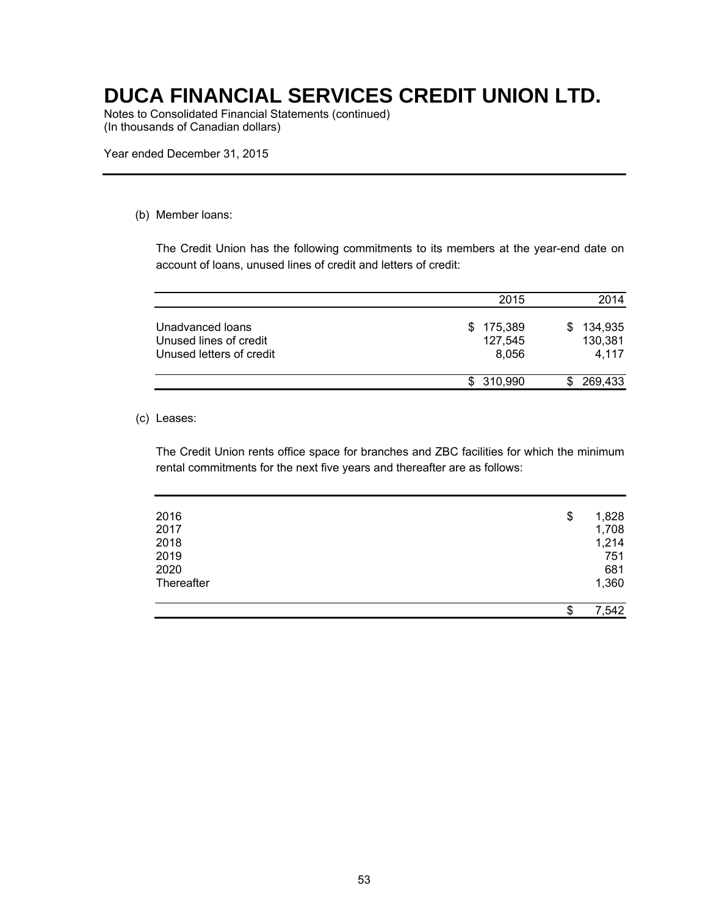Notes to Consolidated Financial Statements (continued) (In thousands of Canadian dollars)

Year ended December 31, 2015

#### (b) Member loans:

The Credit Union has the following commitments to its members at the year-end date on account of loans, unused lines of credit and letters of credit:

|                                                                        | 2015                              | 2014                               |
|------------------------------------------------------------------------|-----------------------------------|------------------------------------|
| Unadvanced loans<br>Unused lines of credit<br>Unused letters of credit | 175,389<br>S.<br>127,545<br>8.056 | 134,935<br>SS.<br>130,381<br>4,117 |
|                                                                        | \$310,990                         | 269,433                            |

#### (c) Leases:

The Credit Union rents office space for branches and ZBC facilities for which the minimum rental commitments for the next five years and thereafter are as follows:

| 1,360       |
|-------------|
|             |
| 681         |
| 751         |
| 1,214       |
| 1,708       |
| \$<br>1,828 |
|             |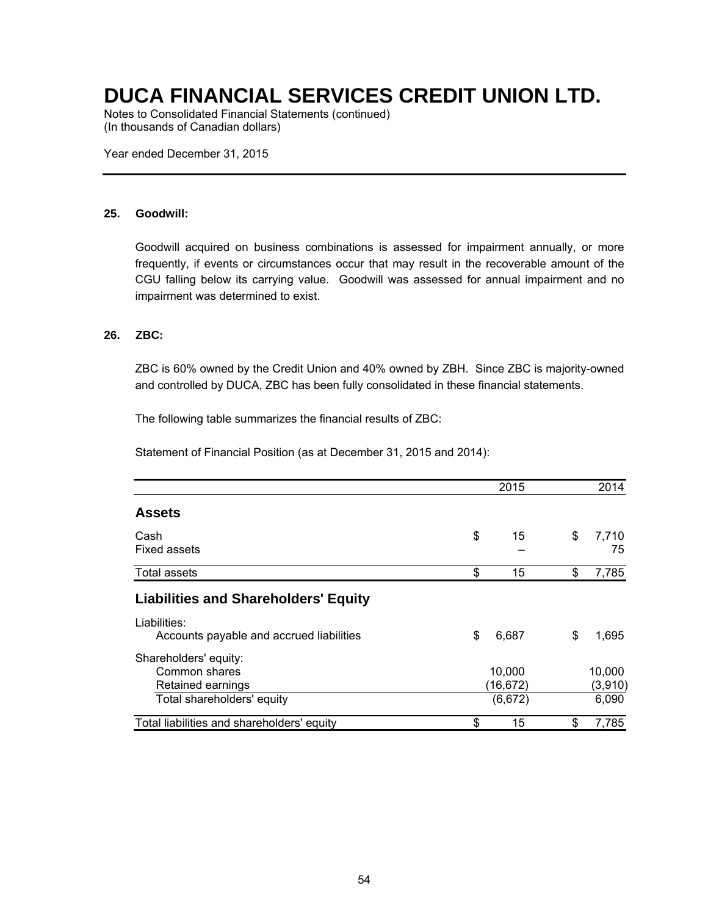Notes to Consolidated Financial Statements (continued) (In thousands of Canadian dollars)

Year ended December 31, 2015

#### **25. Goodwill:**

Goodwill acquired on business combinations is assessed for impairment annually, or more frequently, if events or circumstances occur that may result in the recoverable amount of the CGU falling below its carrying value. Goodwill was assessed for annual impairment and no impairment was determined to exist.

#### **26. ZBC:**

ZBC is 60% owned by the Credit Union and 40% owned by ZBH. Since ZBC is majority-owned and controlled by DUCA, ZBC has been fully consolidated in these financial statements.

The following table summarizes the financial results of ZBC:

Statement of Financial Position (as at December 31, 2015 and 2014):

|                                                             | 2015                | 2014              |
|-------------------------------------------------------------|---------------------|-------------------|
| <b>Assets</b>                                               |                     |                   |
| Cash<br>Fixed assets                                        | \$<br>15            | \$<br>7,710<br>75 |
| <b>Total assets</b>                                         | \$<br>15            | \$<br>7,785       |
| <b>Liabilities and Shareholders' Equity</b>                 |                     |                   |
| Liabilities:<br>Accounts payable and accrued liabilities    | \$<br>6,687         | \$<br>1,695       |
| Shareholders' equity:<br>Common shares<br>Retained earnings | 10,000<br>(16, 672) | 10,000<br>(3,910) |
| Total shareholders' equity                                  | (6,672)             | 6,090             |
| Total liabilities and shareholders' equity                  | \$<br>15            | \$<br>7,785       |